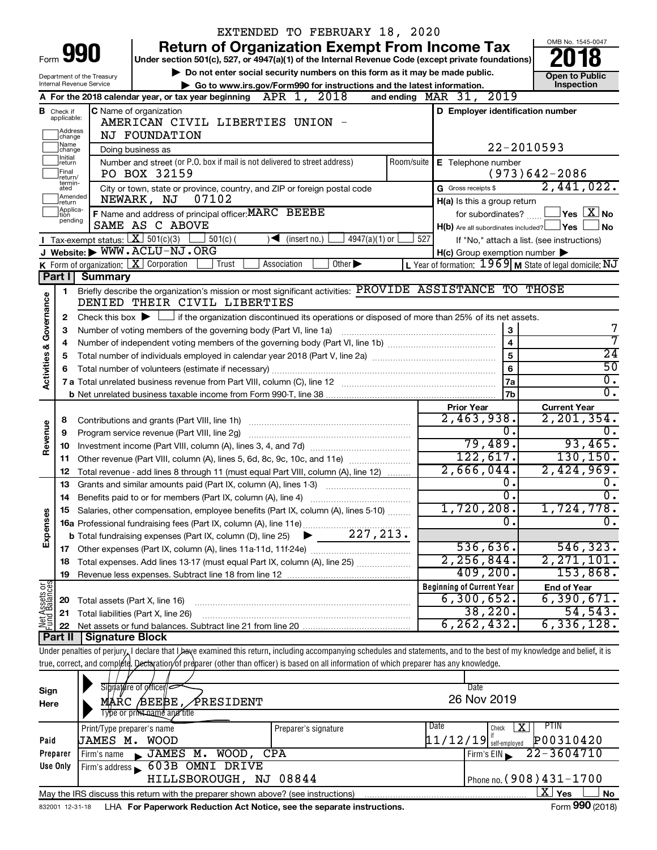|                         |                                  |                                        |                                                                                                                                                                            | EXTENDED TO FEBRUARY 18, 2020                                               |            |                                                     |                                                            |
|-------------------------|----------------------------------|----------------------------------------|----------------------------------------------------------------------------------------------------------------------------------------------------------------------------|-----------------------------------------------------------------------------|------------|-----------------------------------------------------|------------------------------------------------------------|
|                         |                                  |                                        |                                                                                                                                                                            | <b>Return of Organization Exempt From Income Tax</b>                        |            |                                                     | OMB No. 1545-0047                                          |
| Form                    |                                  | 990                                    | Under section 501(c), 527, or 4947(a)(1) of the Internal Revenue Code (except private foundations)                                                                         |                                                                             |            |                                                     |                                                            |
|                         |                                  | Department of the Treasury             |                                                                                                                                                                            | Do not enter social security numbers on this form as it may be made public. |            |                                                     | <b>Open to Public</b>                                      |
|                         |                                  | Internal Revenue Service               |                                                                                                                                                                            | Go to www.irs.gov/Form990 for instructions and the latest information.      |            |                                                     | Inspection                                                 |
|                         |                                  |                                        | A For the 2018 calendar year, or tax year beginning $APR$ 1, $2018$                                                                                                        |                                                                             |            | and ending MAR 31, 2019                             |                                                            |
|                         | <b>B</b> Check if<br>applicable: |                                        | C Name of organization                                                                                                                                                     |                                                                             |            | D Employer identification number                    |                                                            |
|                         | Address                          |                                        | AMERICAN CIVIL LIBERTIES UNION -                                                                                                                                           |                                                                             |            |                                                     |                                                            |
|                         | change<br>1Name                  |                                        | NJ FOUNDATION                                                                                                                                                              |                                                                             |            |                                                     |                                                            |
|                         | change<br>1Initial               |                                        | Doing business as                                                                                                                                                          |                                                                             |            |                                                     | 22-2010593                                                 |
|                         | return<br>Final                  |                                        | Number and street (or P.O. box if mail is not delivered to street address)                                                                                                 |                                                                             | Room/suite | E Telephone number                                  |                                                            |
|                         | lreturn/<br>termin-              |                                        | PO BOX 32159                                                                                                                                                               |                                                                             |            |                                                     | $(973)642 - 2086$<br>2,441,022.                            |
|                         | ated<br>Amended                  |                                        | City or town, state or province, country, and ZIP or foreign postal code<br>07102<br>NEWARK, NJ                                                                            |                                                                             |            | G Gross receipts \$                                 |                                                            |
|                         | return<br>Applica-               |                                        | F Name and address of principal officer: MARC BEEBE                                                                                                                        |                                                                             |            | H(a) Is this a group return                         | for subordinates? $\begin{array}{c} \boxed{\textbf{X}}$ No |
|                         | tion<br>pending                  |                                        | SAME AS C ABOVE                                                                                                                                                            |                                                                             |            | $H(b)$ Are all subordinates included? $\Box$ Yes    | <b>No</b>                                                  |
|                         |                                  | Tax-exempt status: $X \over 301(c)(3)$ | $501(c)$ (                                                                                                                                                                 | $4947(a)(1)$ or<br>$\sqrt{\frac{1}{1}}$ (insert no.)                        | 527        |                                                     | If "No," attach a list. (see instructions)                 |
|                         |                                  |                                        | J Website: WWW.ACLU-NJ.ORG                                                                                                                                                 |                                                                             |            | $H(c)$ Group exemption number $\blacktriangleright$ |                                                            |
|                         |                                  |                                        | <b>K</b> Form of organization: $X$ Corporation<br>Trust                                                                                                                    | Association<br>Other $\blacktriangleright$                                  |            |                                                     | L Year of formation: $1969$ M State of legal domicile: NJ  |
|                         | Part II                          | Summary                                |                                                                                                                                                                            |                                                                             |            |                                                     |                                                            |
|                         | 1.                               |                                        | Briefly describe the organization's mission or most significant activities: PROVIDE ASSISTANCE TO THOSE                                                                    |                                                                             |            |                                                     |                                                            |
|                         |                                  |                                        | DENIED THEIR CIVIL LIBERTIES                                                                                                                                               |                                                                             |            |                                                     |                                                            |
| Governance              | 2                                |                                        | Check this box $\blacktriangleright$ $\Box$ if the organization discontinued its operations or disposed of more than 25% of its net assets.                                |                                                                             |            |                                                     |                                                            |
|                         | 3                                |                                        | Number of voting members of the governing body (Part VI, line 1a)                                                                                                          |                                                                             |            | $\bf 3$                                             |                                                            |
|                         | 4                                |                                        |                                                                                                                                                                            |                                                                             |            | $\overline{4}$                                      | 7                                                          |
| <b>Activities &amp;</b> | 5                                |                                        |                                                                                                                                                                            |                                                                             |            | 5                                                   | $\overline{24}$                                            |
|                         | 6                                |                                        |                                                                                                                                                                            |                                                                             |            | 6                                                   | $\overline{50}$                                            |
|                         |                                  |                                        |                                                                                                                                                                            |                                                                             |            | 7a                                                  | σ.                                                         |
|                         |                                  |                                        |                                                                                                                                                                            |                                                                             |            | 7b                                                  | σ.                                                         |
|                         |                                  |                                        |                                                                                                                                                                            |                                                                             |            | <b>Prior Year</b>                                   | <b>Current Year</b>                                        |
|                         | 8                                |                                        |                                                                                                                                                                            |                                                                             |            | 2,463,938.                                          | 2, 201, 354.                                               |
| Revenue                 | 9                                |                                        |                                                                                                                                                                            |                                                                             |            | 0.                                                  | 0.                                                         |
|                         | 10                               |                                        |                                                                                                                                                                            |                                                                             |            | 79,489.<br>122,617.                                 | 93,465.<br>130, 150.                                       |
|                         | 11                               |                                        | Other revenue (Part VIII, column (A), lines 5, 6d, 8c, 9c, 10c, and 11e)                                                                                                   |                                                                             |            | 2,666,044.                                          | 2,424,969.                                                 |
|                         | 12                               |                                        | Total revenue - add lines 8 through 11 (must equal Part VIII, column (A), line 12)                                                                                         |                                                                             |            | О.                                                  | 0.                                                         |
|                         | 13                               |                                        | Grants and similar amounts paid (Part IX, column (A), lines 1-3)                                                                                                           |                                                                             |            | σ.                                                  | $\overline{0}$ .                                           |
|                         | 14                               |                                        | Benefits paid to or for members (Part IX, column (A), line 4)<br>15 Salaries, other compensation, employee benefits (Part IX, column (A), lines 5-10)                      |                                                                             |            | $1,720,208$ .                                       | 1,724,778.                                                 |
| Expenses                |                                  |                                        |                                                                                                                                                                            |                                                                             |            | Ω.                                                  | 0.                                                         |
|                         |                                  |                                        |                                                                                                                                                                            |                                                                             |            |                                                     |                                                            |
|                         |                                  |                                        |                                                                                                                                                                            |                                                                             |            | 536,636.                                            | 546, 323.                                                  |
|                         | 18                               |                                        | Total expenses. Add lines 13-17 (must equal Part IX, column (A), line 25)                                                                                                  |                                                                             |            | 2, 256, 844.                                        | 2, 271, 101.                                               |
|                         | 19                               |                                        |                                                                                                                                                                            |                                                                             |            | 409, 200.                                           | 153,868.                                                   |
| Net Assets or           |                                  |                                        |                                                                                                                                                                            |                                                                             |            | <b>Beginning of Current Year</b>                    | <b>End of Year</b>                                         |
|                         | 20                               |                                        | Total assets (Part X, line 16)                                                                                                                                             |                                                                             |            | 6,300,652.                                          | 6,390,671.                                                 |
|                         | 21                               |                                        | Total liabilities (Part X, line 26)                                                                                                                                        |                                                                             |            | 38,220.                                             | 54, 543.                                                   |
|                         | 22                               |                                        |                                                                                                                                                                            |                                                                             |            | 6, 262, 432.                                        | 6, 336, 128.                                               |
|                         |                                  | Part II   Signature Block              |                                                                                                                                                                            |                                                                             |            |                                                     |                                                            |
|                         |                                  |                                        | Under penalties of perjury, I declare that I have examined this return, including accompanying schedules and statements, and to the best of my knowledge and belief, it is |                                                                             |            |                                                     |                                                            |
|                         |                                  |                                        | true, correct, and complete. Dectaration of preparer (other than officer) is based on all information of which preparer has any knowledge.                                 |                                                                             |            |                                                     |                                                            |
|                         |                                  |                                        |                                                                                                                                                                            |                                                                             |            |                                                     |                                                            |
| Sign                    |                                  |                                        | Signature of officer/                                                                                                                                                      |                                                                             |            | Date<br>26 Nov 2019                                 |                                                            |
| Here                    |                                  |                                        | MARC $/BEEBE, / PRESIDENT$<br>Type or print name and title                                                                                                                 |                                                                             |            |                                                     |                                                            |
|                         |                                  |                                        |                                                                                                                                                                            |                                                                             |            | Date                                                | PTIN                                                       |
|                         |                                  | Print/Type preparer's name             |                                                                                                                                                                            | Preparer's signature                                                        |            | Check                                               | х                                                          |
| Paid                    |                                  | JAMES M. WOOD                          |                                                                                                                                                                            |                                                                             |            | $11/12/19$ self-employed                            | P00310420<br>$22 - 3604710$                                |
|                         | Preparer<br>Use Only             | Firm's name                            | JAMES M. WOOD, CPA<br>Firm's address 603B OMNI DRIVE                                                                                                                       |                                                                             |            | Firm's EIN                                          |                                                            |
|                         |                                  |                                        | HILLSBOROUGH, NJ 08844                                                                                                                                                     |                                                                             |            |                                                     | Phone no. (908) 431-1700                                   |
|                         |                                  |                                        |                                                                                                                                                                            |                                                                             |            |                                                     | $\overline{\text{X}}$ Yes<br>No                            |
|                         |                                  |                                        | May the IRS discuss this return with the preparer shown above? (see instructions)<br>LHA For Paperwork Reduction Act Notice, see the separate instructions.                |                                                                             |            |                                                     | Form 990 (2018)                                            |
|                         | 832001 12-31-18                  |                                        |                                                                                                                                                                            |                                                                             |            |                                                     |                                                            |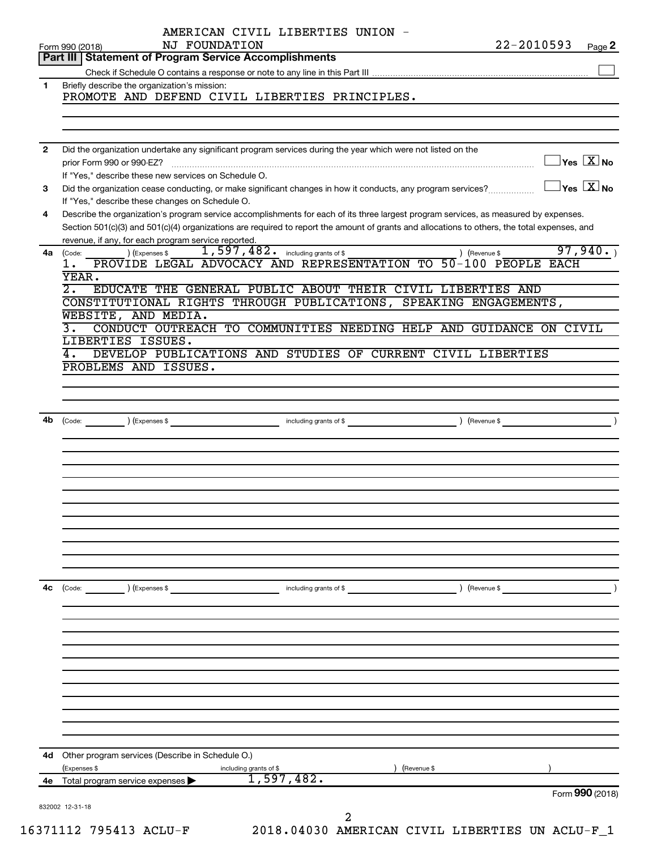| Form 990 (2018)<br>prior Form 990 or 990-EZ?<br>(Code:<br>ı.<br>YEAR.<br>$\overline{2}$ .<br>WEBSITE, AND MEDIA.<br>з. | Part III   Statement of Program Service Accomplishments<br>Briefly describe the organization's mission:<br>If "Yes," describe these new services on Schedule O.<br>If "Yes," describe these changes on Schedule O.<br>revenue, if any, for each program service reported.<br>) (Expenses \$ | NJ FOUNDATION<br>1,597,482. including grants of \$                                              | PROMOTE AND DEFEND CIVIL LIBERTIES PRINCIPLES.   | Did the organization undertake any significant program services during the year which were not listed on the<br>Did the organization cease conducting, or make significant changes in how it conducts, any program services?<br>Describe the organization's program service accomplishments for each of its three largest program services, as measured by expenses.<br>Section 501(c)(3) and 501(c)(4) organizations are required to report the amount of grants and allocations to others, the total expenses, and<br>) (Revenue \$ | Page 2<br>$\Box$ Yes $[\overline{\mathrm{X}}]$ No<br>$\Box$ Yes $[\overline{\mathrm{X}}]$ No |
|------------------------------------------------------------------------------------------------------------------------|---------------------------------------------------------------------------------------------------------------------------------------------------------------------------------------------------------------------------------------------------------------------------------------------|-------------------------------------------------------------------------------------------------|--------------------------------------------------|---------------------------------------------------------------------------------------------------------------------------------------------------------------------------------------------------------------------------------------------------------------------------------------------------------------------------------------------------------------------------------------------------------------------------------------------------------------------------------------------------------------------------------------|----------------------------------------------------------------------------------------------|
|                                                                                                                        |                                                                                                                                                                                                                                                                                             |                                                                                                 |                                                  |                                                                                                                                                                                                                                                                                                                                                                                                                                                                                                                                       |                                                                                              |
|                                                                                                                        |                                                                                                                                                                                                                                                                                             |                                                                                                 |                                                  |                                                                                                                                                                                                                                                                                                                                                                                                                                                                                                                                       |                                                                                              |
|                                                                                                                        |                                                                                                                                                                                                                                                                                             |                                                                                                 |                                                  |                                                                                                                                                                                                                                                                                                                                                                                                                                                                                                                                       |                                                                                              |
|                                                                                                                        |                                                                                                                                                                                                                                                                                             |                                                                                                 |                                                  |                                                                                                                                                                                                                                                                                                                                                                                                                                                                                                                                       |                                                                                              |
|                                                                                                                        |                                                                                                                                                                                                                                                                                             |                                                                                                 |                                                  |                                                                                                                                                                                                                                                                                                                                                                                                                                                                                                                                       |                                                                                              |
|                                                                                                                        |                                                                                                                                                                                                                                                                                             |                                                                                                 |                                                  |                                                                                                                                                                                                                                                                                                                                                                                                                                                                                                                                       |                                                                                              |
|                                                                                                                        |                                                                                                                                                                                                                                                                                             |                                                                                                 |                                                  |                                                                                                                                                                                                                                                                                                                                                                                                                                                                                                                                       |                                                                                              |
|                                                                                                                        |                                                                                                                                                                                                                                                                                             |                                                                                                 |                                                  |                                                                                                                                                                                                                                                                                                                                                                                                                                                                                                                                       |                                                                                              |
|                                                                                                                        |                                                                                                                                                                                                                                                                                             |                                                                                                 |                                                  |                                                                                                                                                                                                                                                                                                                                                                                                                                                                                                                                       |                                                                                              |
|                                                                                                                        |                                                                                                                                                                                                                                                                                             |                                                                                                 |                                                  |                                                                                                                                                                                                                                                                                                                                                                                                                                                                                                                                       |                                                                                              |
|                                                                                                                        |                                                                                                                                                                                                                                                                                             |                                                                                                 |                                                  |                                                                                                                                                                                                                                                                                                                                                                                                                                                                                                                                       |                                                                                              |
|                                                                                                                        |                                                                                                                                                                                                                                                                                             |                                                                                                 |                                                  |                                                                                                                                                                                                                                                                                                                                                                                                                                                                                                                                       |                                                                                              |
|                                                                                                                        |                                                                                                                                                                                                                                                                                             |                                                                                                 |                                                  |                                                                                                                                                                                                                                                                                                                                                                                                                                                                                                                                       |                                                                                              |
|                                                                                                                        |                                                                                                                                                                                                                                                                                             |                                                                                                 |                                                  |                                                                                                                                                                                                                                                                                                                                                                                                                                                                                                                                       | 97,940.                                                                                      |
|                                                                                                                        |                                                                                                                                                                                                                                                                                             |                                                                                                 |                                                  | PROVIDE LEGAL ADVOCACY AND REPRESENTATION TO 50-100 PEOPLE EACH                                                                                                                                                                                                                                                                                                                                                                                                                                                                       |                                                                                              |
|                                                                                                                        |                                                                                                                                                                                                                                                                                             |                                                                                                 |                                                  |                                                                                                                                                                                                                                                                                                                                                                                                                                                                                                                                       |                                                                                              |
|                                                                                                                        |                                                                                                                                                                                                                                                                                             |                                                                                                 |                                                  | EDUCATE THE GENERAL PUBLIC ABOUT THEIR CIVIL LIBERTIES AND                                                                                                                                                                                                                                                                                                                                                                                                                                                                            |                                                                                              |
|                                                                                                                        |                                                                                                                                                                                                                                                                                             |                                                                                                 |                                                  | CONSTITUTIONAL RIGHTS THROUGH PUBLICATIONS, SPEAKING ENGAGEMENTS,                                                                                                                                                                                                                                                                                                                                                                                                                                                                     |                                                                                              |
|                                                                                                                        |                                                                                                                                                                                                                                                                                             |                                                                                                 |                                                  | CONDUCT OUTREACH TO COMMUNITIES NEEDING HELP AND GUIDANCE ON CIVIL                                                                                                                                                                                                                                                                                                                                                                                                                                                                    |                                                                                              |
|                                                                                                                        | LIBERTIES ISSUES.                                                                                                                                                                                                                                                                           |                                                                                                 |                                                  |                                                                                                                                                                                                                                                                                                                                                                                                                                                                                                                                       |                                                                                              |
|                                                                                                                        |                                                                                                                                                                                                                                                                                             |                                                                                                 |                                                  | DEVELOP PUBLICATIONS AND STUDIES OF CURRENT CIVIL LIBERTIES                                                                                                                                                                                                                                                                                                                                                                                                                                                                           |                                                                                              |
|                                                                                                                        | PROBLEMS AND ISSUES.                                                                                                                                                                                                                                                                        |                                                                                                 |                                                  |                                                                                                                                                                                                                                                                                                                                                                                                                                                                                                                                       |                                                                                              |
|                                                                                                                        |                                                                                                                                                                                                                                                                                             |                                                                                                 |                                                  |                                                                                                                                                                                                                                                                                                                                                                                                                                                                                                                                       |                                                                                              |
|                                                                                                                        |                                                                                                                                                                                                                                                                                             |                                                                                                 |                                                  |                                                                                                                                                                                                                                                                                                                                                                                                                                                                                                                                       |                                                                                              |
|                                                                                                                        |                                                                                                                                                                                                                                                                                             |                                                                                                 |                                                  |                                                                                                                                                                                                                                                                                                                                                                                                                                                                                                                                       |                                                                                              |
|                                                                                                                        |                                                                                                                                                                                                                                                                                             |                                                                                                 |                                                  |                                                                                                                                                                                                                                                                                                                                                                                                                                                                                                                                       |                                                                                              |
|                                                                                                                        |                                                                                                                                                                                                                                                                                             |                                                                                                 |                                                  |                                                                                                                                                                                                                                                                                                                                                                                                                                                                                                                                       |                                                                                              |
|                                                                                                                        |                                                                                                                                                                                                                                                                                             |                                                                                                 |                                                  |                                                                                                                                                                                                                                                                                                                                                                                                                                                                                                                                       |                                                                                              |
|                                                                                                                        |                                                                                                                                                                                                                                                                                             |                                                                                                 |                                                  |                                                                                                                                                                                                                                                                                                                                                                                                                                                                                                                                       |                                                                                              |
|                                                                                                                        |                                                                                                                                                                                                                                                                                             |                                                                                                 |                                                  |                                                                                                                                                                                                                                                                                                                                                                                                                                                                                                                                       |                                                                                              |
|                                                                                                                        |                                                                                                                                                                                                                                                                                             |                                                                                                 |                                                  |                                                                                                                                                                                                                                                                                                                                                                                                                                                                                                                                       |                                                                                              |
|                                                                                                                        |                                                                                                                                                                                                                                                                                             |                                                                                                 |                                                  |                                                                                                                                                                                                                                                                                                                                                                                                                                                                                                                                       |                                                                                              |
|                                                                                                                        |                                                                                                                                                                                                                                                                                             |                                                                                                 |                                                  |                                                                                                                                                                                                                                                                                                                                                                                                                                                                                                                                       |                                                                                              |
|                                                                                                                        |                                                                                                                                                                                                                                                                                             |                                                                                                 |                                                  |                                                                                                                                                                                                                                                                                                                                                                                                                                                                                                                                       |                                                                                              |
|                                                                                                                        |                                                                                                                                                                                                                                                                                             |                                                                                                 |                                                  |                                                                                                                                                                                                                                                                                                                                                                                                                                                                                                                                       |                                                                                              |
|                                                                                                                        |                                                                                                                                                                                                                                                                                             |                                                                                                 |                                                  |                                                                                                                                                                                                                                                                                                                                                                                                                                                                                                                                       |                                                                                              |
|                                                                                                                        |                                                                                                                                                                                                                                                                                             |                                                                                                 |                                                  |                                                                                                                                                                                                                                                                                                                                                                                                                                                                                                                                       |                                                                                              |
|                                                                                                                        |                                                                                                                                                                                                                                                                                             |                                                                                                 |                                                  |                                                                                                                                                                                                                                                                                                                                                                                                                                                                                                                                       |                                                                                              |
|                                                                                                                        |                                                                                                                                                                                                                                                                                             |                                                                                                 |                                                  |                                                                                                                                                                                                                                                                                                                                                                                                                                                                                                                                       |                                                                                              |
|                                                                                                                        |                                                                                                                                                                                                                                                                                             |                                                                                                 |                                                  |                                                                                                                                                                                                                                                                                                                                                                                                                                                                                                                                       |                                                                                              |
|                                                                                                                        |                                                                                                                                                                                                                                                                                             |                                                                                                 |                                                  |                                                                                                                                                                                                                                                                                                                                                                                                                                                                                                                                       |                                                                                              |
|                                                                                                                        |                                                                                                                                                                                                                                                                                             |                                                                                                 |                                                  |                                                                                                                                                                                                                                                                                                                                                                                                                                                                                                                                       |                                                                                              |
|                                                                                                                        |                                                                                                                                                                                                                                                                                             |                                                                                                 |                                                  |                                                                                                                                                                                                                                                                                                                                                                                                                                                                                                                                       |                                                                                              |
|                                                                                                                        |                                                                                                                                                                                                                                                                                             |                                                                                                 |                                                  |                                                                                                                                                                                                                                                                                                                                                                                                                                                                                                                                       |                                                                                              |
|                                                                                                                        |                                                                                                                                                                                                                                                                                             |                                                                                                 |                                                  |                                                                                                                                                                                                                                                                                                                                                                                                                                                                                                                                       |                                                                                              |
|                                                                                                                        |                                                                                                                                                                                                                                                                                             |                                                                                                 |                                                  |                                                                                                                                                                                                                                                                                                                                                                                                                                                                                                                                       |                                                                                              |
|                                                                                                                        |                                                                                                                                                                                                                                                                                             |                                                                                                 |                                                  |                                                                                                                                                                                                                                                                                                                                                                                                                                                                                                                                       |                                                                                              |
|                                                                                                                        |                                                                                                                                                                                                                                                                                             |                                                                                                 |                                                  |                                                                                                                                                                                                                                                                                                                                                                                                                                                                                                                                       |                                                                                              |
|                                                                                                                        |                                                                                                                                                                                                                                                                                             |                                                                                                 |                                                  |                                                                                                                                                                                                                                                                                                                                                                                                                                                                                                                                       |                                                                                              |
|                                                                                                                        |                                                                                                                                                                                                                                                                                             |                                                                                                 |                                                  | (Revenue \$                                                                                                                                                                                                                                                                                                                                                                                                                                                                                                                           |                                                                                              |
|                                                                                                                        |                                                                                                                                                                                                                                                                                             |                                                                                                 |                                                  |                                                                                                                                                                                                                                                                                                                                                                                                                                                                                                                                       |                                                                                              |
|                                                                                                                        |                                                                                                                                                                                                                                                                                             |                                                                                                 |                                                  |                                                                                                                                                                                                                                                                                                                                                                                                                                                                                                                                       | Form 990 (2018)                                                                              |
|                                                                                                                        | (Expenses \$                                                                                                                                                                                                                                                                                | $\left(\text{Code:} \right)$ $\left(\text{Expenses $}\right)$<br>Total program service expenses | Other program services (Describe in Schedule O.) | including grants of \$<br>including grants of \$<br>1,597,482.                                                                                                                                                                                                                                                                                                                                                                                                                                                                        | $\overbrace{\text{Code:}}$ (Expenses \$<br>) (Revenue \$                                     |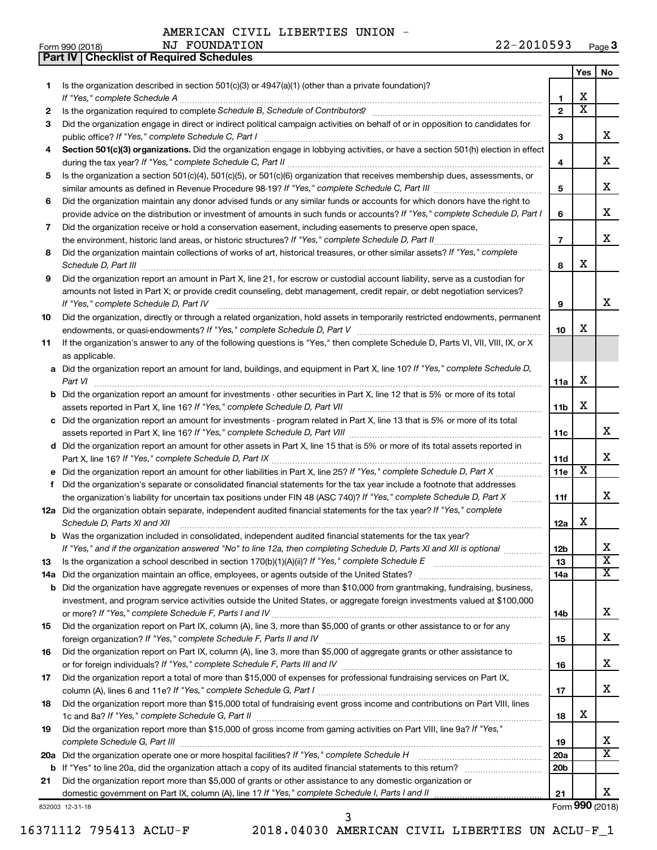**Part IV Checklist of Required Schedules**

NJ FOUNDATION

|     |                                                                                                                                                                                                                                           |                 | Yes                   | No                      |
|-----|-------------------------------------------------------------------------------------------------------------------------------------------------------------------------------------------------------------------------------------------|-----------------|-----------------------|-------------------------|
| 1   | Is the organization described in section $501(c)(3)$ or $4947(a)(1)$ (other than a private foundation)?                                                                                                                                   |                 |                       |                         |
|     | If "Yes," complete Schedule A                                                                                                                                                                                                             | 1               | x                     |                         |
| 2   |                                                                                                                                                                                                                                           | $\overline{2}$  | $\overline{\text{x}}$ |                         |
| З   | Did the organization engage in direct or indirect political campaign activities on behalf of or in opposition to candidates for                                                                                                           |                 |                       |                         |
|     | public office? If "Yes," complete Schedule C, Part I                                                                                                                                                                                      | 3               |                       | x                       |
| 4   | Section 501(c)(3) organizations. Did the organization engage in lobbying activities, or have a section 501(h) election in effect                                                                                                          |                 |                       |                         |
|     |                                                                                                                                                                                                                                           | 4               |                       | x                       |
| 5   | Is the organization a section 501(c)(4), 501(c)(5), or 501(c)(6) organization that receives membership dues, assessments, or                                                                                                              |                 |                       | x                       |
|     |                                                                                                                                                                                                                                           | 5               |                       |                         |
| 6   | Did the organization maintain any donor advised funds or any similar funds or accounts for which donors have the right to                                                                                                                 | 6               |                       | x                       |
| 7   | provide advice on the distribution or investment of amounts in such funds or accounts? If "Yes," complete Schedule D, Part I<br>Did the organization receive or hold a conservation easement, including easements to preserve open space, |                 |                       |                         |
|     | the environment, historic land areas, or historic structures? If "Yes," complete Schedule D, Part II                                                                                                                                      | $\overline{7}$  |                       | x                       |
| 8   | Did the organization maintain collections of works of art, historical treasures, or other similar assets? If "Yes," complete                                                                                                              |                 |                       |                         |
|     | Schedule D, Part III <b>Process Construction Construction Construction</b> Construction Construction Construction Construction Construction Construction Construction Construction Construction Construction Construction Construct       | 8               | x                     |                         |
| 9   | Did the organization report an amount in Part X, line 21, for escrow or custodial account liability, serve as a custodian for                                                                                                             |                 |                       |                         |
|     | amounts not listed in Part X; or provide credit counseling, debt management, credit repair, or debt negotiation services?                                                                                                                 |                 |                       |                         |
|     | If "Yes," complete Schedule D, Part IV                                                                                                                                                                                                    | 9               |                       | x                       |
| 10  | Did the organization, directly or through a related organization, hold assets in temporarily restricted endowments, permanent                                                                                                             |                 |                       |                         |
|     |                                                                                                                                                                                                                                           | 10              | x                     |                         |
| 11  | If the organization's answer to any of the following questions is "Yes," then complete Schedule D, Parts VI, VII, VIII, IX, or X                                                                                                          |                 |                       |                         |
|     | as applicable.                                                                                                                                                                                                                            |                 |                       |                         |
|     | a Did the organization report an amount for land, buildings, and equipment in Part X, line 10? If "Yes," complete Schedule D,                                                                                                             |                 |                       |                         |
|     |                                                                                                                                                                                                                                           | 11a             | х                     |                         |
|     | <b>b</b> Did the organization report an amount for investments - other securities in Part X, line 12 that is 5% or more of its total                                                                                                      |                 |                       |                         |
|     |                                                                                                                                                                                                                                           | 11b             | х                     |                         |
|     | c Did the organization report an amount for investments - program related in Part X, line 13 that is 5% or more of its total                                                                                                              |                 |                       |                         |
|     |                                                                                                                                                                                                                                           | 11c             |                       | x                       |
|     | d Did the organization report an amount for other assets in Part X, line 15 that is 5% or more of its total assets reported in                                                                                                            |                 |                       | x                       |
|     |                                                                                                                                                                                                                                           | 11d             | X                     |                         |
|     | Did the organization's separate or consolidated financial statements for the tax year include a footnote that addresses                                                                                                                   | 11e             |                       |                         |
| f   | the organization's liability for uncertain tax positions under FIN 48 (ASC 740)? If "Yes," complete Schedule D, Part X                                                                                                                    | 11f             |                       | x                       |
|     | 12a Did the organization obtain separate, independent audited financial statements for the tax year? If "Yes," complete                                                                                                                   |                 |                       |                         |
|     | Schedule D, Parts XI and XII                                                                                                                                                                                                              | 12a             | x                     |                         |
|     | <b>b</b> Was the organization included in consolidated, independent audited financial statements for the tax year?                                                                                                                        |                 |                       |                         |
|     | If "Yes," and if the organization answered "No" to line 12a, then completing Schedule D, Parts XI and XII is optional                                                                                                                     | 12 <sub>b</sub> |                       | х                       |
| 13  |                                                                                                                                                                                                                                           | 13              |                       | $\overline{\texttt{x}}$ |
| 14a |                                                                                                                                                                                                                                           | 14a             |                       | x                       |
| b   | Did the organization have aggregate revenues or expenses of more than \$10,000 from grantmaking, fundraising, business,                                                                                                                   |                 |                       |                         |
|     | investment, and program service activities outside the United States, or aggregate foreign investments valued at \$100,000                                                                                                                |                 |                       |                         |
|     |                                                                                                                                                                                                                                           | 14b             |                       | х                       |
| 15  | Did the organization report on Part IX, column (A), line 3, more than \$5,000 of grants or other assistance to or for any                                                                                                                 |                 |                       |                         |
|     |                                                                                                                                                                                                                                           | 15              |                       | х                       |
| 16  | Did the organization report on Part IX, column (A), line 3, more than \$5,000 of aggregate grants or other assistance to                                                                                                                  |                 |                       |                         |
|     |                                                                                                                                                                                                                                           | 16              |                       | х                       |
| 17  | Did the organization report a total of more than \$15,000 of expenses for professional fundraising services on Part IX,                                                                                                                   |                 |                       | х                       |
|     |                                                                                                                                                                                                                                           | 17              |                       |                         |
| 18  | Did the organization report more than \$15,000 total of fundraising event gross income and contributions on Part VIII, lines                                                                                                              | 18              | x                     |                         |
| 19  | Did the organization report more than \$15,000 of gross income from gaming activities on Part VIII, line 9a? If "Yes,"                                                                                                                    |                 |                       |                         |
|     |                                                                                                                                                                                                                                           | 19              |                       | x                       |
|     | 20a Did the organization operate one or more hospital facilities? If "Yes," complete Schedule H                                                                                                                                           | 20a             |                       | X                       |
|     |                                                                                                                                                                                                                                           | 20b             |                       |                         |
| 21  | Did the organization report more than \$5,000 of grants or other assistance to any domestic organization or                                                                                                                               |                 |                       |                         |
|     |                                                                                                                                                                                                                                           | 21              |                       | x                       |
|     | 832003 12-31-18                                                                                                                                                                                                                           |                 |                       | Form 990 (2018)         |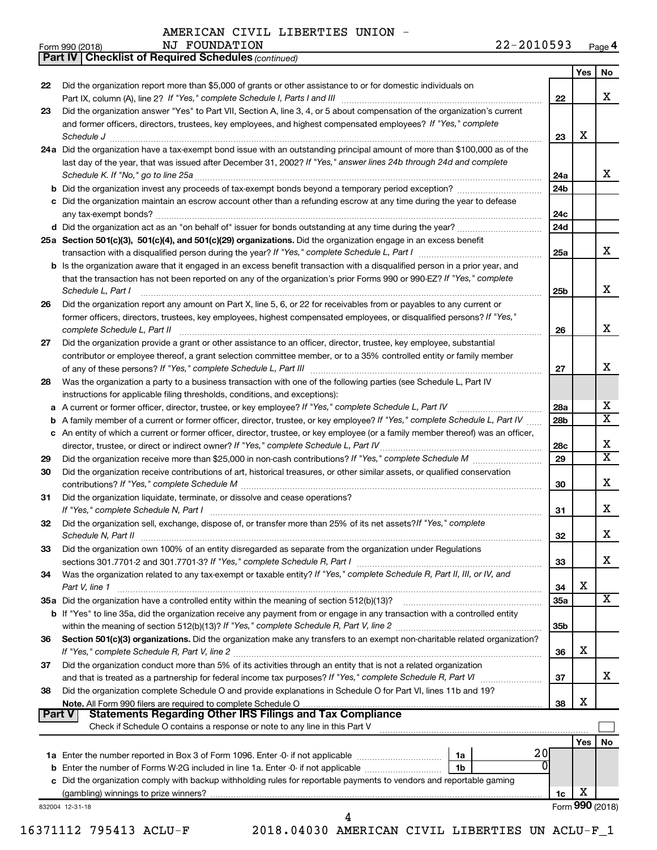|        | <b>Part IV   Checklist of Required Schedules (continued)</b>                                                                                                                                                                                                                                                                                                                                                                                              |                 |     |                         |
|--------|-----------------------------------------------------------------------------------------------------------------------------------------------------------------------------------------------------------------------------------------------------------------------------------------------------------------------------------------------------------------------------------------------------------------------------------------------------------|-----------------|-----|-------------------------|
|        |                                                                                                                                                                                                                                                                                                                                                                                                                                                           |                 | Yes | No                      |
| 22     | Did the organization report more than \$5,000 of grants or other assistance to or for domestic individuals on                                                                                                                                                                                                                                                                                                                                             |                 |     |                         |
|        |                                                                                                                                                                                                                                                                                                                                                                                                                                                           | 22              |     | х                       |
| 23     | Did the organization answer "Yes" to Part VII, Section A, line 3, 4, or 5 about compensation of the organization's current                                                                                                                                                                                                                                                                                                                                |                 |     |                         |
|        | and former officers, directors, trustees, key employees, and highest compensated employees? If "Yes," complete                                                                                                                                                                                                                                                                                                                                            |                 |     |                         |
|        | $\textit{Schedule J} \textit{ \textbf{}} \textit{ \textbf{}} \textit{ \textbf{}} \textit{ \textbf{}} \textit{ \textbf{}} \textit{ \textbf{}} \textit{ \textbf{}} \textit{ \textbf{}} \textit{ \textbf{}} \textit{ \textbf{}} \textit{ \textbf{}} \textit{ \textbf{}} \textit{ \textbf{}} \textit{ \textbf{}} \textit{ \textbf{}} \textit{ \textbf{}} \textit{ \textbf{}} \textit{ \textbf{}} \textit{ \textbf{}} \textit{ \textbf{}} \textit{ \textbf{}}$ | 23              | X   |                         |
|        | 24a Did the organization have a tax-exempt bond issue with an outstanding principal amount of more than \$100,000 as of the                                                                                                                                                                                                                                                                                                                               |                 |     |                         |
|        | last day of the year, that was issued after December 31, 2002? If "Yes," answer lines 24b through 24d and complete                                                                                                                                                                                                                                                                                                                                        |                 |     |                         |
|        |                                                                                                                                                                                                                                                                                                                                                                                                                                                           | 24a             |     | x                       |
|        |                                                                                                                                                                                                                                                                                                                                                                                                                                                           | 24 <sub>b</sub> |     |                         |
|        | Did the organization maintain an escrow account other than a refunding escrow at any time during the year to defease                                                                                                                                                                                                                                                                                                                                      |                 |     |                         |
|        |                                                                                                                                                                                                                                                                                                                                                                                                                                                           | 24c             |     |                         |
|        |                                                                                                                                                                                                                                                                                                                                                                                                                                                           | 24d             |     |                         |
|        |                                                                                                                                                                                                                                                                                                                                                                                                                                                           |                 |     |                         |
|        | 25a Section 501(c)(3), 501(c)(4), and 501(c)(29) organizations. Did the organization engage in an excess benefit                                                                                                                                                                                                                                                                                                                                          |                 |     | x                       |
|        |                                                                                                                                                                                                                                                                                                                                                                                                                                                           | 25a             |     |                         |
|        | <b>b</b> Is the organization aware that it engaged in an excess benefit transaction with a disqualified person in a prior year, and                                                                                                                                                                                                                                                                                                                       |                 |     |                         |
|        | that the transaction has not been reported on any of the organization's prior Forms 990 or 990-EZ? If "Yes," complete                                                                                                                                                                                                                                                                                                                                     |                 |     |                         |
|        | Schedule L, Part I                                                                                                                                                                                                                                                                                                                                                                                                                                        | 25 <sub>b</sub> |     | x                       |
| 26     | Did the organization report any amount on Part X, line 5, 6, or 22 for receivables from or payables to any current or                                                                                                                                                                                                                                                                                                                                     |                 |     |                         |
|        | former officers, directors, trustees, key employees, highest compensated employees, or disqualified persons? If "Yes,"                                                                                                                                                                                                                                                                                                                                    |                 |     |                         |
|        | complete Schedule L, Part II                                                                                                                                                                                                                                                                                                                                                                                                                              | 26              |     | х                       |
| 27     | Did the organization provide a grant or other assistance to an officer, director, trustee, key employee, substantial                                                                                                                                                                                                                                                                                                                                      |                 |     |                         |
|        | contributor or employee thereof, a grant selection committee member, or to a 35% controlled entity or family member                                                                                                                                                                                                                                                                                                                                       |                 |     |                         |
|        |                                                                                                                                                                                                                                                                                                                                                                                                                                                           | 27              |     | х                       |
| 28     | Was the organization a party to a business transaction with one of the following parties (see Schedule L, Part IV                                                                                                                                                                                                                                                                                                                                         |                 |     |                         |
|        | instructions for applicable filing thresholds, conditions, and exceptions):                                                                                                                                                                                                                                                                                                                                                                               |                 |     |                         |
| а      | A current or former officer, director, trustee, or key employee? If "Yes," complete Schedule L, Part IV                                                                                                                                                                                                                                                                                                                                                   | 28a             |     | х                       |
| b      | A family member of a current or former officer, director, trustee, or key employee? If "Yes," complete Schedule L, Part IV                                                                                                                                                                                                                                                                                                                                | 28 <sub>b</sub> |     | $\overline{\textbf{X}}$ |
| с      | An entity of which a current or former officer, director, trustee, or key employee (or a family member thereof) was an officer,                                                                                                                                                                                                                                                                                                                           |                 |     |                         |
|        | director, trustee, or direct or indirect owner? If "Yes," complete Schedule L, Part IV.                                                                                                                                                                                                                                                                                                                                                                   | 28c             |     | х                       |
| 29     |                                                                                                                                                                                                                                                                                                                                                                                                                                                           | 29              |     | X                       |
| 30     | Did the organization receive contributions of art, historical treasures, or other similar assets, or qualified conservation                                                                                                                                                                                                                                                                                                                               |                 |     |                         |
|        |                                                                                                                                                                                                                                                                                                                                                                                                                                                           | 30              |     | х                       |
| 31     | Did the organization liquidate, terminate, or dissolve and cease operations?                                                                                                                                                                                                                                                                                                                                                                              |                 |     |                         |
|        |                                                                                                                                                                                                                                                                                                                                                                                                                                                           | 31              |     | х                       |
| 32     | Did the organization sell, exchange, dispose of, or transfer more than 25% of its net assets? If "Yes," complete                                                                                                                                                                                                                                                                                                                                          |                 |     |                         |
|        | Schedule N, Part II                                                                                                                                                                                                                                                                                                                                                                                                                                       | 32              |     | Χ                       |
| 33     | Did the organization own 100% of an entity disregarded as separate from the organization under Regulations                                                                                                                                                                                                                                                                                                                                                |                 |     |                         |
|        |                                                                                                                                                                                                                                                                                                                                                                                                                                                           | 33              |     | x                       |
| 34     | Was the organization related to any tax-exempt or taxable entity? If "Yes," complete Schedule R, Part II, III, or IV, and                                                                                                                                                                                                                                                                                                                                 |                 |     |                         |
|        | Part V, line 1                                                                                                                                                                                                                                                                                                                                                                                                                                            | 34              | X   |                         |
|        | 35a Did the organization have a controlled entity within the meaning of section 512(b)(13)?                                                                                                                                                                                                                                                                                                                                                               | 35a             |     | x                       |
|        | b If "Yes" to line 35a, did the organization receive any payment from or engage in any transaction with a controlled entity                                                                                                                                                                                                                                                                                                                               |                 |     |                         |
|        |                                                                                                                                                                                                                                                                                                                                                                                                                                                           | 35b             |     |                         |
| 36     | Section 501(c)(3) organizations. Did the organization make any transfers to an exempt non-charitable related organization?                                                                                                                                                                                                                                                                                                                                |                 |     |                         |
|        |                                                                                                                                                                                                                                                                                                                                                                                                                                                           | 36              | X   |                         |
| 37     | Did the organization conduct more than 5% of its activities through an entity that is not a related organization                                                                                                                                                                                                                                                                                                                                          |                 |     |                         |
|        |                                                                                                                                                                                                                                                                                                                                                                                                                                                           | 37              |     | x                       |
| 38     | Did the organization complete Schedule O and provide explanations in Schedule O for Part VI, lines 11b and 19?                                                                                                                                                                                                                                                                                                                                            |                 |     |                         |
|        |                                                                                                                                                                                                                                                                                                                                                                                                                                                           | 38              | х   |                         |
| Part V |                                                                                                                                                                                                                                                                                                                                                                                                                                                           |                 |     |                         |
|        | Check if Schedule O contains a response or note to any line in this Part V                                                                                                                                                                                                                                                                                                                                                                                |                 |     |                         |
|        |                                                                                                                                                                                                                                                                                                                                                                                                                                                           |                 | Yes | No                      |
|        | 20<br>1a                                                                                                                                                                                                                                                                                                                                                                                                                                                  |                 |     |                         |
|        | Enter the number of Forms W-2G included in line 1a. Enter -0- if not applicable<br>1b                                                                                                                                                                                                                                                                                                                                                                     |                 |     |                         |
|        | Did the organization comply with backup withholding rules for reportable payments to vendors and reportable gaming                                                                                                                                                                                                                                                                                                                                        |                 |     |                         |
|        |                                                                                                                                                                                                                                                                                                                                                                                                                                                           | 1c              | х   |                         |
|        | 832004 12-31-18                                                                                                                                                                                                                                                                                                                                                                                                                                           |                 |     | Form 990 (2018)         |
|        | 4                                                                                                                                                                                                                                                                                                                                                                                                                                                         |                 |     |                         |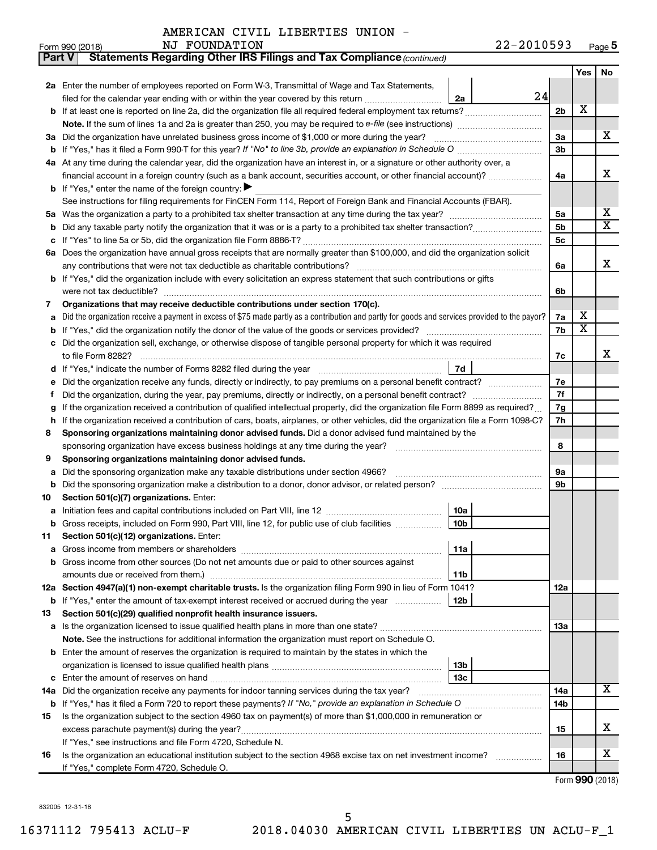| Part V | Statements Regarding Other IRS Filings and Tax Compliance (continued)                                                                                                         |                 |                 |     |                         |
|--------|-------------------------------------------------------------------------------------------------------------------------------------------------------------------------------|-----------------|-----------------|-----|-------------------------|
|        |                                                                                                                                                                               |                 |                 | Yes | No.                     |
|        | 2a Enter the number of employees reported on Form W-3, Transmittal of Wage and Tax Statements,                                                                                |                 |                 |     |                         |
|        | filed for the calendar year ending with or within the year covered by this return                                                                                             | 24<br>2a        |                 |     |                         |
|        | b If at least one is reported on line 2a, did the organization file all required federal employment tax returns?                                                              |                 | 2b              | X   |                         |
|        |                                                                                                                                                                               |                 |                 |     |                         |
| За     | Did the organization have unrelated business gross income of \$1,000 or more during the year?                                                                                 |                 | За              |     | х                       |
| b      | If "Yes," has it filed a Form 990-T for this year? If "No" to line 3b, provide an explanation in Schedule O manumum                                                           |                 | 3b              |     |                         |
|        | 4a At any time during the calendar year, did the organization have an interest in, or a signature or other authority over, a                                                  |                 |                 |     |                         |
|        | financial account in a foreign country (such as a bank account, securities account, or other financial account)?                                                              |                 | 4a              |     | х                       |
|        | <b>b</b> If "Yes," enter the name of the foreign country: $\blacktriangleright$                                                                                               |                 |                 |     |                         |
|        | See instructions for filing requirements for FinCEN Form 114, Report of Foreign Bank and Financial Accounts (FBAR).                                                           |                 |                 |     |                         |
| 5a     |                                                                                                                                                                               |                 | 5a              |     | х                       |
| b      |                                                                                                                                                                               |                 | 5b              |     | $\overline{\mathbf{X}}$ |
| с      |                                                                                                                                                                               |                 | 5с              |     |                         |
|        | 6a Does the organization have annual gross receipts that are normally greater than \$100,000, and did the organization solicit                                                |                 |                 |     |                         |
|        |                                                                                                                                                                               |                 | 6a              |     | х                       |
|        | <b>b</b> If "Yes," did the organization include with every solicitation an express statement that such contributions or gifts                                                 |                 |                 |     |                         |
|        |                                                                                                                                                                               |                 | 6b              |     |                         |
| 7      | Organizations that may receive deductible contributions under section 170(c).                                                                                                 |                 |                 |     |                         |
| а      | Did the organization receive a payment in excess of \$75 made partly as a contribution and partly for goods and services provided to the payor?                               |                 | 7a              | x   |                         |
| b      |                                                                                                                                                                               |                 | 7b              | х   |                         |
|        | c Did the organization sell, exchange, or otherwise dispose of tangible personal property for which it was required                                                           |                 |                 |     |                         |
|        |                                                                                                                                                                               |                 | 7c              |     | х                       |
|        |                                                                                                                                                                               | 7d              |                 |     |                         |
| е      | Did the organization receive any funds, directly or indirectly, to pay premiums on a personal benefit contract?                                                               |                 | 7е              |     |                         |
| f.     |                                                                                                                                                                               |                 | 7f              |     |                         |
| g      | If the organization received a contribution of qualified intellectual property, did the organization file Form 8899 as required?                                              |                 | 7g              |     |                         |
| h      | If the organization received a contribution of cars, boats, airplanes, or other vehicles, did the organization file a Form 1098-C?                                            |                 | 7h              |     |                         |
| 8      | Sponsoring organizations maintaining donor advised funds. Did a donor advised fund maintained by the                                                                          |                 |                 |     |                         |
|        |                                                                                                                                                                               |                 | 8               |     |                         |
| 9      | Sponsoring organizations maintaining donor advised funds.                                                                                                                     |                 |                 |     |                         |
| а      |                                                                                                                                                                               |                 | 9а              |     |                         |
| b      | Did the sponsoring organization make a distribution to a donor, donor advisor, or related person?                                                                             |                 | 9b              |     |                         |
| 10     | Section 501(c)(7) organizations. Enter:                                                                                                                                       |                 |                 |     |                         |
| а      |                                                                                                                                                                               | 10a             |                 |     |                         |
|        | b Gross receipts, included on Form 990, Part VIII, line 12, for public use of club facilities                                                                                 | 10b             |                 |     |                         |
| 11     | Section 501(c)(12) organizations. Enter:                                                                                                                                      |                 |                 |     |                         |
| а      |                                                                                                                                                                               | 11a             |                 |     |                         |
|        | b Gross income from other sources (Do not net amounts due or paid to other sources against                                                                                    |                 |                 |     |                         |
|        |                                                                                                                                                                               | 11b             |                 |     |                         |
|        | 12a Section 4947(a)(1) non-exempt charitable trusts. Is the organization filing Form 990 in lieu of Form 1041?                                                                |                 | 12a             |     |                         |
|        | <b>b</b> If "Yes," enter the amount of tax-exempt interest received or accrued during the year                                                                                | 12b             |                 |     |                         |
| 13     | Section 501(c)(29) qualified nonprofit health insurance issuers.                                                                                                              |                 |                 |     |                         |
|        | a Is the organization licensed to issue qualified health plans in more than one state?                                                                                        |                 | 13a             |     |                         |
|        | Note. See the instructions for additional information the organization must report on Schedule O.                                                                             |                 |                 |     |                         |
|        | <b>b</b> Enter the amount of reserves the organization is required to maintain by the states in which the                                                                     |                 |                 |     |                         |
|        |                                                                                                                                                                               | 13 <sub>b</sub> |                 |     |                         |
| с      |                                                                                                                                                                               | 13с             |                 |     | x                       |
|        | 14a Did the organization receive any payments for indoor tanning services during the tax year?                                                                                |                 | 14a             |     |                         |
|        |                                                                                                                                                                               |                 | 14 <sub>b</sub> |     |                         |
| 15     | Is the organization subject to the section 4960 tax on payment(s) of more than \$1,000,000 in remuneration or                                                                 |                 |                 |     | х                       |
|        |                                                                                                                                                                               |                 | 15              |     |                         |
| 16     | If "Yes," see instructions and file Form 4720, Schedule N.<br>Is the organization an educational institution subject to the section 4968 excise tax on net investment income? |                 | 16              |     | x                       |
|        | If "Yes," complete Form 4720, Schedule O.                                                                                                                                     |                 |                 |     |                         |
|        |                                                                                                                                                                               |                 |                 |     |                         |

Form (2018) **990**

832005 12-31-18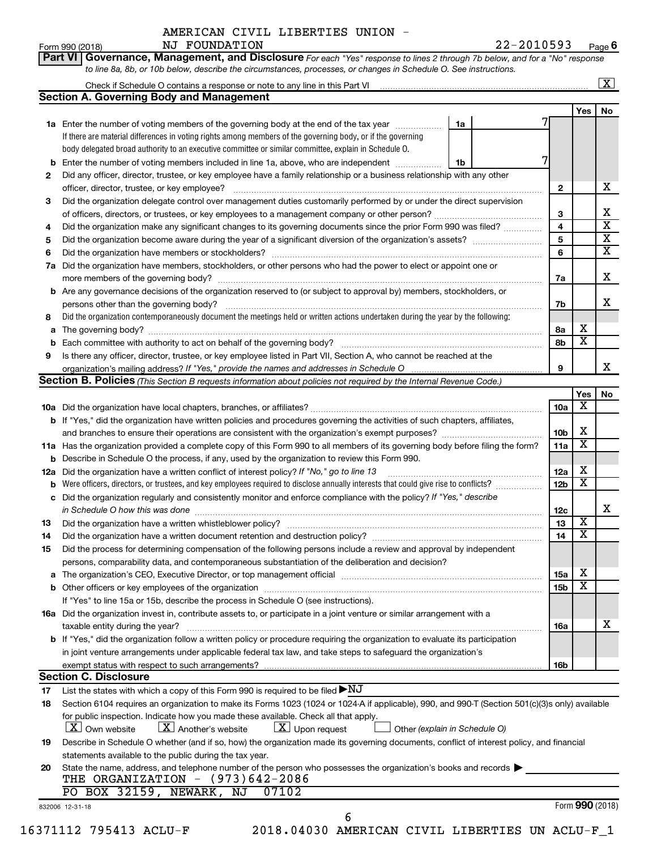**Part VI** Governance, Management, and Disclosure For each "Yes" response to lines 2 through 7b below, and for a "No" response *to line 8a, 8b, or 10b below, describe the circumstances, processes, or changes in Schedule O. See instructions.*

|     |                                                                                                                                                               |    |                 |                         | $\overline{\textbf{X}}$ |
|-----|---------------------------------------------------------------------------------------------------------------------------------------------------------------|----|-----------------|-------------------------|-------------------------|
|     | <b>Section A. Governing Body and Management</b>                                                                                                               |    |                 |                         |                         |
|     |                                                                                                                                                               |    |                 | Yes                     | No                      |
|     | 1a Enter the number of voting members of the governing body at the end of the tax year                                                                        | 1a |                 |                         |                         |
|     | If there are material differences in voting rights among members of the governing body, or if the governing                                                   |    |                 |                         |                         |
|     | body delegated broad authority to an executive committee or similar committee, explain in Schedule O.                                                         |    |                 |                         |                         |
|     | <b>b</b> Enter the number of voting members included in line 1a, above, who are independent <i>manameron</i>                                                  | 1b |                 |                         |                         |
| 2   | Did any officer, director, trustee, or key employee have a family relationship or a business relationship with any other                                      |    |                 |                         |                         |
|     | officer, director, trustee, or key employee?                                                                                                                  |    | $\mathbf{2}$    |                         |                         |
| 3   | Did the organization delegate control over management duties customarily performed by or under the direct supervision                                         |    |                 |                         |                         |
|     |                                                                                                                                                               |    | 3               |                         |                         |
| 4   | Did the organization make any significant changes to its governing documents since the prior Form 990 was filed?                                              |    | 4               |                         |                         |
| 5   |                                                                                                                                                               |    | 5               |                         |                         |
| 6   |                                                                                                                                                               |    | 6               |                         |                         |
| 7a  | Did the organization have members, stockholders, or other persons who had the power to elect or appoint one or                                                |    |                 |                         |                         |
|     |                                                                                                                                                               |    | 7a              |                         |                         |
|     | <b>b</b> Are any governance decisions of the organization reserved to (or subject to approval by) members, stockholders, or                                   |    |                 |                         |                         |
|     | persons other than the governing body?                                                                                                                        |    | 7b              |                         |                         |
| 8   | Did the organization contemporaneously document the meetings held or written actions undertaken during the year by the following:                             |    |                 |                         |                         |
|     |                                                                                                                                                               |    | 8a              | x                       |                         |
|     |                                                                                                                                                               |    | 8b              | $\overline{\mathbf{x}}$ |                         |
| 9   | Is there any officer, director, trustee, or key employee listed in Part VII, Section A, who cannot be reached at the                                          |    |                 |                         |                         |
|     |                                                                                                                                                               |    | 9               |                         |                         |
|     | Section B. Policies (This Section B requests information about policies not required by the Internal Revenue Code.)                                           |    |                 |                         |                         |
|     |                                                                                                                                                               |    |                 | Yes                     |                         |
|     |                                                                                                                                                               |    | 10a             | х                       |                         |
|     | <b>b</b> If "Yes," did the organization have written policies and procedures governing the activities of such chapters, affiliates,                           |    |                 |                         |                         |
|     |                                                                                                                                                               |    | 10 <sub>b</sub> | х                       |                         |
|     | 11a Has the organization provided a complete copy of this Form 990 to all members of its governing body before filing the form?                               |    | 11a             | $\overline{\textbf{x}}$ |                         |
|     | <b>b</b> Describe in Schedule O the process, if any, used by the organization to review this Form 990.                                                        |    |                 |                         |                         |
| 12a | Did the organization have a written conflict of interest policy? If "No," go to line 13                                                                       |    | 12a             | x                       |                         |
|     | Were officers, directors, or trustees, and key employees required to disclose annually interests that could give rise to conflicts?                           |    | 12 <sub>b</sub> | $\overline{\text{x}}$   |                         |
| b   | c Did the organization regularly and consistently monitor and enforce compliance with the policy? If "Yes," describe                                          |    |                 |                         |                         |
|     |                                                                                                                                                               |    |                 |                         |                         |
|     | in Schedule O how this was done manufactured and continuum and contact the way to the set of the set of the schedule O how this was done                      |    | 12c             | $\overline{\mathbf{X}}$ |                         |
| 13  |                                                                                                                                                               |    | 13              | $\overline{\textbf{x}}$ |                         |
| 14  | Did the organization have a written document retention and destruction policy? [11] manufaction manufaction in                                                |    | 14              |                         |                         |
| 15  | Did the process for determining compensation of the following persons include a review and approval by independent                                            |    |                 |                         |                         |
|     | persons, comparability data, and contemporaneous substantiation of the deliberation and decision?                                                             |    |                 |                         |                         |
|     |                                                                                                                                                               |    | <b>15a</b>      | x                       |                         |
|     |                                                                                                                                                               |    | 15b             | $\overline{\textbf{x}}$ |                         |
|     | If "Yes" to line 15a or 15b, describe the process in Schedule O (see instructions).                                                                           |    |                 |                         |                         |
|     | 16a Did the organization invest in, contribute assets to, or participate in a joint venture or similar arrangement with a                                     |    |                 |                         |                         |
|     | taxable entity during the year?                                                                                                                               |    | 16a             |                         |                         |
|     |                                                                                                                                                               |    |                 |                         |                         |
|     | b If "Yes," did the organization follow a written policy or procedure requiring the organization to evaluate its participation                                |    |                 |                         |                         |
|     | in joint venture arrangements under applicable federal tax law, and take steps to safeguard the organization's                                                |    |                 |                         |                         |
|     | exempt status with respect to such arrangements?                                                                                                              |    | 16b             |                         |                         |
|     | <b>Section C. Disclosure</b>                                                                                                                                  |    |                 |                         |                         |
| 17  | List the states with which a copy of this Form 990 is required to be filed $\blacktriangleright\text{NJ}$                                                     |    |                 |                         |                         |
| 18  | Section 6104 requires an organization to make its Forms 1023 (1024 or 1024 A if applicable), 990, and 990-T (Section 501(c)(3)s only) available               |    |                 |                         |                         |
|     |                                                                                                                                                               |    |                 |                         |                         |
|     | for public inspection. Indicate how you made these available. Check all that apply.<br>$\lfloor \mathbf{X} \rfloor$ Another's website<br><b>X</b> Own website |    |                 |                         |                         |
|     | $\lfloor x \rfloor$ Upon request<br>Other (explain in Schedule O)                                                                                             |    |                 |                         |                         |
| 19  | Describe in Schedule O whether (and if so, how) the organization made its governing documents, conflict of interest policy, and financial                     |    |                 |                         |                         |
|     | statements available to the public during the tax year.                                                                                                       |    |                 |                         |                         |
| 20  | State the name, address, and telephone number of the person who possesses the organization's books and records                                                |    |                 |                         |                         |
|     | THE ORGANIZATION $-$ (973)642-2086                                                                                                                            |    |                 |                         |                         |
|     | PO BOX 32159, NEWARK, NJ<br>07102<br>832006 12-31-18                                                                                                          |    |                 | Form 990 (2018)         |                         |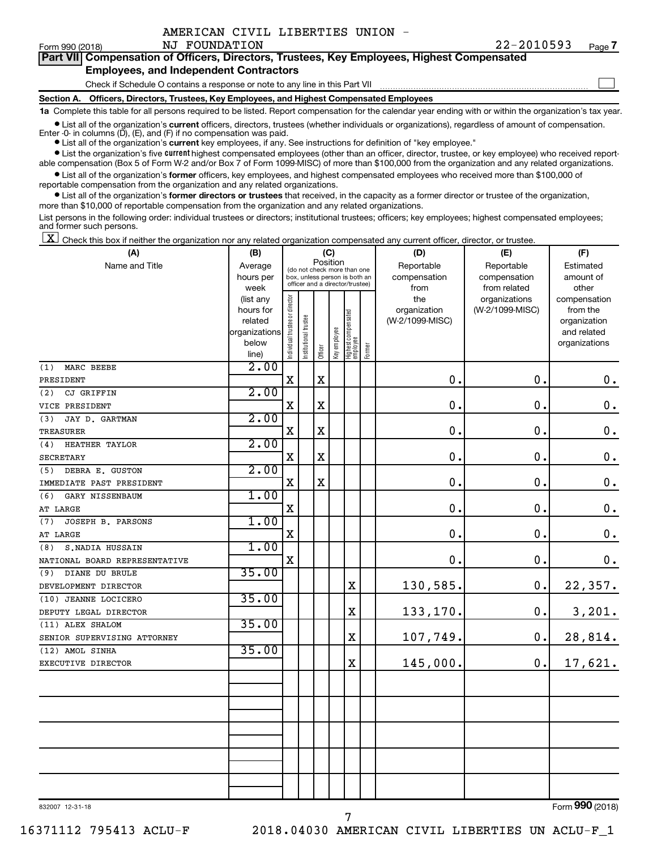|  | AMERICAN CIVIL LIBERTIES UNION |  |
|--|--------------------------------|--|
|  |                                |  |

 $\Box$ 

| Form 990 (2018) |  |  | NJ FOUNDATION |  | 77-7010293                                                                                 | Page |
|-----------------|--|--|---------------|--|--------------------------------------------------------------------------------------------|------|
|                 |  |  |               |  | Part VII Compensation of Officers, Directors, Trustees, Key Employees, Highest Compensated |      |

### **Employees, and Independent Contractors**

Check if Schedule O contains a response or note to any line in this Part VII

**Section A. Officers, Directors, Trustees, Key Employees, and Highest Compensated Employees**

**1a**  Complete this table for all persons required to be listed. Report compensation for the calendar year ending with or within the organization's tax year.

**•** List all of the organization's current officers, directors, trustees (whether individuals or organizations), regardless of amount of compensation. Enter -0- in columns  $(D)$ ,  $(E)$ , and  $(F)$  if no compensation was paid.

**•** List all of the organization's **current** key employees, if any. See instructions for definition of "key employee."

**•** List the organization's five current highest compensated employees (other than an officer, director, trustee, or key employee) who received reportable compensation (Box 5 of Form W-2 and/or Box 7 of Form 1099-MISC) of more than \$100,000 from the organization and any related organizations.

**•** List all of the organization's former officers, key employees, and highest compensated employees who received more than \$100,000 of reportable compensation from the organization and any related organizations.

**•** List all of the organization's former directors or trustees that received, in the capacity as a former director or trustee of the organization, more than \$10,000 of reportable compensation from the organization and any related organizations.

List persons in the following order: individual trustees or directors; institutional trustees; officers; key employees; highest compensated employees; and former such persons.

|  |  |  | $\boxed{\mathbf{X}}$ Check this box if neither the organization nor any related organization compensated any current officer, director, or trustee. |  |  |  |  |  |
|--|--|--|-----------------------------------------------------------------------------------------------------------------------------------------------------|--|--|--|--|--|
|--|--|--|-----------------------------------------------------------------------------------------------------------------------------------------------------|--|--|--|--|--|

| (A)                           | (B)                    |                                |                                                                  |             | (C)          |                                 |        | (D)                 | (E)                              | (F)                      |
|-------------------------------|------------------------|--------------------------------|------------------------------------------------------------------|-------------|--------------|---------------------------------|--------|---------------------|----------------------------------|--------------------------|
| Name and Title                | Average                |                                | (do not check more than one                                      | Position    |              |                                 |        | Reportable          | Reportable                       | Estimated                |
|                               | hours per              |                                | box, unless person is both an<br>officer and a director/trustee) |             |              |                                 |        | compensation        | compensation                     | amount of                |
|                               | week                   |                                |                                                                  |             |              |                                 |        | from                | from related                     | other                    |
|                               | (list any<br>hours for |                                |                                                                  |             |              |                                 |        | the<br>organization | organizations<br>(W-2/1099-MISC) | compensation<br>from the |
|                               | related                |                                |                                                                  |             |              |                                 |        | (W-2/1099-MISC)     |                                  | organization             |
|                               | organizations          |                                |                                                                  |             |              |                                 |        |                     |                                  | and related              |
|                               | below                  | Individual trustee or director | nstitutional trustee                                             |             | Key employee | Highest compensated<br>employee |        |                     |                                  | organizations            |
|                               | line)                  |                                |                                                                  | Officer     |              |                                 | Former |                     |                                  |                          |
| MARC BEEBE<br>(1)             | 2.00                   |                                |                                                                  |             |              |                                 |        |                     |                                  |                          |
| PRESIDENT                     |                        | X                              |                                                                  | $\mathbf X$ |              |                                 |        | $\mathbf 0$ .       | $\mathbf 0$ .                    | $\boldsymbol{0}$ .       |
| CJ GRIFFIN<br>(2)             | 2.00                   |                                |                                                                  |             |              |                                 |        |                     |                                  |                          |
| VICE PRESIDENT                |                        | $\mathbf X$                    |                                                                  | X           |              |                                 |        | 0                   | $\mathbf 0$ .                    | $\boldsymbol{0}$ .       |
| JAY D. GARTMAN<br>(3)         | 2.00                   |                                |                                                                  |             |              |                                 |        |                     |                                  |                          |
| <b>TREASURER</b>              |                        | X                              |                                                                  | $\mathbf X$ |              |                                 |        | $\mathbf 0$         | $\mathbf 0$ .                    | $\boldsymbol{0}$ .       |
| (4)<br><b>HEATHER TAYLOR</b>  | 2.00                   |                                |                                                                  |             |              |                                 |        |                     |                                  |                          |
| <b>SECRETARY</b>              |                        | X                              |                                                                  | $\mathbf x$ |              |                                 |        | $\mathbf 0$ .       | $\mathbf 0$ .                    | $\boldsymbol{0}$ .       |
| DEBRA E. GUSTON<br>(5)        | 2.00                   |                                |                                                                  |             |              |                                 |        |                     |                                  |                          |
| IMMEDIATE PAST PRESIDENT      |                        | X                              |                                                                  | X           |              |                                 |        | $\mathbf 0$         | $\mathbf 0$ .                    | $\boldsymbol{0}$ .       |
| GARY NISSENBAUM<br>(6)        | 1.00                   |                                |                                                                  |             |              |                                 |        |                     |                                  |                          |
| AT LARGE                      |                        | X                              |                                                                  |             |              |                                 |        | $\mathbf 0$         | $\mathbf 0$ .                    | $\mathbf 0$ .            |
| JOSEPH B. PARSONS<br>(7)      | 1.00                   |                                |                                                                  |             |              |                                 |        |                     |                                  |                          |
| AT LARGE                      |                        | X                              |                                                                  |             |              |                                 |        | $\mathbf 0$ .       | $\mathbf 0$ .                    | $\mathbf 0$ .            |
| S.NADIA HUSSAIN<br>(8)        | 1.00                   |                                |                                                                  |             |              |                                 |        |                     |                                  |                          |
| NATIONAL BOARD REPRESENTATIVE |                        | X                              |                                                                  |             |              |                                 |        | $\mathbf 0$ .       | $\mathbf 0$ .                    | 0.                       |
| DIANE DU BRULE<br>(9)         | 35.00                  |                                |                                                                  |             |              |                                 |        |                     |                                  |                          |
| DEVELOPMENT DIRECTOR          |                        |                                |                                                                  |             |              | X                               |        | 130,585.            | 0.                               | 22,357.                  |
| (10) JEANNE LOCICERO          | 35.00                  |                                |                                                                  |             |              |                                 |        |                     |                                  |                          |
| DEPUTY LEGAL DIRECTOR         |                        |                                |                                                                  |             |              | $\mathbf X$                     |        | 133,170.            | 0.                               | 3,201.                   |
| (11) ALEX SHALOM              | 35.00                  |                                |                                                                  |             |              |                                 |        |                     |                                  |                          |
| SENIOR SUPERVISING ATTORNEY   |                        |                                |                                                                  |             |              | $\mathbf X$                     |        | 107,749.            | 0.                               | 28,814.                  |
| (12) AMOL SINHA               | 35.00                  |                                |                                                                  |             |              |                                 |        |                     |                                  |                          |
| EXECUTIVE DIRECTOR            |                        |                                |                                                                  |             |              | $\mathbf X$                     |        | 145,000.            | 0.                               | 17,621.                  |
|                               |                        |                                |                                                                  |             |              |                                 |        |                     |                                  |                          |
|                               |                        |                                |                                                                  |             |              |                                 |        |                     |                                  |                          |
|                               |                        |                                |                                                                  |             |              |                                 |        |                     |                                  |                          |
|                               |                        |                                |                                                                  |             |              |                                 |        |                     |                                  |                          |
|                               |                        |                                |                                                                  |             |              |                                 |        |                     |                                  |                          |
|                               |                        |                                |                                                                  |             |              |                                 |        |                     |                                  |                          |
|                               |                        |                                |                                                                  |             |              |                                 |        |                     |                                  |                          |
|                               |                        |                                |                                                                  |             |              |                                 |        |                     |                                  |                          |
|                               |                        |                                |                                                                  |             |              |                                 |        |                     |                                  |                          |
|                               |                        |                                |                                                                  |             |              |                                 |        |                     |                                  |                          |
|                               |                        |                                |                                                                  |             |              |                                 |        |                     |                                  |                          |

832007 12-31-18

7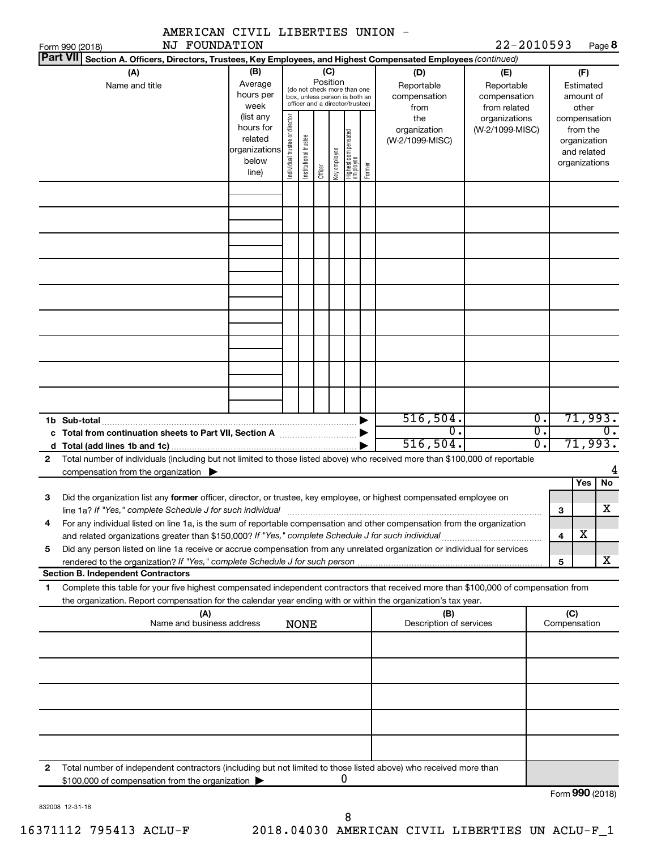|                 | AMERICAN CIVIL LIBERTIES UNION -                                                                                                                                                                                                                       |                                                                      |                                |                       |          |              |                                                                                                 |        |                                           |                                                   |                                            |                                      |                                                                          |                          |
|-----------------|--------------------------------------------------------------------------------------------------------------------------------------------------------------------------------------------------------------------------------------------------------|----------------------------------------------------------------------|--------------------------------|-----------------------|----------|--------------|-------------------------------------------------------------------------------------------------|--------|-------------------------------------------|---------------------------------------------------|--------------------------------------------|--------------------------------------|--------------------------------------------------------------------------|--------------------------|
| Form 990 (2018) | NJ FOUNDATION<br>Part VII Section A. Officers, Directors, Trustees, Key Employees, and Highest Compensated Employees (continued)                                                                                                                       |                                                                      |                                |                       |          |              |                                                                                                 |        |                                           | 22-2010593                                        |                                            |                                      |                                                                          | Page 8                   |
|                 | (A)<br>Name and title                                                                                                                                                                                                                                  | (B)<br>Average<br>hours per<br>week                                  |                                |                       | Position | (C)          | (do not check more than one<br>box, unless person is both an<br>officer and a director/trustee) |        | (D)<br>Reportable<br>compensation<br>from | (E)<br>Reportable<br>compensation<br>from related |                                            |                                      | (F)<br>Estimated<br>amount of<br>other                                   |                          |
|                 |                                                                                                                                                                                                                                                        | (list any<br>hours for<br>related<br>organizations<br>below<br>line) | Individual trustee or director | Institutional trustee | Officer  | Key employee | Highest compensated<br>employee                                                                 | Former | the<br>organization<br>(W-2/1099-MISC)    | organizations<br>(W-2/1099-MISC)                  |                                            |                                      | compensation<br>from the<br>organization<br>and related<br>organizations |                          |
|                 |                                                                                                                                                                                                                                                        |                                                                      |                                |                       |          |              |                                                                                                 |        |                                           |                                                   |                                            |                                      |                                                                          |                          |
|                 |                                                                                                                                                                                                                                                        |                                                                      |                                |                       |          |              |                                                                                                 |        |                                           |                                                   |                                            |                                      |                                                                          |                          |
|                 |                                                                                                                                                                                                                                                        |                                                                      |                                |                       |          |              |                                                                                                 |        |                                           |                                                   |                                            |                                      |                                                                          |                          |
|                 |                                                                                                                                                                                                                                                        |                                                                      |                                |                       |          |              |                                                                                                 |        |                                           |                                                   |                                            |                                      |                                                                          |                          |
| 1b Sub-total    |                                                                                                                                                                                                                                                        |                                                                      |                                |                       |          |              |                                                                                                 |        | 516, 504.<br>0.<br>516, 504.              |                                                   | $\overline{0}$ .<br>$\overline{0}$ .<br>σ. |                                      |                                                                          | 71,993.<br>0.<br>71,993. |
| $\mathbf{2}$    | Total number of individuals (including but not limited to those listed above) who received more than \$100,000 of reportable<br>compensation from the organization $\blacktriangleright$                                                               |                                                                      |                                |                       |          |              |                                                                                                 |        |                                           |                                                   |                                            |                                      |                                                                          | 4                        |
|                 |                                                                                                                                                                                                                                                        |                                                                      |                                |                       |          |              |                                                                                                 |        |                                           |                                                   |                                            |                                      | Yes                                                                      | No                       |
| З               | Did the organization list any former officer, director, or trustee, key employee, or highest compensated employee on<br>line 1a? If "Yes," complete Schedule J for such individual                                                                     |                                                                      |                                |                       |          |              |                                                                                                 |        |                                           |                                                   |                                            | З                                    |                                                                          | х                        |
| 4               | For any individual listed on line 1a, is the sum of reportable compensation and other compensation from the organization                                                                                                                               |                                                                      |                                |                       |          |              |                                                                                                 |        |                                           |                                                   |                                            | 4                                    | х                                                                        |                          |
| 5               | Did any person listed on line 1a receive or accrue compensation from any unrelated organization or individual for services<br>rendered to the organization? If "Yes," complete Schedule J for such person manufaction contains and contained           |                                                                      |                                |                       |          |              |                                                                                                 |        |                                           |                                                   |                                            | 5                                    |                                                                          | x                        |
|                 | <b>Section B. Independent Contractors</b>                                                                                                                                                                                                              |                                                                      |                                |                       |          |              |                                                                                                 |        |                                           |                                                   |                                            |                                      |                                                                          |                          |
| 1               | Complete this table for your five highest compensated independent contractors that received more than \$100,000 of compensation from<br>the organization. Report compensation for the calendar year ending with or within the organization's tax year. |                                                                      |                                |                       |          |              |                                                                                                 |        |                                           |                                                   |                                            |                                      |                                                                          |                          |
|                 | (A)<br>Name and business address                                                                                                                                                                                                                       |                                                                      |                                | <b>NONE</b>           |          |              |                                                                                                 |        | (B)<br>Description of services            |                                                   |                                            | (C)<br>Compensation                  |                                                                          |                          |
|                 |                                                                                                                                                                                                                                                        |                                                                      |                                |                       |          |              |                                                                                                 |        |                                           |                                                   |                                            |                                      |                                                                          |                          |
|                 |                                                                                                                                                                                                                                                        |                                                                      |                                |                       |          |              |                                                                                                 |        |                                           |                                                   |                                            |                                      |                                                                          |                          |
|                 |                                                                                                                                                                                                                                                        |                                                                      |                                |                       |          |              |                                                                                                 |        |                                           |                                                   |                                            |                                      |                                                                          |                          |
|                 |                                                                                                                                                                                                                                                        |                                                                      |                                |                       |          |              |                                                                                                 |        |                                           |                                                   |                                            |                                      |                                                                          |                          |
|                 |                                                                                                                                                                                                                                                        |                                                                      |                                |                       |          |              |                                                                                                 |        |                                           |                                                   |                                            |                                      |                                                                          |                          |
| 2               | Total number of independent contractors (including but not limited to those listed above) who received more than<br>\$100,000 of compensation from the organization                                                                                    |                                                                      |                                |                       |          |              | 0                                                                                               |        |                                           |                                                   |                                            |                                      |                                                                          |                          |
|                 |                                                                                                                                                                                                                                                        |                                                                      |                                |                       |          |              |                                                                                                 |        |                                           |                                                   |                                            | $T_{\text{c}} = 000 \text{ (201.0)}$ |                                                                          |                          |

832008 12-31-18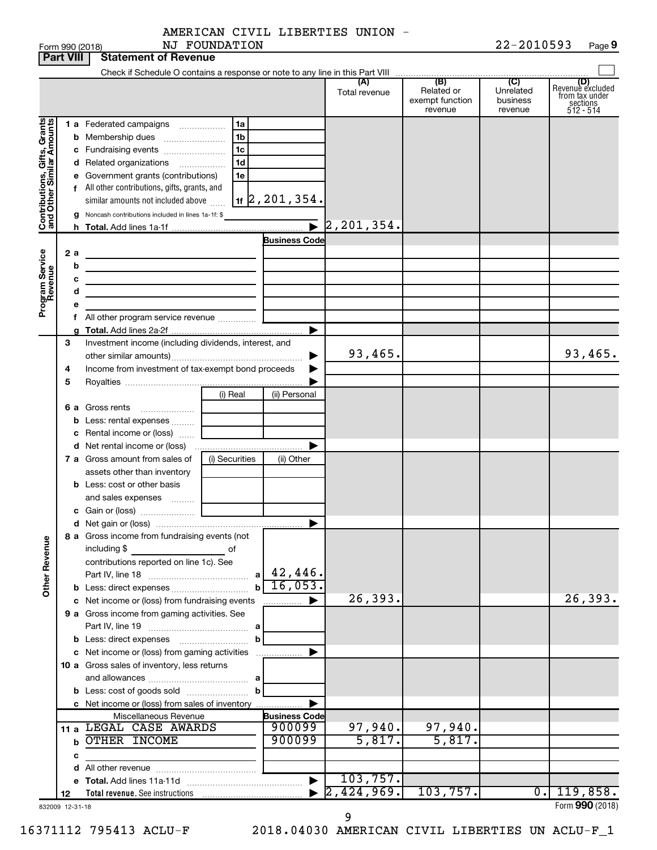AMERICAN CIVIL LIBERTIES UNION - NJ FOUNDATION

|                                                           | Part VIII | Statement of Revenue                                    |                                    |                      |                                                 |                                         |                                                                    |
|-----------------------------------------------------------|-----------|---------------------------------------------------------|------------------------------------|----------------------|-------------------------------------------------|-----------------------------------------|--------------------------------------------------------------------|
|                                                           |           |                                                         |                                    | (A)<br>Total revenue | (B)<br>Related or<br>exempt function<br>revenue | (C)<br>Unrelated<br>business<br>revenue | (D)<br>Revenue excluded<br>from tax under<br>sections<br>512 - 514 |
|                                                           |           | 1a<br>1 a Federated campaigns                           |                                    |                      |                                                 |                                         |                                                                    |
| Contributions, Gifts, Grants<br>and Other Similar Amounts |           | 1 <sub>b</sub><br><b>b</b> Membership dues              |                                    |                      |                                                 |                                         |                                                                    |
|                                                           |           | 1c<br>c Fundraising events                              |                                    |                      |                                                 |                                         |                                                                    |
|                                                           |           | 1 <sub>d</sub><br>d Related organizations               |                                    |                      |                                                 |                                         |                                                                    |
|                                                           |           | e Government grants (contributions)<br>1e               |                                    |                      |                                                 |                                         |                                                                    |
|                                                           |           | f All other contributions, gifts, grants, and           |                                    |                      |                                                 |                                         |                                                                    |
|                                                           |           | similar amounts not included above                      | $1$ f $\sqrt{2}$ , $201$ , $354$ . |                      |                                                 |                                         |                                                                    |
|                                                           |           | g Noncash contributions included in lines 1a-1f: \$     |                                    |                      |                                                 |                                         |                                                                    |
|                                                           |           |                                                         |                                    | 2, 201, 354.         |                                                 |                                         |                                                                    |
|                                                           |           |                                                         | <b>Business Code</b>               |                      |                                                 |                                         |                                                                    |
|                                                           | 2а        |                                                         |                                    |                      |                                                 |                                         |                                                                    |
|                                                           | b         |                                                         |                                    |                      |                                                 |                                         |                                                                    |
|                                                           | с         |                                                         |                                    |                      |                                                 |                                         |                                                                    |
|                                                           | d         |                                                         |                                    |                      |                                                 |                                         |                                                                    |
| Program Service<br>Revenue                                |           |                                                         |                                    |                      |                                                 |                                         |                                                                    |
|                                                           |           |                                                         |                                    |                      |                                                 |                                         |                                                                    |
|                                                           |           |                                                         |                                    |                      |                                                 |                                         |                                                                    |
|                                                           | З         | Investment income (including dividends, interest, and   |                                    |                      |                                                 |                                         |                                                                    |
|                                                           |           |                                                         | ▶                                  | 93,465.              |                                                 |                                         | 93,465.                                                            |
|                                                           | 4         | Income from investment of tax-exempt bond proceeds      | ▶                                  |                      |                                                 |                                         |                                                                    |
|                                                           | 5         |                                                         |                                    |                      |                                                 |                                         |                                                                    |
|                                                           |           | (i) Real                                                | (ii) Personal                      |                      |                                                 |                                         |                                                                    |
|                                                           |           | <b>6 a</b> Gross rents                                  |                                    |                      |                                                 |                                         |                                                                    |
|                                                           |           | <b>b</b> Less: rental expenses                          |                                    |                      |                                                 |                                         |                                                                    |
|                                                           |           | <b>c</b> Rental income or (loss) $\ldots$               |                                    |                      |                                                 |                                         |                                                                    |
|                                                           |           |                                                         |                                    |                      |                                                 |                                         |                                                                    |
|                                                           |           | <b>7 a</b> Gross amount from sales of<br>(i) Securities | (ii) Other                         |                      |                                                 |                                         |                                                                    |
|                                                           |           | assets other than inventory                             |                                    |                      |                                                 |                                         |                                                                    |
|                                                           |           | <b>b</b> Less: cost or other basis                      |                                    |                      |                                                 |                                         |                                                                    |
|                                                           |           | and sales expenses                                      |                                    |                      |                                                 |                                         |                                                                    |
|                                                           |           |                                                         |                                    |                      |                                                 |                                         |                                                                    |
|                                                           |           |                                                         |                                    |                      |                                                 |                                         |                                                                    |
|                                                           |           | 8 a Gross income from fundraising events (not           |                                    |                      |                                                 |                                         |                                                                    |
|                                                           |           | $\overline{\phantom{a}}$ of<br>including \$             |                                    |                      |                                                 |                                         |                                                                    |
|                                                           |           | contributions reported on line 1c). See                 | $a \mid 42,446$ .                  |                      |                                                 |                                         |                                                                    |
| Other Revenue                                             |           |                                                         | 16,053.                            |                      |                                                 |                                         |                                                                    |
|                                                           |           | $\mathbf b$                                             |                                    | 26,393.              |                                                 |                                         | 26,393.                                                            |
|                                                           |           | c Net income or (loss) from fundraising events          | .                                  |                      |                                                 |                                         |                                                                    |
|                                                           |           | 9 a Gross income from gaming activities. See            |                                    |                      |                                                 |                                         |                                                                    |
|                                                           |           | b                                                       |                                    |                      |                                                 |                                         |                                                                    |
|                                                           |           |                                                         |                                    |                      |                                                 |                                         |                                                                    |
|                                                           |           | 10 a Gross sales of inventory, less returns             |                                    |                      |                                                 |                                         |                                                                    |
|                                                           |           |                                                         |                                    |                      |                                                 |                                         |                                                                    |
|                                                           |           | b                                                       |                                    |                      |                                                 |                                         |                                                                    |
|                                                           |           | c Net income or (loss) from sales of inventory          |                                    |                      |                                                 |                                         |                                                                    |
|                                                           |           | Miscellaneous Revenue                                   | <b>Business Code</b>               |                      |                                                 |                                         |                                                                    |
|                                                           |           | 11 a LEGAL CASE AWARDS                                  | 900099                             | 97,940.              | 97,940.                                         |                                         |                                                                    |
|                                                           | b         | OTHER INCOME                                            | 900099                             | 5,817.               | 5,817.                                          |                                         |                                                                    |
|                                                           | с         |                                                         |                                    |                      |                                                 |                                         |                                                                    |
|                                                           |           |                                                         |                                    |                      |                                                 |                                         |                                                                    |
|                                                           |           |                                                         |                                    | 103,757.             |                                                 |                                         |                                                                    |
|                                                           | 12        |                                                         |                                    | 2,424,969.           | 103,757.                                        | $\overline{0}$ .                        | 119,858.                                                           |
| 832009 12-31-18                                           |           |                                                         |                                    |                      |                                                 |                                         | Form 990 (2018)                                                    |

**Part 1990 (2018)** 

9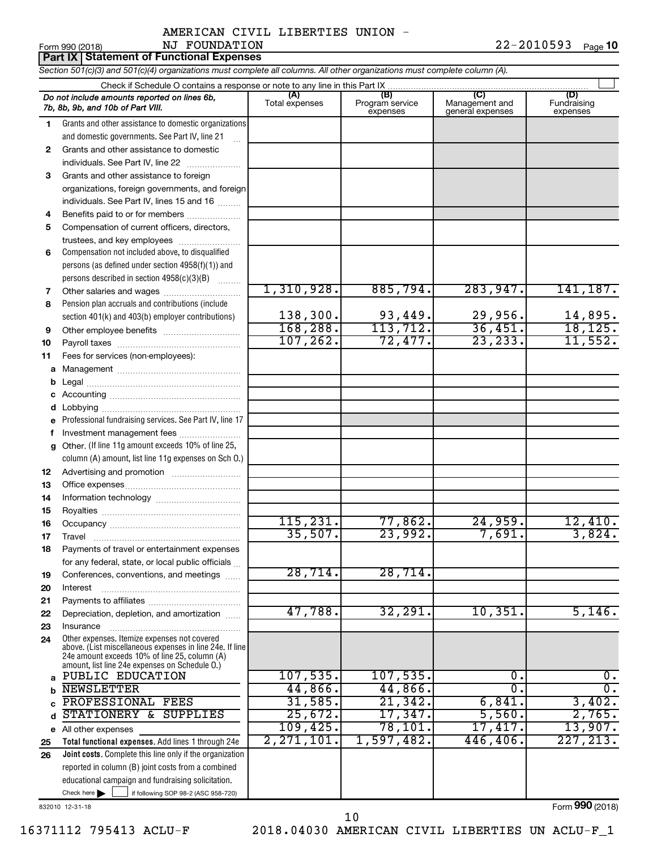| Form 990 (2018) | FOUNDATION<br>NJ                                | $22 - 2010593$ | Page 10 |
|-----------------|-------------------------------------------------|----------------|---------|
|                 | <b>Part IX Statement of Functional Expenses</b> |                |         |

*Section 501(c)(3) and 501(c)(4) organizations must complete all columns. All other organizations must complete column (A).*

|          | Do not include amounts reported on lines 6b,<br>7b, 8b, 9b, and 10b of Part VIII.                                                                         | (A)<br>Total expenses | (B)<br>Program service<br>expenses | (C)<br>Management and<br>general expenses | (D)<br>Fundraising<br>expenses |  |  |
|----------|-----------------------------------------------------------------------------------------------------------------------------------------------------------|-----------------------|------------------------------------|-------------------------------------------|--------------------------------|--|--|
| 1.       | Grants and other assistance to domestic organizations                                                                                                     |                       |                                    |                                           |                                |  |  |
|          | and domestic governments. See Part IV, line 21                                                                                                            |                       |                                    |                                           |                                |  |  |
| 2        | Grants and other assistance to domestic                                                                                                                   |                       |                                    |                                           |                                |  |  |
|          | individuals. See Part IV, line 22                                                                                                                         |                       |                                    |                                           |                                |  |  |
| 3.       | Grants and other assistance to foreign                                                                                                                    |                       |                                    |                                           |                                |  |  |
|          | organizations, foreign governments, and foreign                                                                                                           |                       |                                    |                                           |                                |  |  |
|          | individuals. See Part IV, lines 15 and 16                                                                                                                 |                       |                                    |                                           |                                |  |  |
| 4        | Benefits paid to or for members                                                                                                                           |                       |                                    |                                           |                                |  |  |
| 5        | Compensation of current officers, directors,                                                                                                              |                       |                                    |                                           |                                |  |  |
| 6        | trustees, and key employees<br>Compensation not included above, to disqualified                                                                           |                       |                                    |                                           |                                |  |  |
|          | persons (as defined under section 4958(f)(1)) and                                                                                                         |                       |                                    |                                           |                                |  |  |
|          | persons described in section 4958(c)(3)(B)                                                                                                                |                       |                                    |                                           |                                |  |  |
| 7        | Other salaries and wages                                                                                                                                  | 1,310,928.            | 885,794.                           | 283,947.                                  | 141, 187.                      |  |  |
| 8        | Pension plan accruals and contributions (include                                                                                                          |                       |                                    |                                           |                                |  |  |
|          | section 401(k) and 403(b) employer contributions)                                                                                                         | 138,300.              | 93,449.                            | 29,956.                                   | 14,895.                        |  |  |
| 9        |                                                                                                                                                           | 168,288.              | 113,712.                           | 36,451.                                   | 18, 125.                       |  |  |
| 10       |                                                                                                                                                           | 107, 262.             | 72,477.                            | 23, 233.                                  | 11,552.                        |  |  |
| 11       | Fees for services (non-employees):                                                                                                                        |                       |                                    |                                           |                                |  |  |
| а        |                                                                                                                                                           |                       |                                    |                                           |                                |  |  |
| b        |                                                                                                                                                           |                       |                                    |                                           |                                |  |  |
| с        |                                                                                                                                                           |                       |                                    |                                           |                                |  |  |
| d        |                                                                                                                                                           |                       |                                    |                                           |                                |  |  |
|          | Professional fundraising services. See Part IV, line 17                                                                                                   |                       |                                    |                                           |                                |  |  |
| f        | Investment management fees                                                                                                                                |                       |                                    |                                           |                                |  |  |
| g        | Other. (If line 11g amount exceeds 10% of line 25,                                                                                                        |                       |                                    |                                           |                                |  |  |
|          | column (A) amount, list line 11g expenses on Sch O.)                                                                                                      |                       |                                    |                                           |                                |  |  |
| 12       |                                                                                                                                                           |                       |                                    |                                           |                                |  |  |
| 13       |                                                                                                                                                           |                       |                                    |                                           |                                |  |  |
| 14       |                                                                                                                                                           |                       |                                    |                                           |                                |  |  |
| 15       |                                                                                                                                                           | 115, 231.             | 77,862.                            | 24,959.                                   | 12,410.                        |  |  |
| 16<br>17 |                                                                                                                                                           | 35,507.               | 23,992.                            | 7,691.                                    | 3,824.                         |  |  |
| 18       | Travel<br>Payments of travel or entertainment expenses                                                                                                    |                       |                                    |                                           |                                |  |  |
|          | for any federal, state, or local public officials                                                                                                         |                       |                                    |                                           |                                |  |  |
| 19       | Conferences, conventions, and meetings                                                                                                                    | 28,714.               | 28,714.                            |                                           |                                |  |  |
| 20       | Interest                                                                                                                                                  |                       |                                    |                                           |                                |  |  |
| 21       |                                                                                                                                                           |                       |                                    |                                           |                                |  |  |
| 22       | Depreciation, depletion, and amortization                                                                                                                 | 47,788.               | 32,291.                            | 10,351.                                   | 5,146.                         |  |  |
| 23       | Insurance                                                                                                                                                 |                       |                                    |                                           |                                |  |  |
| 24       | Other expenses. Itemize expenses not covered<br>above. (List miscellaneous expenses in line 24e. If line<br>24e amount exceeds 10% of line 25, column (A) |                       |                                    |                                           |                                |  |  |
|          | amount, list line 24e expenses on Schedule O.)                                                                                                            |                       |                                    |                                           |                                |  |  |
| a        | PUBLIC EDUCATION                                                                                                                                          | 107,535.              | 107,535.                           | О.                                        | $0$ .                          |  |  |
|          | <b>NEWSLETTER</b>                                                                                                                                         | 44,866.               | 44,866.                            | $\overline{0}$                            | σ.                             |  |  |
| C        | PROFESSIONAL FEES                                                                                                                                         | 31,585.<br>25,672.    | 21,342.<br>17,347.                 | 6,841.                                    | 3,402.<br>2,765.               |  |  |
| d        | STATIONERY &<br><b>SUPPLIES</b>                                                                                                                           | 109,425.              | 78,101.                            | 5,560.<br>17,417.                         | 13,907.                        |  |  |
|          | e All other expenses                                                                                                                                      | 2, 271, 101.          | 1,597,482.                         | 446,406.                                  | 227, 213.                      |  |  |
| 25<br>26 | Total functional expenses. Add lines 1 through 24e<br><b>Joint costs.</b> Complete this line only if the organization                                     |                       |                                    |                                           |                                |  |  |
|          | reported in column (B) joint costs from a combined                                                                                                        |                       |                                    |                                           |                                |  |  |
|          | educational campaign and fundraising solicitation.                                                                                                        |                       |                                    |                                           |                                |  |  |
|          | Check here $\blacktriangleright$<br>if following SOP 98-2 (ASC 958-720)                                                                                   |                       |                                    |                                           |                                |  |  |
|          |                                                                                                                                                           |                       |                                    |                                           | <u>nnn :-:</u>                 |  |  |

832010 12-31-18

Form (2018) **990**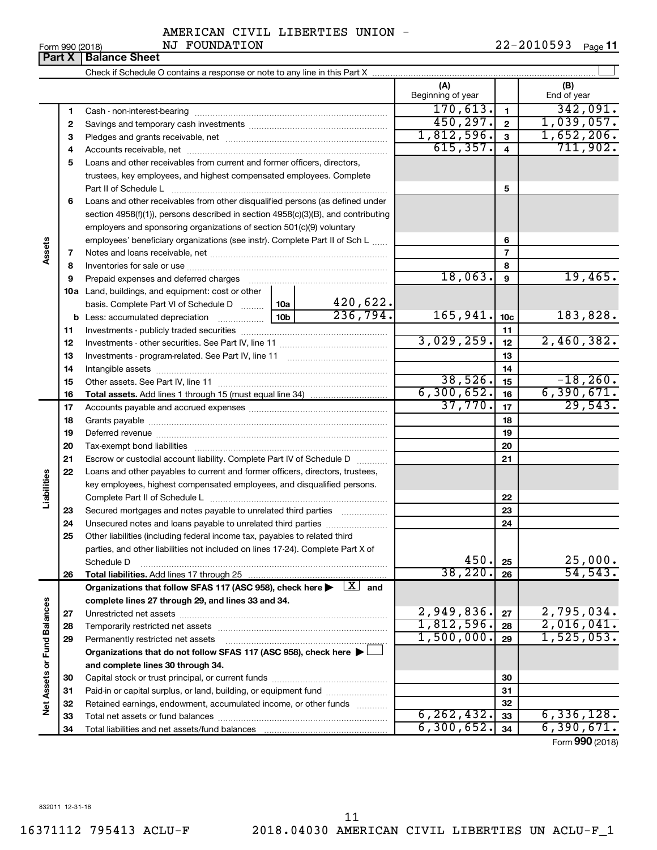#### AMERICAN CIVIL LIBERTIES UNION - NJ FOUNDATION

**Part X** | **Balance Sheet**  $\perp$ Check if Schedule O contains a response or note to any line in this Part X **(A) (B)** Beginning of year | | End of year  $170,613.$   $1$  | 342,091. **1 1** Cash - non-interest-bearing ~~~~~~~~~~~~~~~~~~~~~~~~~  $450,297.$  | 2 | 1,039,057. **2 2** Savings and temporary cash investments ~~~~~~~~~~~~~~~~~~ 1,812,596. 1,652,206. **3 3** Pledges and grants receivable, net ~~~~~~~~~~~~~~~~~~~~~  $615,357. | 4 | 711,902.$ **4 4** Accounts receivable, net ~~~~~~~~~~~~~~~~~~~~~~~~~~ **5** Loans and other receivables from current and former officers, directors, trustees, key employees, and highest compensated employees. Complete **5** Part II of Schedule L ~~~~~~~~~~~~~~~~~~~~~~~~~~~~ **6** Loans and other receivables from other disqualified persons (as defined under section 4958(f)(1)), persons described in section 4958(c)(3)(B), and contributing employers and sponsoring organizations of section 501(c)(9) voluntary employees' beneficiary organizations (see instr). Complete Part II of Sch L ...... **6 Assets 7 7** Notes and loans receivable, net ~~~~~~~~~~~~~~~~~~~~~~~ **8 8** Inventories for sale or use ~~~~~~~~~~~~~~~~~~~~~~~~~~  $18,063.$  9  $19,465.$ **9 9** Prepaid expenses and deferred charges ~~~~~~~~~~~~~~~~~~ **10 a** Land, buildings, and equipment: cost or other 420,622. basis. Complete Part VI of Schedule D  $\frac{1}{10}$  10a  $236,794.$  165,941.  $|10c|$  183,828. **10c b** Less: accumulated depreciation  $\ldots$  [10b] **11 11** Investments - publicly traded securities ~~~~~~~~~~~~~~~~~~~ 3,029,259. 2,460,382. **12 12** Investments - other securities. See Part IV, line 11 ~~~~~~~~~~~~~~ **13 13** Investments - program-related. See Part IV, line 11 ~~~~~~~~~~~~~ **14 14** Intangible assets ~~~~~~~~~~~~~~~~~~~~~~~~~~~~~~  $38,526.$   $15$   $-18,260.$ Other assets. See Part IV, line 11 ~~~~~~~~~~~~~~~~~~~~~~ **15 15**  $6,300,652.$   $16$  6,390,671. **16 16 Total assets.**  Add lines 1 through 15 (must equal line 34)  $37,770$ .  $17$   $29,543$ . **17 17** Accounts payable and accrued expenses ~~~~~~~~~~~~~~~~~~ **18 18** Grants payable ~~~~~~~~~~~~~~~~~~~~~~~~~~~~~~~ **19 19** Deferred revenue ~~~~~~~~~~~~~~~~~~~~~~~~~~~~~~ **20 20** Tax-exempt bond liabilities ~~~~~~~~~~~~~~~~~~~~~~~~~ **21 21** Escrow or custodial account liability. Complete Part IV of Schedule D ........... **22** Loans and other payables to current and former officers, directors, trustees, **Liabilities** key employees, highest compensated employees, and disqualified persons. Complete Part II of Schedule L ~~~~~~~~~~~~~~~~~~~~~~~ **22** Secured mortgages and notes payable to unrelated third parties  $\ldots$  ................. **23 23 24** Unsecured notes and loans payable to unrelated third parties ~~~~~~~~ **24 25** Other liabilities (including federal income tax, payables to related third parties, and other liabilities not included on lines 17-24). Complete Part X of 450. 25,000. Schedule D ~~~~~~~~~~~~~~~~~~~~~~~~~~~~~~~~ **25** 38,220. 54,543. **26 26 Total liabilities.**  Add lines 17 through 25 Organizations that follow SFAS 117 (ASC 958), check here  $\blacktriangleright$   $\boxed{X}$  and **complete lines 27 through 29, and lines 33 and 34. Vet Assets or Fund Balances Net Assets or Fund Balances**  $2,949,836$ .  $\boxed{27}$  2,795,034. **27 27** Unrestricted net assets ~~~~~~~~~~~~~~~~~~~~~~~~~~~ 1,812,596. 2,016,041. **28 28** Temporarily restricted net assets ~~~~~~~~~~~~~~~~~~~~~~  $1,500,000$ .  $|29|$   $1,525,053$ . **29 29** Permanently restricted net assets ~~~~~~~~~~~~~~~~~~~~~ **Organizations that do not follow SFAS 117 (ASC 958), check here** | †

Form (2018) **990**

 $6, 262, 432.$  33 6,336,128.  $6,300,652$ .  $34$  6,390,671.

832011 12-31-18

**and complete lines 30 through 34.**

Total liabilities and net assets/fund balances

Capital stock or trust principal, or current funds ~~~~~~~~~~~~~~~ Paid-in or capital surplus, or land, building, or equipment fund ....................... Retained earnings, endowment, accumulated income, or other funds ............ Total net assets or fund balances ~~~~~~~~~~~~~~~~~~~~~~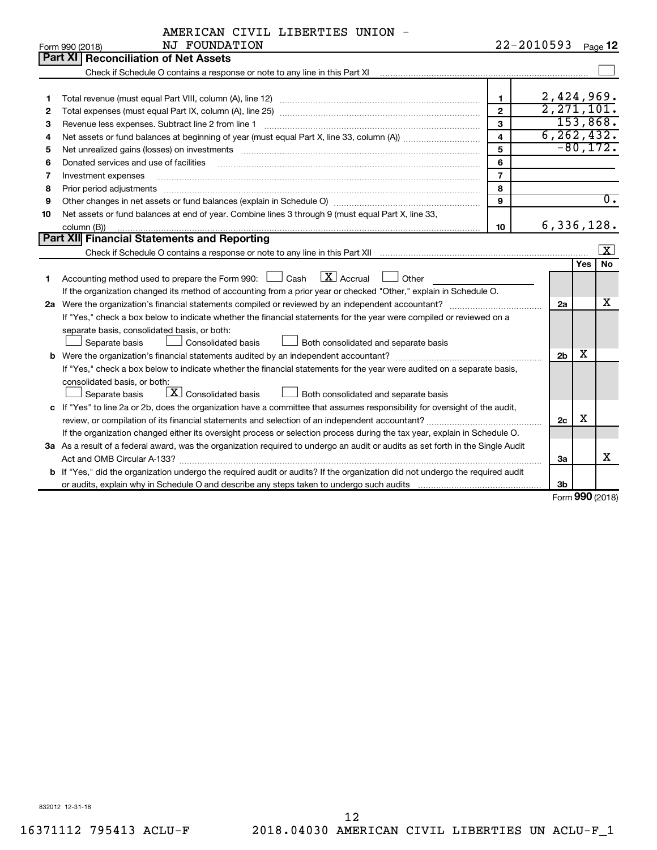|  | AMERICAN CIVIL LIBERTIES UNION |  |
|--|--------------------------------|--|
|  |                                |  |

|    | NJ FOUNDATION<br>Form 990 (2018)                                                                                                                                                                                               |                         | 22-2010593     | Page 12                 |
|----|--------------------------------------------------------------------------------------------------------------------------------------------------------------------------------------------------------------------------------|-------------------------|----------------|-------------------------|
|    | Part XI<br><b>Reconciliation of Net Assets</b>                                                                                                                                                                                 |                         |                |                         |
|    |                                                                                                                                                                                                                                |                         |                |                         |
|    |                                                                                                                                                                                                                                |                         |                |                         |
| 1  |                                                                                                                                                                                                                                | $\mathbf{1}$            |                | 2,424,969.              |
| 2  |                                                                                                                                                                                                                                | $\overline{2}$          |                | 2, 271, 101.            |
| З  | Revenue less expenses. Subtract line 2 from line 1                                                                                                                                                                             | $\mathbf{3}$            |                | 153,868.                |
| 4  |                                                                                                                                                                                                                                | $\overline{\mathbf{4}}$ |                | 6, 262, 432.            |
| 5  | Net unrealized gains (losses) on investments [11] matter than the control of the state of the state of the state of the state of the state of the state of the state of the state of the state of the state of the state of th | 5                       |                | $-80,172.$              |
| 6  | Donated services and use of facilities                                                                                                                                                                                         | 6                       |                |                         |
| 7  | Investment expenses                                                                                                                                                                                                            | $\overline{7}$          |                |                         |
| 8  | Prior period adjustments                                                                                                                                                                                                       | 8                       |                |                         |
| 9  |                                                                                                                                                                                                                                | 9                       |                | $\overline{0}$ .        |
| 10 | Net assets or fund balances at end of year. Combine lines 3 through 9 (must equal Part X, line 33,                                                                                                                             |                         |                |                         |
|    | column (B))                                                                                                                                                                                                                    | 10                      |                | 6,336,128.              |
|    | Part XII Financial Statements and Reporting                                                                                                                                                                                    |                         |                |                         |
|    |                                                                                                                                                                                                                                |                         |                | <u>  x</u>              |
|    |                                                                                                                                                                                                                                |                         |                | <b>No</b><br><b>Yes</b> |
| 1  | $\overline{\mathbf{X}}$ Accrual<br>Accounting method used to prepare the Form 990: $\Box$ Cash<br>Other                                                                                                                        |                         |                |                         |
|    | If the organization changed its method of accounting from a prior year or checked "Other," explain in Schedule O.                                                                                                              |                         |                |                         |
|    | 2a Were the organization's financial statements compiled or reviewed by an independent accountant?                                                                                                                             |                         | 2a             | x                       |
|    | If "Yes," check a box below to indicate whether the financial statements for the year were compiled or reviewed on a                                                                                                           |                         |                |                         |
|    | separate basis, consolidated basis, or both:                                                                                                                                                                                   |                         |                |                         |
|    | Consolidated basis<br>$\perp$ Both consolidated and separate basis<br>Separate basis                                                                                                                                           |                         |                |                         |
|    |                                                                                                                                                                                                                                |                         | 2 <sub>b</sub> | X                       |
|    | If "Yes," check a box below to indicate whether the financial statements for the year were audited on a separate basis,                                                                                                        |                         |                |                         |
|    | consolidated basis, or both:                                                                                                                                                                                                   |                         |                |                         |
|    | $\lfloor x \rfloor$ Consolidated basis<br>Both consolidated and separate basis<br>Separate basis                                                                                                                               |                         |                |                         |
|    | c If "Yes" to line 2a or 2b, does the organization have a committee that assumes responsibility for oversight of the audit,                                                                                                    |                         |                |                         |
|    | review, or compilation of its financial statements and selection of an independent accountant?                                                                                                                                 |                         | 2c             | х                       |
|    | If the organization changed either its oversight process or selection process during the tax year, explain in Schedule O.                                                                                                      |                         |                |                         |
|    | 3a As a result of a federal award, was the organization required to undergo an audit or audits as set forth in the Single Audit                                                                                                |                         |                | x                       |
|    |                                                                                                                                                                                                                                |                         | За             |                         |
|    | b If "Yes," did the organization undergo the required audit or audits? If the organization did not undergo the required audit                                                                                                  |                         |                |                         |
|    |                                                                                                                                                                                                                                |                         | 3b             |                         |

Form (2018) **990**

832012 12-31-18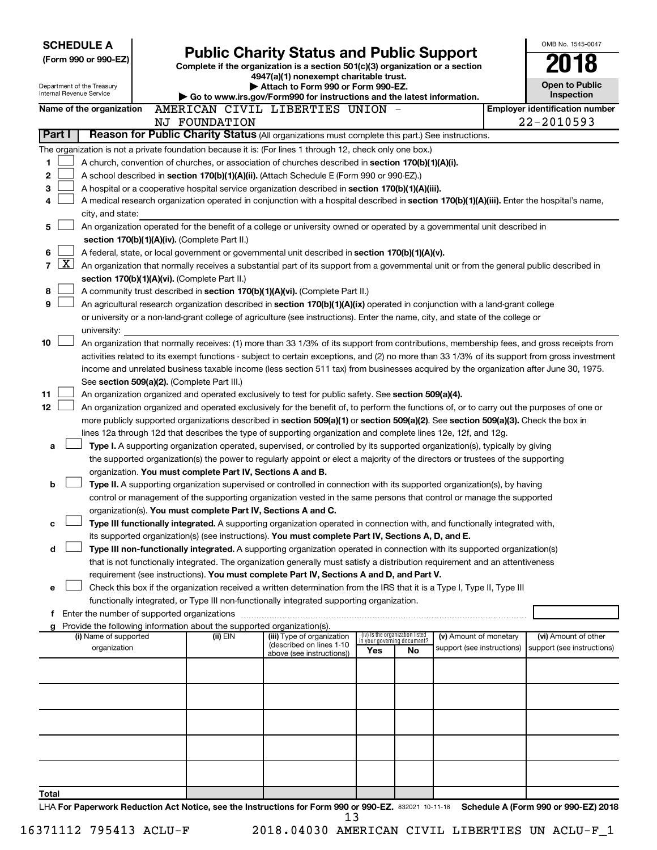| <b>SCHEDULE A</b><br>(Form 990 or 990-EZ)                                                                                                                                                                                                                                                                                                                                                                                                                                                                                                                                                                                                                                                                                                                                                                                                                                                                                                                                                                                                                                                                                                                                                                                                                                                                                                                                                                                                                                                                                                                                                                                                                                                                                                                                                                                                                                                                                                                                                                                                                   | <b>Public Charity Status and Public Support</b><br>Complete if the organization is a section 501(c)(3) organization or a section<br>4947(a)(1) nonexempt charitable trust. |                                                                                                              |                                 |                             |                            |                                     | OMB No. 1545-0047                     |
|-------------------------------------------------------------------------------------------------------------------------------------------------------------------------------------------------------------------------------------------------------------------------------------------------------------------------------------------------------------------------------------------------------------------------------------------------------------------------------------------------------------------------------------------------------------------------------------------------------------------------------------------------------------------------------------------------------------------------------------------------------------------------------------------------------------------------------------------------------------------------------------------------------------------------------------------------------------------------------------------------------------------------------------------------------------------------------------------------------------------------------------------------------------------------------------------------------------------------------------------------------------------------------------------------------------------------------------------------------------------------------------------------------------------------------------------------------------------------------------------------------------------------------------------------------------------------------------------------------------------------------------------------------------------------------------------------------------------------------------------------------------------------------------------------------------------------------------------------------------------------------------------------------------------------------------------------------------------------------------------------------------------------------------------------------------|----------------------------------------------------------------------------------------------------------------------------------------------------------------------------|--------------------------------------------------------------------------------------------------------------|---------------------------------|-----------------------------|----------------------------|-------------------------------------|---------------------------------------|
| Department of the Treasury<br>Internal Revenue Service                                                                                                                                                                                                                                                                                                                                                                                                                                                                                                                                                                                                                                                                                                                                                                                                                                                                                                                                                                                                                                                                                                                                                                                                                                                                                                                                                                                                                                                                                                                                                                                                                                                                                                                                                                                                                                                                                                                                                                                                      |                                                                                                                                                                            | Attach to Form 990 or Form 990-EZ.<br>Go to www.irs.gov/Form990 for instructions and the latest information. |                                 |                             |                            | <b>Open to Public</b><br>Inspection |                                       |
| Name of the organization                                                                                                                                                                                                                                                                                                                                                                                                                                                                                                                                                                                                                                                                                                                                                                                                                                                                                                                                                                                                                                                                                                                                                                                                                                                                                                                                                                                                                                                                                                                                                                                                                                                                                                                                                                                                                                                                                                                                                                                                                                    |                                                                                                                                                                            | AMERICAN CIVIL LIBERTIES UNION -                                                                             |                                 |                             |                            |                                     | <b>Employer identification number</b> |
| Reason for Public Charity Status (All organizations must complete this part.) See instructions.<br>Part I                                                                                                                                                                                                                                                                                                                                                                                                                                                                                                                                                                                                                                                                                                                                                                                                                                                                                                                                                                                                                                                                                                                                                                                                                                                                                                                                                                                                                                                                                                                                                                                                                                                                                                                                                                                                                                                                                                                                                   | NJ FOUNDATION                                                                                                                                                              |                                                                                                              |                                 |                             |                            |                                     | 22-2010593                            |
| The organization is not a private foundation because it is: (For lines 1 through 12, check only one box.)                                                                                                                                                                                                                                                                                                                                                                                                                                                                                                                                                                                                                                                                                                                                                                                                                                                                                                                                                                                                                                                                                                                                                                                                                                                                                                                                                                                                                                                                                                                                                                                                                                                                                                                                                                                                                                                                                                                                                   |                                                                                                                                                                            |                                                                                                              |                                 |                             |                            |                                     |                                       |
| 1<br>A church, convention of churches, or association of churches described in section 170(b)(1)(A)(i).<br>$\mathbf 2$<br>A school described in section 170(b)(1)(A)(ii). (Attach Schedule E (Form 990 or 990-EZ).)<br>3<br>A hospital or a cooperative hospital service organization described in section 170(b)(1)(A)(iii).<br>A medical research organization operated in conjunction with a hospital described in section 170(b)(1)(A)(iii). Enter the hospital's name,<br>4<br>city, and state:                                                                                                                                                                                                                                                                                                                                                                                                                                                                                                                                                                                                                                                                                                                                                                                                                                                                                                                                                                                                                                                                                                                                                                                                                                                                                                                                                                                                                                                                                                                                                        |                                                                                                                                                                            |                                                                                                              |                                 |                             |                            |                                     |                                       |
| 5<br>An organization operated for the benefit of a college or university owned or operated by a governmental unit described in                                                                                                                                                                                                                                                                                                                                                                                                                                                                                                                                                                                                                                                                                                                                                                                                                                                                                                                                                                                                                                                                                                                                                                                                                                                                                                                                                                                                                                                                                                                                                                                                                                                                                                                                                                                                                                                                                                                              |                                                                                                                                                                            |                                                                                                              |                                 |                             |                            |                                     |                                       |
| section 170(b)(1)(A)(iv). (Complete Part II.)<br>6<br>A federal, state, or local government or governmental unit described in section 170(b)(1)(A)(v).<br><u>x</u><br>7<br>An organization that normally receives a substantial part of its support from a governmental unit or from the general public described in<br>section 170(b)(1)(A)(vi). (Complete Part II.)<br>8<br>A community trust described in section 170(b)(1)(A)(vi). (Complete Part II.)<br>9<br>An agricultural research organization described in section 170(b)(1)(A)(ix) operated in conjunction with a land-grant college                                                                                                                                                                                                                                                                                                                                                                                                                                                                                                                                                                                                                                                                                                                                                                                                                                                                                                                                                                                                                                                                                                                                                                                                                                                                                                                                                                                                                                                            |                                                                                                                                                                            |                                                                                                              |                                 |                             |                            |                                     |                                       |
| or university or a non-land-grant college of agriculture (see instructions). Enter the name, city, and state of the college or<br>university:                                                                                                                                                                                                                                                                                                                                                                                                                                                                                                                                                                                                                                                                                                                                                                                                                                                                                                                                                                                                                                                                                                                                                                                                                                                                                                                                                                                                                                                                                                                                                                                                                                                                                                                                                                                                                                                                                                               |                                                                                                                                                                            |                                                                                                              |                                 |                             |                            |                                     |                                       |
| 10<br>An organization that normally receives: (1) more than 33 1/3% of its support from contributions, membership fees, and gross receipts from<br>activities related to its exempt functions - subject to certain exceptions, and (2) no more than 33 1/3% of its support from gross investment<br>income and unrelated business taxable income (less section 511 tax) from businesses acquired by the organization after June 30, 1975.<br>See section 509(a)(2). (Complete Part III.)<br>11<br>An organization organized and operated exclusively to test for public safety. See section 509(a)(4).<br>12<br>An organization organized and operated exclusively for the benefit of, to perform the functions of, or to carry out the purposes of one or<br>more publicly supported organizations described in section 509(a)(1) or section 509(a)(2). See section 509(a)(3). Check the box in<br>lines 12a through 12d that describes the type of supporting organization and complete lines 12e, 12f, and 12g.<br>Type I. A supporting organization operated, supervised, or controlled by its supported organization(s), typically by giving<br>a<br>the supported organization(s) the power to regularly appoint or elect a majority of the directors or trustees of the supporting<br>organization. You must complete Part IV, Sections A and B.<br>b<br>Type II. A supporting organization supervised or controlled in connection with its supported organization(s), by having<br>control or management of the supporting organization vested in the same persons that control or manage the supported<br>organization(s). You must complete Part IV, Sections A and C.<br>Type III functionally integrated. A supporting organization operated in connection with, and functionally integrated with,<br>с<br>its supported organization(s) (see instructions). You must complete Part IV, Sections A, D, and E.<br>Type III non-functionally integrated. A supporting organization operated in connection with its supported organization(s)<br>d |                                                                                                                                                                            |                                                                                                              |                                 |                             |                            |                                     |                                       |
|                                                                                                                                                                                                                                                                                                                                                                                                                                                                                                                                                                                                                                                                                                                                                                                                                                                                                                                                                                                                                                                                                                                                                                                                                                                                                                                                                                                                                                                                                                                                                                                                                                                                                                                                                                                                                                                                                                                                                                                                                                                             |                                                                                                                                                                            |                                                                                                              |                                 |                             |                            |                                     |                                       |
| that is not functionally integrated. The organization generally must satisfy a distribution requirement and an attentiveness<br>requirement (see instructions). You must complete Part IV, Sections A and D, and Part V.<br>Check this box if the organization received a written determination from the IRS that it is a Type I, Type II, Type III<br>e<br>functionally integrated, or Type III non-functionally integrated supporting organization.<br>f Enter the number of supported organizations<br>g Provide the following information about the supported organization(s).                                                                                                                                                                                                                                                                                                                                                                                                                                                                                                                                                                                                                                                                                                                                                                                                                                                                                                                                                                                                                                                                                                                                                                                                                                                                                                                                                                                                                                                                          |                                                                                                                                                                            |                                                                                                              |                                 |                             |                            |                                     |                                       |
| (i) Name of supported                                                                                                                                                                                                                                                                                                                                                                                                                                                                                                                                                                                                                                                                                                                                                                                                                                                                                                                                                                                                                                                                                                                                                                                                                                                                                                                                                                                                                                                                                                                                                                                                                                                                                                                                                                                                                                                                                                                                                                                                                                       | (ii) EIN                                                                                                                                                                   | (iii) Type of organization<br>(described on lines 1-10                                                       | (iv) Is the organization listed | in your governing document? | (v) Amount of monetary     |                                     | (vi) Amount of other                  |
| organization                                                                                                                                                                                                                                                                                                                                                                                                                                                                                                                                                                                                                                                                                                                                                                                                                                                                                                                                                                                                                                                                                                                                                                                                                                                                                                                                                                                                                                                                                                                                                                                                                                                                                                                                                                                                                                                                                                                                                                                                                                                |                                                                                                                                                                            | above (see instructions))                                                                                    | Yes                             | No                          | support (see instructions) |                                     | support (see instructions)            |
| Total<br>HA For Panerwork Reduction Act Notice, see the Instructions for Form 990 or 990-FZ, 832021, 10-11-18 Schedule A (Form 990 or 990-FZ) 2018                                                                                                                                                                                                                                                                                                                                                                                                                                                                                                                                                                                                                                                                                                                                                                                                                                                                                                                                                                                                                                                                                                                                                                                                                                                                                                                                                                                                                                                                                                                                                                                                                                                                                                                                                                                                                                                                                                          |                                                                                                                                                                            |                                                                                                              |                                 |                             |                            |                                     |                                       |

832021 10-11-18 **For Paperwork Reduction Act Notice, see the Instructions for Form 990 or 990-EZ. Schedule A (Form 990 or 990-EZ) 2018** LHA  $\frac{13}{13}$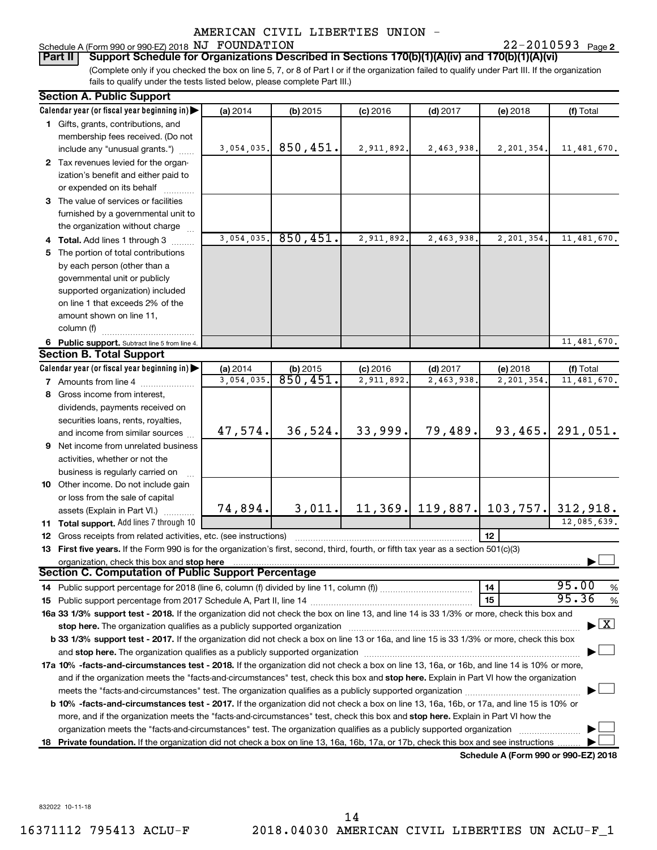22-2010593 Page 2 Schedule A (Form 990 or 990-EZ) 2018 Page NJ FOUNDATION 22-2010593

**Part II Support Schedule for Organizations Described in Sections 170(b)(1)(A)(iv) and 170(b)(1)(A)(vi)**

(Complete only if you checked the box on line 5, 7, or 8 of Part I or if the organization failed to qualify under Part III. If the organization fails to qualify under the tests listed below, please complete Part III.)

| <b>Section A. Public Support</b>                                                                                                                                                                                               |            |                      |            |            |                                        |                                    |
|--------------------------------------------------------------------------------------------------------------------------------------------------------------------------------------------------------------------------------|------------|----------------------|------------|------------|----------------------------------------|------------------------------------|
| Calendar year (or fiscal year beginning in)                                                                                                                                                                                    | (a) 2014   | $(b)$ 2015           | $(c)$ 2016 | $(d)$ 2017 | (e) 2018                               | (f) Total                          |
| 1 Gifts, grants, contributions, and                                                                                                                                                                                            |            |                      |            |            |                                        |                                    |
| membership fees received. (Do not                                                                                                                                                                                              |            |                      |            |            |                                        |                                    |
| include any "unusual grants.")                                                                                                                                                                                                 | 3,054,035. | 850,451.             | 2,911,892. | 2,463,938. | 2,201,354.                             | 11, 481, 670.                      |
| 2 Tax revenues levied for the organ-                                                                                                                                                                                           |            |                      |            |            |                                        |                                    |
| ization's benefit and either paid to                                                                                                                                                                                           |            |                      |            |            |                                        |                                    |
| or expended on its behalf                                                                                                                                                                                                      |            |                      |            |            |                                        |                                    |
| 3 The value of services or facilities                                                                                                                                                                                          |            |                      |            |            |                                        |                                    |
| furnished by a governmental unit to                                                                                                                                                                                            |            |                      |            |            |                                        |                                    |
| the organization without charge                                                                                                                                                                                                |            |                      |            |            |                                        |                                    |
| 4 Total. Add lines 1 through 3                                                                                                                                                                                                 | 3,054,035. | 850, 451.            | 2,911,892. | 2,463,938. | 2,201,354.                             | 11,481,670.                        |
| 5 The portion of total contributions                                                                                                                                                                                           |            |                      |            |            |                                        |                                    |
| by each person (other than a                                                                                                                                                                                                   |            |                      |            |            |                                        |                                    |
| governmental unit or publicly                                                                                                                                                                                                  |            |                      |            |            |                                        |                                    |
| supported organization) included                                                                                                                                                                                               |            |                      |            |            |                                        |                                    |
| on line 1 that exceeds 2% of the                                                                                                                                                                                               |            |                      |            |            |                                        |                                    |
| amount shown on line 11,                                                                                                                                                                                                       |            |                      |            |            |                                        |                                    |
| column (f)                                                                                                                                                                                                                     |            |                      |            |            |                                        |                                    |
| 6 Public support. Subtract line 5 from line 4.                                                                                                                                                                                 |            |                      |            |            |                                        | 11, 481, 670.                      |
| <b>Section B. Total Support</b>                                                                                                                                                                                                |            |                      |            |            |                                        |                                    |
| Calendar year (or fiscal year beginning in)                                                                                                                                                                                    | (a) 2014   | $(b)$ 2015           | $(c)$ 2016 | $(d)$ 2017 | (e) 2018                               | (f) Total                          |
| <b>7</b> Amounts from line 4                                                                                                                                                                                                   | 3,054,035. | $\overline{850,451}$ | 2,911,892. | 2,463,938  | 2,201,354                              | 11, 481, 670.                      |
| 8 Gross income from interest,                                                                                                                                                                                                  |            |                      |            |            |                                        |                                    |
| dividends, payments received on                                                                                                                                                                                                |            |                      |            |            |                                        |                                    |
| securities loans, rents, royalties,                                                                                                                                                                                            |            |                      |            |            |                                        |                                    |
| and income from similar sources                                                                                                                                                                                                | 47,574.    | 36,524.              | 33,999.    | 79,489.    | 93, 465.                               | 291,051.                           |
| 9 Net income from unrelated business                                                                                                                                                                                           |            |                      |            |            |                                        |                                    |
| activities, whether or not the                                                                                                                                                                                                 |            |                      |            |            |                                        |                                    |
| business is regularly carried on                                                                                                                                                                                               |            |                      |            |            |                                        |                                    |
| 10 Other income. Do not include gain                                                                                                                                                                                           |            |                      |            |            |                                        |                                    |
| or loss from the sale of capital                                                                                                                                                                                               |            |                      |            |            |                                        |                                    |
| assets (Explain in Part VI.)                                                                                                                                                                                                   | 74,894.    | 3,011.               |            |            | 11, 369. 119, 887. 103, 757. 312, 918. |                                    |
| 11 Total support. Add lines 7 through 10                                                                                                                                                                                       |            |                      |            |            |                                        | 12,085,639.                        |
| <b>12</b> Gross receipts from related activities, etc. (see instructions)                                                                                                                                                      |            |                      |            |            | 12                                     |                                    |
| 13 First five years. If the Form 990 is for the organization's first, second, third, fourth, or fifth tax year as a section 501(c)(3)                                                                                          |            |                      |            |            |                                        |                                    |
| organization, check this box and stop here                                                                                                                                                                                     |            |                      |            |            |                                        |                                    |
| <b>Section C. Computation of Public Support Percentage</b>                                                                                                                                                                     |            |                      |            |            |                                        |                                    |
|                                                                                                                                                                                                                                |            |                      |            |            | 14                                     | 95.00<br>%                         |
|                                                                                                                                                                                                                                |            |                      |            |            | 15                                     | 95.36<br>%                         |
| 16a 33 1/3% support test - 2018. If the organization did not check the box on line 13, and line 14 is 33 1/3% or more, check this box and                                                                                      |            |                      |            |            |                                        |                                    |
| stop here. The organization qualifies as a publicly supported organization manufactured content and the content of the state of the state of the state of the state of the state of the state of the state of the state of the |            |                      |            |            |                                        | $\blacktriangleright$ $\mathbf{X}$ |
| b 33 1/3% support test - 2017. If the organization did not check a box on line 13 or 16a, and line 15 is 33 1/3% or more, check this box                                                                                       |            |                      |            |            |                                        |                                    |
|                                                                                                                                                                                                                                |            |                      |            |            |                                        |                                    |
| 17a 10% -facts-and-circumstances test - 2018. If the organization did not check a box on line 13, 16a, or 16b, and line 14 is 10% or more,                                                                                     |            |                      |            |            |                                        |                                    |
| and if the organization meets the "facts-and-circumstances" test, check this box and stop here. Explain in Part VI how the organization                                                                                        |            |                      |            |            |                                        |                                    |
|                                                                                                                                                                                                                                |            |                      |            |            |                                        |                                    |
| b 10% -facts-and-circumstances test - 2017. If the organization did not check a box on line 13, 16a, 16b, or 17a, and line 15 is 10% or                                                                                        |            |                      |            |            |                                        |                                    |
| more, and if the organization meets the "facts-and-circumstances" test, check this box and stop here. Explain in Part VI how the                                                                                               |            |                      |            |            |                                        |                                    |
| organization meets the "facts-and-circumstances" test. The organization qualifies as a publicly supported organization                                                                                                         |            |                      |            |            |                                        |                                    |
| 18 Private foundation. If the organization did not check a box on line 13, 16a, 16b, 17a, or 17b, check this box and see instructions                                                                                          |            |                      |            |            |                                        |                                    |
|                                                                                                                                                                                                                                |            |                      |            |            | Schedule A (Form 990 or 990-F7) 2018   |                                    |

**Schedule A (Form 990 or 990-EZ) 2018**

832022 10-11-18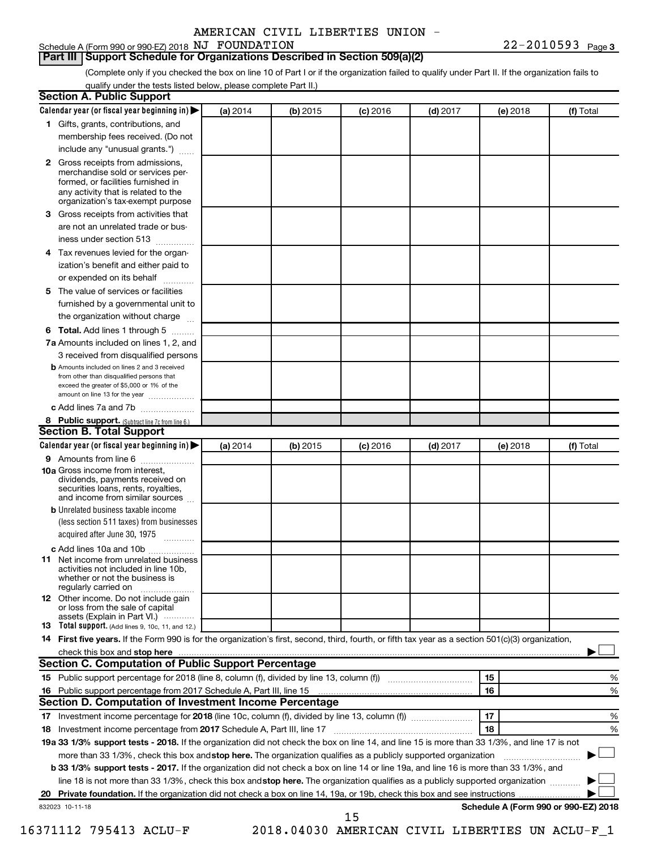# **Part III Support Schedule for Organizations Described in Section 509(a)(2)**

(Complete only if you checked the box on line 10 of Part I or if the organization failed to qualify under Part II. If the organization fails to qualify under the tests listed below, please complete Part II.)

| <b>Section A. Public Support</b>                                                                                                                                                                                         |          |          |            |            |          |                                      |
|--------------------------------------------------------------------------------------------------------------------------------------------------------------------------------------------------------------------------|----------|----------|------------|------------|----------|--------------------------------------|
| Calendar year (or fiscal year beginning in)                                                                                                                                                                              | (a) 2014 | (b) 2015 | $(c)$ 2016 | $(d)$ 2017 | (e) 2018 | (f) Total                            |
| 1 Gifts, grants, contributions, and                                                                                                                                                                                      |          |          |            |            |          |                                      |
| membership fees received. (Do not                                                                                                                                                                                        |          |          |            |            |          |                                      |
| include any "unusual grants.")                                                                                                                                                                                           |          |          |            |            |          |                                      |
| 2 Gross receipts from admissions,<br>merchandise sold or services per-<br>formed, or facilities furnished in<br>any activity that is related to the<br>organization's tax-exempt purpose                                 |          |          |            |            |          |                                      |
| 3 Gross receipts from activities that                                                                                                                                                                                    |          |          |            |            |          |                                      |
| are not an unrelated trade or bus-                                                                                                                                                                                       |          |          |            |            |          |                                      |
| iness under section 513                                                                                                                                                                                                  |          |          |            |            |          |                                      |
| 4 Tax revenues levied for the organ-                                                                                                                                                                                     |          |          |            |            |          |                                      |
| ization's benefit and either paid to                                                                                                                                                                                     |          |          |            |            |          |                                      |
| or expended on its behalf                                                                                                                                                                                                |          |          |            |            |          |                                      |
| .<br>5 The value of services or facilities                                                                                                                                                                               |          |          |            |            |          |                                      |
| furnished by a governmental unit to                                                                                                                                                                                      |          |          |            |            |          |                                      |
| the organization without charge                                                                                                                                                                                          |          |          |            |            |          |                                      |
|                                                                                                                                                                                                                          |          |          |            |            |          |                                      |
| 6 Total. Add lines 1 through 5                                                                                                                                                                                           |          |          |            |            |          |                                      |
| 7a Amounts included on lines 1, 2, and                                                                                                                                                                                   |          |          |            |            |          |                                      |
| 3 received from disqualified persons<br><b>b</b> Amounts included on lines 2 and 3 received<br>from other than disqualified persons that<br>exceed the greater of \$5,000 or 1% of the<br>amount on line 13 for the year |          |          |            |            |          |                                      |
| c Add lines 7a and 7b                                                                                                                                                                                                    |          |          |            |            |          |                                      |
| 8 Public support. (Subtract line 7c from line 6.)                                                                                                                                                                        |          |          |            |            |          |                                      |
| <b>Section B. Total Support</b>                                                                                                                                                                                          |          |          |            |            |          |                                      |
| Calendar year (or fiscal year beginning in)                                                                                                                                                                              | (a) 2014 | (b) 2015 | $(c)$ 2016 | $(d)$ 2017 | (e) 2018 | (f) Total                            |
| <b>9</b> Amounts from line 6                                                                                                                                                                                             |          |          |            |            |          |                                      |
| <b>10a</b> Gross income from interest,<br>dividends, payments received on<br>securities loans, rents, royalties,<br>and income from similar sources                                                                      |          |          |            |            |          |                                      |
| <b>b</b> Unrelated business taxable income                                                                                                                                                                               |          |          |            |            |          |                                      |
| (less section 511 taxes) from businesses<br>acquired after June 30, 1975                                                                                                                                                 |          |          |            |            |          |                                      |
| c Add lines 10a and 10b                                                                                                                                                                                                  |          |          |            |            |          |                                      |
| 11 Net income from unrelated business<br>activities not included in line 10b.<br>whether or not the business is<br>regularly carried on                                                                                  |          |          |            |            |          |                                      |
| <b>12</b> Other income. Do not include gain<br>or loss from the sale of capital<br>assets (Explain in Part VI.)                                                                                                          |          |          |            |            |          |                                      |
| <b>13</b> Total support. (Add lines 9, 10c, 11, and 12.)                                                                                                                                                                 |          |          |            |            |          |                                      |
| 14 First five years. If the Form 990 is for the organization's first, second, third, fourth, or fifth tax year as a section 501(c)(3) organization,                                                                      |          |          |            |            |          |                                      |
|                                                                                                                                                                                                                          |          |          |            |            |          |                                      |
| Section C. Computation of Public Support Percentage                                                                                                                                                                      |          |          |            |            |          |                                      |
| 15 Public support percentage for 2018 (line 8, column (f), divided by line 13, column (f) <i>manumeronominimal</i>                                                                                                       |          |          |            |            | 15       | ℅                                    |
| 16 Public support percentage from 2017 Schedule A, Part III, line 15                                                                                                                                                     |          |          |            |            | 16       | %                                    |
| Section D. Computation of Investment Income Percentage                                                                                                                                                                   |          |          |            |            |          |                                      |
|                                                                                                                                                                                                                          |          |          |            |            | 17       | %                                    |
| 18 Investment income percentage from 2017 Schedule A, Part III, line 17                                                                                                                                                  |          |          |            |            | 18       | %                                    |
| 19a 33 1/3% support tests - 2018. If the organization did not check the box on line 14, and line 15 is more than 33 1/3%, and line 17 is not                                                                             |          |          |            |            |          |                                      |
| more than 33 1/3%, check this box and stop here. The organization qualifies as a publicly supported organization                                                                                                         |          |          |            |            |          |                                      |
| b 33 1/3% support tests - 2017. If the organization did not check a box on line 14 or line 19a, and line 16 is more than 33 1/3%, and                                                                                    |          |          |            |            |          |                                      |
| line 18 is not more than 33 1/3%, check this box and stop here. The organization qualifies as a publicly supported organization                                                                                          |          |          |            |            |          |                                      |
|                                                                                                                                                                                                                          |          |          |            |            |          |                                      |
| 832023 10-11-18                                                                                                                                                                                                          |          |          |            |            |          | Schedule A (Form 990 or 990-EZ) 2018 |
|                                                                                                                                                                                                                          |          |          | 15         |            |          |                                      |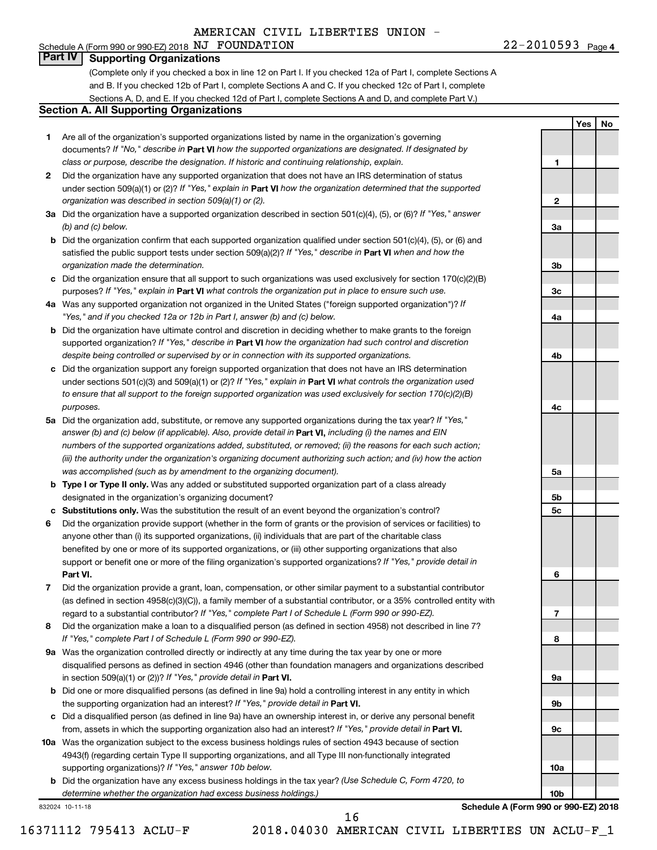### Schedule A (Form 990 or 990-EZ) 2018 Page NJ FOUNDATION 22-2010593 **Part IV Supporting Organizations**

(Complete only if you checked a box in line 12 on Part I. If you checked 12a of Part I, complete Sections A and B. If you checked 12b of Part I, complete Sections A and C. If you checked 12c of Part I, complete Sections A, D, and E. If you checked 12d of Part I, complete Sections A and D, and complete Part V.)

#### **Section A. All Supporting Organizations**

- **1** Are all of the organization's supported organizations listed by name in the organization's governing documents? If "No," describe in Part VI how the supported organizations are designated. If designated by *class or purpose, describe the designation. If historic and continuing relationship, explain.*
- **2** Did the organization have any supported organization that does not have an IRS determination of status under section 509(a)(1) or (2)? If "Yes," explain in Part **VI** how the organization determined that the supported *organization was described in section 509(a)(1) or (2).*
- **3a** Did the organization have a supported organization described in section 501(c)(4), (5), or (6)? If "Yes," answer *(b) and (c) below.*
- **b** Did the organization confirm that each supported organization qualified under section 501(c)(4), (5), or (6) and satisfied the public support tests under section 509(a)(2)? If "Yes," describe in Part VI when and how the *organization made the determination.*
- **c** Did the organization ensure that all support to such organizations was used exclusively for section 170(c)(2)(B) purposes? If "Yes," explain in Part VI what controls the organization put in place to ensure such use.
- **4 a** *If* Was any supported organization not organized in the United States ("foreign supported organization")? *"Yes," and if you checked 12a or 12b in Part I, answer (b) and (c) below.*
- **b** Did the organization have ultimate control and discretion in deciding whether to make grants to the foreign supported organization? If "Yes," describe in Part VI how the organization had such control and discretion *despite being controlled or supervised by or in connection with its supported organizations.*
- **c** Did the organization support any foreign supported organization that does not have an IRS determination under sections 501(c)(3) and 509(a)(1) or (2)? If "Yes," explain in Part VI what controls the organization used *to ensure that all support to the foreign supported organization was used exclusively for section 170(c)(2)(B) purposes.*
- **5a** Did the organization add, substitute, or remove any supported organizations during the tax year? If "Yes," answer (b) and (c) below (if applicable). Also, provide detail in **Part VI,** including (i) the names and EIN *numbers of the supported organizations added, substituted, or removed; (ii) the reasons for each such action; (iii) the authority under the organization's organizing document authorizing such action; and (iv) how the action was accomplished (such as by amendment to the organizing document).*
- **b** Type I or Type II only. Was any added or substituted supported organization part of a class already designated in the organization's organizing document?
- **c Substitutions only.**  Was the substitution the result of an event beyond the organization's control?
- **6** Did the organization provide support (whether in the form of grants or the provision of services or facilities) to **Part VI.** support or benefit one or more of the filing organization's supported organizations? If "Yes," provide detail in anyone other than (i) its supported organizations, (ii) individuals that are part of the charitable class benefited by one or more of its supported organizations, or (iii) other supporting organizations that also
- **7** Did the organization provide a grant, loan, compensation, or other similar payment to a substantial contributor regard to a substantial contributor? If "Yes," complete Part I of Schedule L (Form 990 or 990-EZ). (as defined in section 4958(c)(3)(C)), a family member of a substantial contributor, or a 35% controlled entity with
- **8** Did the organization make a loan to a disqualified person (as defined in section 4958) not described in line 7? *If "Yes," complete Part I of Schedule L (Form 990 or 990-EZ).*
- **9 a** Was the organization controlled directly or indirectly at any time during the tax year by one or more in section 509(a)(1) or (2))? If "Yes," provide detail in **Part VI.** disqualified persons as defined in section 4946 (other than foundation managers and organizations described
- **b** Did one or more disqualified persons (as defined in line 9a) hold a controlling interest in any entity in which the supporting organization had an interest? If "Yes," provide detail in Part VI.
- **c** Did a disqualified person (as defined in line 9a) have an ownership interest in, or derive any personal benefit from, assets in which the supporting organization also had an interest? If "Yes," provide detail in Part VI.
- **10 a** Was the organization subject to the excess business holdings rules of section 4943 because of section supporting organizations)? If "Yes," answer 10b below. 4943(f) (regarding certain Type II supporting organizations, and all Type III non-functionally integrated
	- **b** Did the organization have any excess business holdings in the tax year? (Use Schedule C, Form 4720, to *determine whether the organization had excess business holdings.)*

832024 10-11-18

**Schedule A (Form 990 or 990-EZ) 2018**

22-2010593 <sub>Page 4</sub>

**1**

**2**

**3a**

**3b**

**3c**

**4a**

**4b**

**4c**

**5a**

**5b 5c**

**6**

**7**

**8**

**9a**

**9b**

**9c**

**10a**

**10b**

**Yes No**

16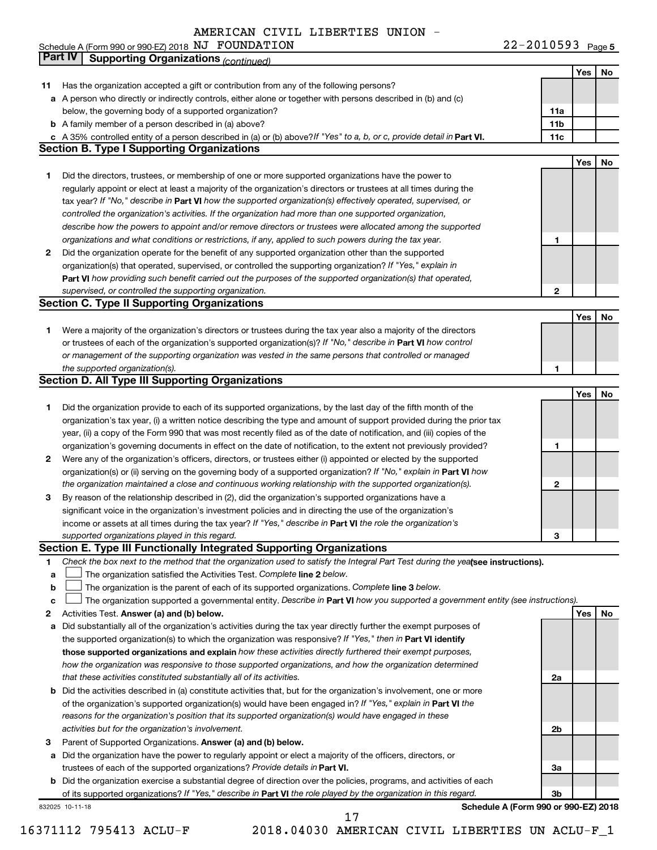22-2010593 Page 5 Schedule A (Form 990 or 990-EZ) 2018 NU PUUNDATILON NU CHARA AND ROLL AND A LATE AND NO Bage NJ FOUNDATION 22-2010593

|    | Part IV<br><b>Supporting Organizations (continued)</b>                                                                                                                                                                           |                 |     |    |
|----|----------------------------------------------------------------------------------------------------------------------------------------------------------------------------------------------------------------------------------|-----------------|-----|----|
|    |                                                                                                                                                                                                                                  |                 | Yes | No |
| 11 | Has the organization accepted a gift or contribution from any of the following persons?                                                                                                                                          |                 |     |    |
|    | a A person who directly or indirectly controls, either alone or together with persons described in (b) and (c)                                                                                                                   |                 |     |    |
|    | below, the governing body of a supported organization?                                                                                                                                                                           | 11a             |     |    |
|    | <b>b</b> A family member of a person described in (a) above?                                                                                                                                                                     | 11 <sub>b</sub> |     |    |
|    | c A 35% controlled entity of a person described in (a) or (b) above? If "Yes" to a, b, or c, provide detail in Part VI.                                                                                                          | 11c             |     |    |
|    | <b>Section B. Type I Supporting Organizations</b>                                                                                                                                                                                |                 |     |    |
|    |                                                                                                                                                                                                                                  |                 | Yes | No |
| 1  | Did the directors, trustees, or membership of one or more supported organizations have the power to                                                                                                                              |                 |     |    |
|    | regularly appoint or elect at least a majority of the organization's directors or trustees at all times during the                                                                                                               |                 |     |    |
|    | tax year? If "No," describe in Part VI how the supported organization(s) effectively operated, supervised, or                                                                                                                    |                 |     |    |
|    | controlled the organization's activities. If the organization had more than one supported organization,                                                                                                                          |                 |     |    |
|    | describe how the powers to appoint and/or remove directors or trustees were allocated among the supported                                                                                                                        |                 |     |    |
|    | organizations and what conditions or restrictions, if any, applied to such powers during the tax year.                                                                                                                           | 1               |     |    |
| 2  | Did the organization operate for the benefit of any supported organization other than the supported                                                                                                                              |                 |     |    |
|    | organization(s) that operated, supervised, or controlled the supporting organization? If "Yes," explain in                                                                                                                       |                 |     |    |
|    | Part VI how providing such benefit carried out the purposes of the supported organization(s) that operated,                                                                                                                      |                 |     |    |
|    | supervised, or controlled the supporting organization.                                                                                                                                                                           | 2               |     |    |
|    | <b>Section C. Type II Supporting Organizations</b>                                                                                                                                                                               |                 |     |    |
|    |                                                                                                                                                                                                                                  |                 | Yes | No |
| 1. | Were a majority of the organization's directors or trustees during the tax year also a majority of the directors                                                                                                                 |                 |     |    |
|    | or trustees of each of the organization's supported organization(s)? If "No," describe in Part VI how control                                                                                                                    |                 |     |    |
|    | or management of the supporting organization was vested in the same persons that controlled or managed                                                                                                                           |                 |     |    |
|    | the supported organization(s).                                                                                                                                                                                                   | 1               |     |    |
|    | <b>Section D. All Type III Supporting Organizations</b>                                                                                                                                                                          |                 |     |    |
|    |                                                                                                                                                                                                                                  |                 | Yes | No |
| 1  | Did the organization provide to each of its supported organizations, by the last day of the fifth month of the                                                                                                                   |                 |     |    |
|    | organization's tax year, (i) a written notice describing the type and amount of support provided during the prior tax                                                                                                            |                 |     |    |
|    | year, (ii) a copy of the Form 990 that was most recently filed as of the date of notification, and (iii) copies of the                                                                                                           |                 |     |    |
|    | organization's governing documents in effect on the date of notification, to the extent not previously provided?                                                                                                                 | 1               |     |    |
| 2  | Were any of the organization's officers, directors, or trustees either (i) appointed or elected by the supported                                                                                                                 |                 |     |    |
|    | organization(s) or (ii) serving on the governing body of a supported organization? If "No," explain in Part VI how                                                                                                               |                 |     |    |
|    | the organization maintained a close and continuous working relationship with the supported organization(s).                                                                                                                      | $\mathbf{2}$    |     |    |
| 3  | By reason of the relationship described in (2), did the organization's supported organizations have a                                                                                                                            |                 |     |    |
|    | significant voice in the organization's investment policies and in directing the use of the organization's                                                                                                                       |                 |     |    |
|    | income or assets at all times during the tax year? If "Yes," describe in Part VI the role the organization's                                                                                                                     |                 |     |    |
|    | supported organizations played in this regard.                                                                                                                                                                                   | з               |     |    |
|    | Section E. Type III Functionally Integrated Supporting Organizations                                                                                                                                                             |                 |     |    |
| 1  | Check the box next to the method that the organization used to satisfy the Integral Part Test during the yealsee instructions).                                                                                                  |                 |     |    |
| a  | The organization satisfied the Activities Test. Complete line 2 below.                                                                                                                                                           |                 |     |    |
| b  | The organization is the parent of each of its supported organizations. Complete line 3 below.                                                                                                                                    |                 |     |    |
| c  | The organization supported a governmental entity. Describe in Part VI how you supported a government entity (see instructions).                                                                                                  |                 |     |    |
| 2  | Activities Test. Answer (a) and (b) below.                                                                                                                                                                                       |                 | Yes | No |
| а  | Did substantially all of the organization's activities during the tax year directly further the exempt purposes of<br>the supported organization(s) to which the organization was responsive? If "Yes," then in Part VI identify |                 |     |    |
|    | those supported organizations and explain how these activities directly furthered their exempt purposes,                                                                                                                         |                 |     |    |
|    | how the organization was responsive to those supported organizations, and how the organization determined                                                                                                                        |                 |     |    |
|    | that these activities constituted substantially all of its activities.                                                                                                                                                           | 2a              |     |    |
| b  | Did the activities described in (a) constitute activities that, but for the organization's involvement, one or more                                                                                                              |                 |     |    |
|    | of the organization's supported organization(s) would have been engaged in? If "Yes," explain in Part VI the                                                                                                                     |                 |     |    |
|    | reasons for the organization's position that its supported organization(s) would have engaged in these                                                                                                                           |                 |     |    |
|    | activities but for the organization's involvement.                                                                                                                                                                               | 2b              |     |    |
| 3  | Parent of Supported Organizations. Answer (a) and (b) below.                                                                                                                                                                     |                 |     |    |
| а  | Did the organization have the power to regularly appoint or elect a majority of the officers, directors, or                                                                                                                      |                 |     |    |
|    | trustees of each of the supported organizations? Provide details in Part VI.                                                                                                                                                     | За              |     |    |
|    | <b>b</b> Did the organization exercise a substantial degree of direction over the policies, programs, and activities of each                                                                                                     |                 |     |    |
|    | of its supported organizations? If "Yes," describe in Part VI the role played by the organization in this regard.                                                                                                                | 3b              |     |    |
|    | Schedule A (Form 990 or 990-EZ) 2018<br>832025 10-11-18                                                                                                                                                                          |                 |     |    |
|    | 17                                                                                                                                                                                                                               |                 |     |    |

<sup>16371112 795413</sup> ACLU-F 2018.04030 AMERICAN CIVIL LIBERTIES UN ACLU-F\_1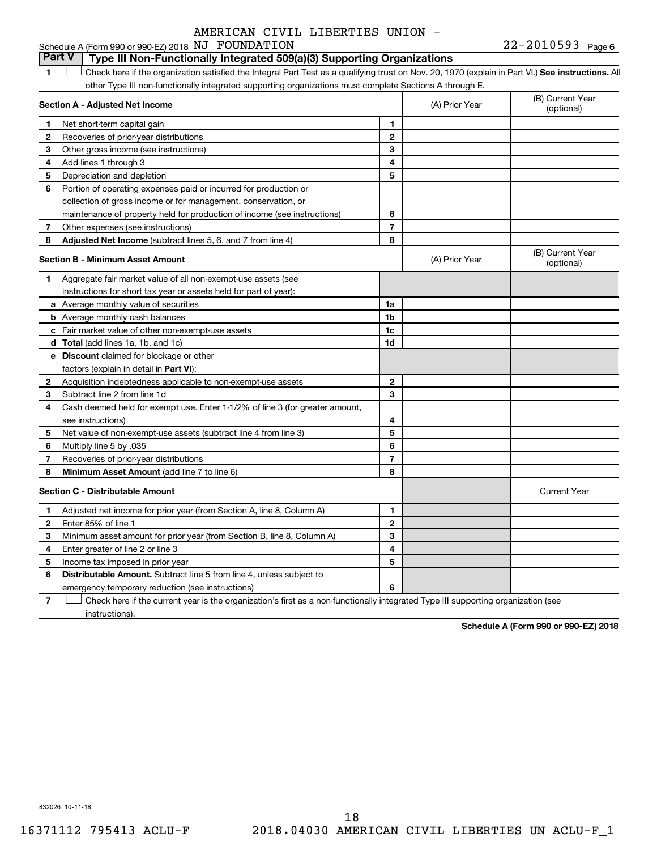# **Part V Type III Non-Functionally Integrated 509(a)(3) Supporting Organizations**

1 **Letter See instructions.** All Check here if the organization satisfied the Integral Part Test as a qualifying trust on Nov. 20, 1970 (explain in Part VI.) See instructions. All other Type III non-functionally integrated supporting organizations must complete Sections A through E.

| Section A - Adjusted Net Income |                                                                              |                | (A) Prior Year | (B) Current Year<br>(optional) |
|---------------------------------|------------------------------------------------------------------------------|----------------|----------------|--------------------------------|
| 1                               | Net short-term capital gain                                                  | 1              |                |                                |
| 2                               | Recoveries of prior-year distributions                                       | $\mathbf{2}$   |                |                                |
| 3                               | Other gross income (see instructions)                                        | 3              |                |                                |
| 4                               | Add lines 1 through 3                                                        | 4              |                |                                |
| 5                               | Depreciation and depletion                                                   | 5              |                |                                |
| 6                               | Portion of operating expenses paid or incurred for production or             |                |                |                                |
|                                 | collection of gross income or for management, conservation, or               |                |                |                                |
|                                 | maintenance of property held for production of income (see instructions)     | 6              |                |                                |
| 7                               | Other expenses (see instructions)                                            | $\overline{7}$ |                |                                |
| 8                               | Adjusted Net Income (subtract lines 5, 6, and 7 from line 4)                 | 8              |                |                                |
|                                 | <b>Section B - Minimum Asset Amount</b>                                      |                | (A) Prior Year | (B) Current Year<br>(optional) |
| 1.                              | Aggregate fair market value of all non-exempt-use assets (see                |                |                |                                |
|                                 | instructions for short tax year or assets held for part of year):            |                |                |                                |
|                                 | a Average monthly value of securities                                        | 1a             |                |                                |
|                                 | <b>b</b> Average monthly cash balances                                       | 1b             |                |                                |
|                                 | c Fair market value of other non-exempt-use assets                           | 1c             |                |                                |
|                                 | d Total (add lines 1a, 1b, and 1c)                                           | 1d             |                |                                |
|                                 | <b>e</b> Discount claimed for blockage or other                              |                |                |                                |
|                                 | factors (explain in detail in <b>Part VI</b> ):                              |                |                |                                |
| 2                               | Acquisition indebtedness applicable to non-exempt-use assets                 | 2              |                |                                |
| З                               | Subtract line 2 from line 1d                                                 | 3              |                |                                |
| 4                               | Cash deemed held for exempt use. Enter 1-1/2% of line 3 (for greater amount, |                |                |                                |
|                                 | see instructions)                                                            | 4              |                |                                |
| 5                               | Net value of non-exempt-use assets (subtract line 4 from line 3)             | 5              |                |                                |
| 6                               | Multiply line 5 by .035                                                      | 6              |                |                                |
| 7                               | Recoveries of prior-year distributions                                       | 7              |                |                                |
| 8                               | Minimum Asset Amount (add line 7 to line 6)                                  | 8              |                |                                |
|                                 | <b>Section C - Distributable Amount</b>                                      |                |                | <b>Current Year</b>            |
| 1                               | Adjusted net income for prior year (from Section A, line 8, Column A)        | 1              |                |                                |
| $\mathbf{2}$                    | Enter 85% of line 1                                                          | $\overline{2}$ |                |                                |
| З                               | Minimum asset amount for prior year (from Section B, line 8, Column A)       | 3              |                |                                |
| 4                               | Enter greater of line 2 or line 3                                            | 4              |                |                                |
| 5                               | Income tax imposed in prior year                                             | 5              |                |                                |
| 6                               | Distributable Amount. Subtract line 5 from line 4, unless subject to         |                |                |                                |
|                                 | emergency temporary reduction (see instructions)                             | 6              |                |                                |
|                                 |                                                                              |                |                |                                |

**7** Check here if the current year is the organization's first as a non-functionally integrated Type III supporting organization (see † instructions).

**Schedule A (Form 990 or 990-EZ) 2018**

832026 10-11-18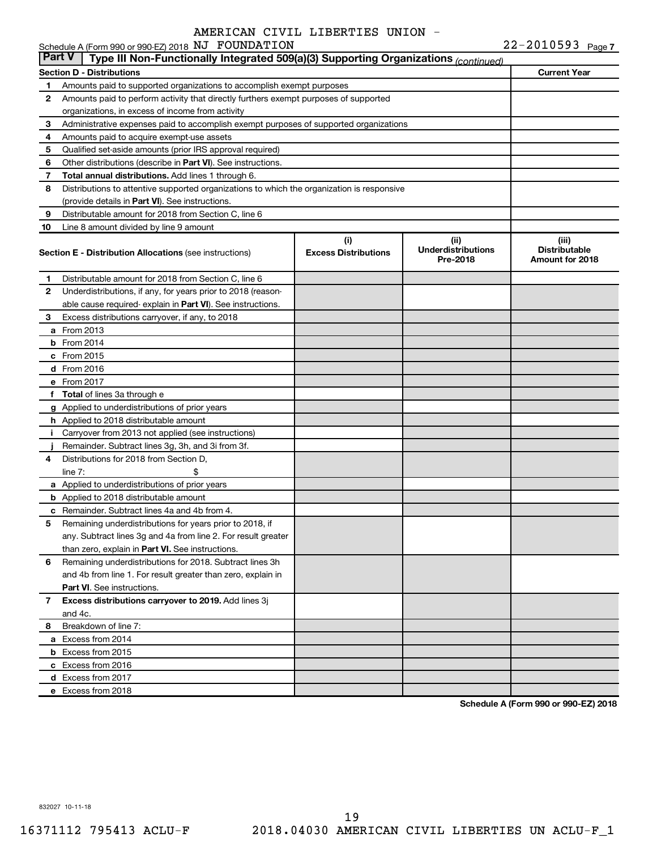|    | Schedule A (Form 990 or 990-EZ) 2018 NJ FOUNDATION                                                   |                             |                           | $22 - 2010593$ Page 7 |  |  |  |
|----|------------------------------------------------------------------------------------------------------|-----------------------------|---------------------------|-----------------------|--|--|--|
|    | <b>Part V</b><br>Type III Non-Functionally Integrated 509(a)(3) Supporting Organizations (continued) |                             |                           |                       |  |  |  |
|    | <b>Section D - Distributions</b>                                                                     |                             |                           | <b>Current Year</b>   |  |  |  |
| 1  | Amounts paid to supported organizations to accomplish exempt purposes                                |                             |                           |                       |  |  |  |
| 2  | Amounts paid to perform activity that directly furthers exempt purposes of supported                 |                             |                           |                       |  |  |  |
|    | organizations, in excess of income from activity                                                     |                             |                           |                       |  |  |  |
| 3  | Administrative expenses paid to accomplish exempt purposes of supported organizations                |                             |                           |                       |  |  |  |
| 4  | Amounts paid to acquire exempt-use assets                                                            |                             |                           |                       |  |  |  |
| 5  | Qualified set-aside amounts (prior IRS approval required)                                            |                             |                           |                       |  |  |  |
| 6  | Other distributions (describe in Part VI). See instructions.                                         |                             |                           |                       |  |  |  |
| 7  | Total annual distributions. Add lines 1 through 6.                                                   |                             |                           |                       |  |  |  |
| 8  | Distributions to attentive supported organizations to which the organization is responsive           |                             |                           |                       |  |  |  |
|    | (provide details in Part VI). See instructions.                                                      |                             |                           |                       |  |  |  |
| 9  | Distributable amount for 2018 from Section C, line 6                                                 |                             |                           |                       |  |  |  |
| 10 | Line 8 amount divided by line 9 amount                                                               |                             |                           |                       |  |  |  |
|    |                                                                                                      | (i)                         | (ii)                      | (iii)                 |  |  |  |
|    | <b>Section E - Distribution Allocations (see instructions)</b>                                       | <b>Excess Distributions</b> | <b>Underdistributions</b> | <b>Distributable</b>  |  |  |  |
|    |                                                                                                      |                             | Pre-2018                  | Amount for 2018       |  |  |  |
| 1  | Distributable amount for 2018 from Section C, line 6                                                 |                             |                           |                       |  |  |  |
| 2  | Underdistributions, if any, for years prior to 2018 (reason-                                         |                             |                           |                       |  |  |  |
|    | able cause required- explain in Part VI). See instructions.                                          |                             |                           |                       |  |  |  |
| 3  | Excess distributions carryover, if any, to 2018                                                      |                             |                           |                       |  |  |  |
|    | <b>a</b> From 2013                                                                                   |                             |                           |                       |  |  |  |
|    | $b$ From 2014                                                                                        |                             |                           |                       |  |  |  |
|    | c From 2015                                                                                          |                             |                           |                       |  |  |  |
|    | d From 2016                                                                                          |                             |                           |                       |  |  |  |
|    | e From 2017                                                                                          |                             |                           |                       |  |  |  |
|    | f Total of lines 3a through e                                                                        |                             |                           |                       |  |  |  |
|    |                                                                                                      |                             |                           |                       |  |  |  |
|    | g Applied to underdistributions of prior years                                                       |                             |                           |                       |  |  |  |
|    | <b>h</b> Applied to 2018 distributable amount                                                        |                             |                           |                       |  |  |  |
| Ť. | Carryover from 2013 not applied (see instructions)                                                   |                             |                           |                       |  |  |  |
|    | Remainder. Subtract lines 3g, 3h, and 3i from 3f.                                                    |                             |                           |                       |  |  |  |
| 4  | Distributions for 2018 from Section D,                                                               |                             |                           |                       |  |  |  |
|    | line $7:$                                                                                            |                             |                           |                       |  |  |  |
|    | a Applied to underdistributions of prior years                                                       |                             |                           |                       |  |  |  |
|    | <b>b</b> Applied to 2018 distributable amount                                                        |                             |                           |                       |  |  |  |
|    | <b>c</b> Remainder. Subtract lines 4a and 4b from 4.                                                 |                             |                           |                       |  |  |  |
|    | 5 Remaining underdistributions for years prior to 2018, if                                           |                             |                           |                       |  |  |  |
|    | any. Subtract lines 3g and 4a from line 2. For result greater                                        |                             |                           |                       |  |  |  |
|    | than zero, explain in Part VI. See instructions.                                                     |                             |                           |                       |  |  |  |
| 6  | Remaining underdistributions for 2018. Subtract lines 3h                                             |                             |                           |                       |  |  |  |
|    | and 4b from line 1. For result greater than zero, explain in                                         |                             |                           |                       |  |  |  |
|    | <b>Part VI.</b> See instructions.                                                                    |                             |                           |                       |  |  |  |
| 7  | Excess distributions carryover to 2019. Add lines 3j                                                 |                             |                           |                       |  |  |  |
|    | and 4c.                                                                                              |                             |                           |                       |  |  |  |
| 8  | Breakdown of line 7:                                                                                 |                             |                           |                       |  |  |  |
|    | a Excess from 2014                                                                                   |                             |                           |                       |  |  |  |
|    | <b>b</b> Excess from 2015                                                                            |                             |                           |                       |  |  |  |
|    | c Excess from 2016                                                                                   |                             |                           |                       |  |  |  |
|    | d Excess from 2017                                                                                   |                             |                           |                       |  |  |  |
|    | e Excess from 2018                                                                                   |                             |                           |                       |  |  |  |

**Schedule A (Form 990 or 990-EZ) 2018**

832027 10-11-18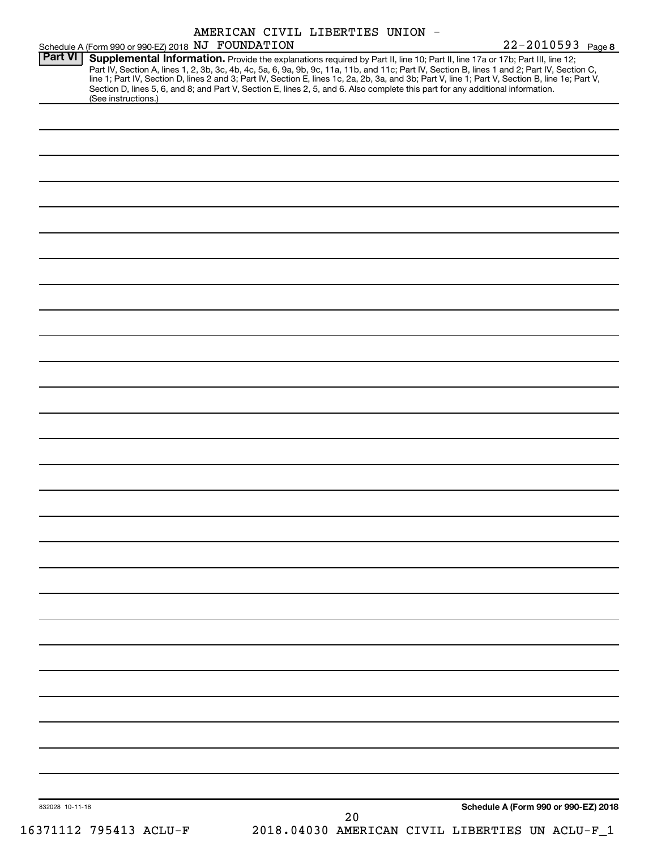| Schedule A (Form 990 or 990-EZ) 2018 NJ FOUNDATION | AMERICAN CIVIL LIBERTIES UNION -                                                                                                                                                                                                                                                                                                                                                                                                                                                                                                                                     | 22-2010593 Page 8                    |
|----------------------------------------------------|----------------------------------------------------------------------------------------------------------------------------------------------------------------------------------------------------------------------------------------------------------------------------------------------------------------------------------------------------------------------------------------------------------------------------------------------------------------------------------------------------------------------------------------------------------------------|--------------------------------------|
| <b>Part VI</b><br>(See instructions.)              | Supplemental Information. Provide the explanations required by Part II, line 10; Part II, line 17a or 17b; Part III, line 12;<br>Part IV, Section A, lines 1, 2, 3b, 3c, 4b, 4c, 5a, 6, 9a, 9b, 9c, 11a, 11b, and 11c; Part IV, Section B, lines 1 and 2; Part IV, Section C,<br>line 1; Part IV, Section D, lines 2 and 3; Part IV, Section E, lines 1c, 2a, 2b, 3a, and 3b; Part V, line 1; Part V, Section B, line 1e; Part V,<br>Section D, lines 5, 6, and 8; and Part V, Section E, lines 2, 5, and 6. Also complete this part for any additional information. |                                      |
|                                                    |                                                                                                                                                                                                                                                                                                                                                                                                                                                                                                                                                                      |                                      |
|                                                    |                                                                                                                                                                                                                                                                                                                                                                                                                                                                                                                                                                      |                                      |
|                                                    |                                                                                                                                                                                                                                                                                                                                                                                                                                                                                                                                                                      |                                      |
|                                                    |                                                                                                                                                                                                                                                                                                                                                                                                                                                                                                                                                                      |                                      |
|                                                    |                                                                                                                                                                                                                                                                                                                                                                                                                                                                                                                                                                      |                                      |
|                                                    |                                                                                                                                                                                                                                                                                                                                                                                                                                                                                                                                                                      |                                      |
|                                                    |                                                                                                                                                                                                                                                                                                                                                                                                                                                                                                                                                                      |                                      |
|                                                    |                                                                                                                                                                                                                                                                                                                                                                                                                                                                                                                                                                      |                                      |
|                                                    |                                                                                                                                                                                                                                                                                                                                                                                                                                                                                                                                                                      |                                      |
|                                                    |                                                                                                                                                                                                                                                                                                                                                                                                                                                                                                                                                                      |                                      |
|                                                    |                                                                                                                                                                                                                                                                                                                                                                                                                                                                                                                                                                      |                                      |
|                                                    |                                                                                                                                                                                                                                                                                                                                                                                                                                                                                                                                                                      |                                      |
|                                                    |                                                                                                                                                                                                                                                                                                                                                                                                                                                                                                                                                                      |                                      |
|                                                    |                                                                                                                                                                                                                                                                                                                                                                                                                                                                                                                                                                      |                                      |
|                                                    |                                                                                                                                                                                                                                                                                                                                                                                                                                                                                                                                                                      |                                      |
|                                                    |                                                                                                                                                                                                                                                                                                                                                                                                                                                                                                                                                                      |                                      |
|                                                    |                                                                                                                                                                                                                                                                                                                                                                                                                                                                                                                                                                      |                                      |
|                                                    |                                                                                                                                                                                                                                                                                                                                                                                                                                                                                                                                                                      |                                      |
|                                                    |                                                                                                                                                                                                                                                                                                                                                                                                                                                                                                                                                                      |                                      |
|                                                    |                                                                                                                                                                                                                                                                                                                                                                                                                                                                                                                                                                      |                                      |
|                                                    |                                                                                                                                                                                                                                                                                                                                                                                                                                                                                                                                                                      |                                      |
|                                                    |                                                                                                                                                                                                                                                                                                                                                                                                                                                                                                                                                                      |                                      |
|                                                    |                                                                                                                                                                                                                                                                                                                                                                                                                                                                                                                                                                      |                                      |
|                                                    |                                                                                                                                                                                                                                                                                                                                                                                                                                                                                                                                                                      |                                      |
|                                                    |                                                                                                                                                                                                                                                                                                                                                                                                                                                                                                                                                                      |                                      |
|                                                    |                                                                                                                                                                                                                                                                                                                                                                                                                                                                                                                                                                      |                                      |
|                                                    |                                                                                                                                                                                                                                                                                                                                                                                                                                                                                                                                                                      |                                      |
|                                                    |                                                                                                                                                                                                                                                                                                                                                                                                                                                                                                                                                                      |                                      |
|                                                    |                                                                                                                                                                                                                                                                                                                                                                                                                                                                                                                                                                      |                                      |
|                                                    |                                                                                                                                                                                                                                                                                                                                                                                                                                                                                                                                                                      |                                      |
|                                                    |                                                                                                                                                                                                                                                                                                                                                                                                                                                                                                                                                                      |                                      |
| 832028 10-11-18                                    | 20                                                                                                                                                                                                                                                                                                                                                                                                                                                                                                                                                                   | Schedule A (Form 990 or 990-EZ) 2018 |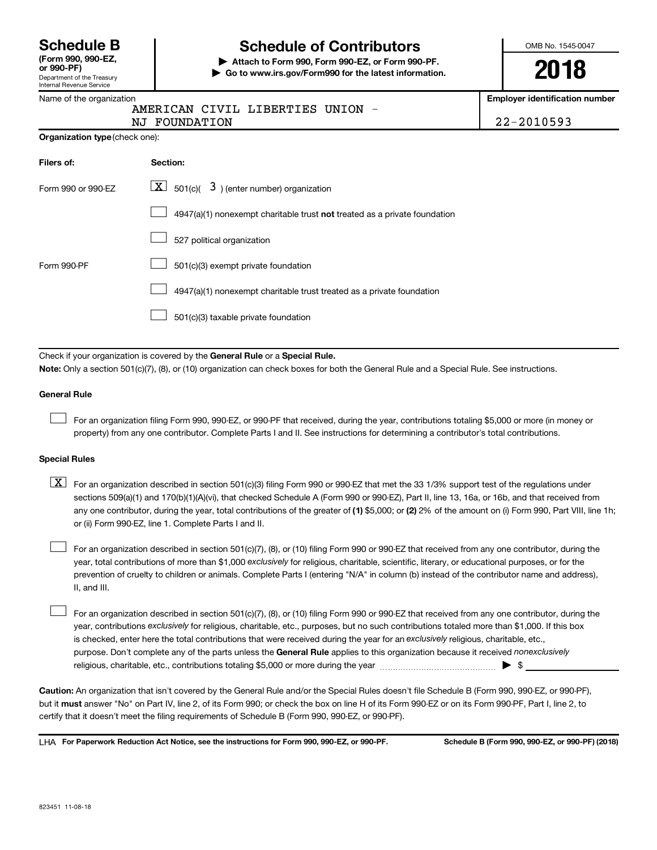| <b>Schedule B</b>          |  |  |
|----------------------------|--|--|
| $T$ , $\ldots$ and and $T$ |  |  |

# Department of the Treasury **(Form 990, 990-EZ,**

# Internal Revenue Service

# **Schedule of Contributors**

**or 990-PF) | Attach to Form 990, Form 990-EZ, or Form 990-PF. | Go to www.irs.gov/Form990 for the latest information.** OMB No. 1545-0047

**2018**

**Employer identification number**

|  | Name of the organization |  |
|--|--------------------------|--|
|  |                          |  |

|               | AMERICAN CIVIL LIBERTIES UNION |                |
|---------------|--------------------------------|----------------|
| NJ FOUNDATION |                                | $22 - 2010593$ |

| <b>Organization type (check one):</b> |                                                                           |  |  |  |
|---------------------------------------|---------------------------------------------------------------------------|--|--|--|
| Filers of:                            | <b>Section:</b>                                                           |  |  |  |
| Form 990 or 990-EZ                    | $\boxed{\textbf{X}}$ 501(c)( 3) (enter number) organization               |  |  |  |
|                                       | 4947(a)(1) nonexempt charitable trust not treated as a private foundation |  |  |  |
|                                       | 527 political organization                                                |  |  |  |
| Form 990-PF                           | 501(c)(3) exempt private foundation                                       |  |  |  |
|                                       | 4947(a)(1) nonexempt charitable trust treated as a private foundation     |  |  |  |

501(c)(3) taxable private foundation  $\Box$ 

Check if your organization is covered by the General Rule or a Special Rule.

**Note:**  Only a section 501(c)(7), (8), or (10) organization can check boxes for both the General Rule and a Special Rule. See instructions.

#### **General Rule**

 $\Box$ 

For an organization filing Form 990, 990-EZ, or 990-PF that received, during the year, contributions totaling \$5,000 or more (in money or property) from any one contributor. Complete Parts I and II. See instructions for determining a contributor's total contributions.

#### **Special Rules**

any one contributor, during the year, total contributions of the greater of (1) \$5,000; or (2) 2% of the amount on (i) Form 990, Part VIII, line 1h;  $\boxed{\text{X}}$  For an organization described in section 501(c)(3) filing Form 990 or 990-EZ that met the 33 1/3% support test of the regulations under sections 509(a)(1) and 170(b)(1)(A)(vi), that checked Schedule A (Form 990 or 990-EZ), Part II, line 13, 16a, or 16b, and that received from or (ii) Form 990-EZ, line 1. Complete Parts I and II.

year, total contributions of more than \$1,000 *exclusively* for religious, charitable, scientific, literary, or educational purposes, or for the For an organization described in section 501(c)(7), (8), or (10) filing Form 990 or 990-EZ that received from any one contributor, during the prevention of cruelty to children or animals. Complete Parts I (entering "N/A" in column (b) instead of the contributor name and address), II, and III.  $\Box$ 

purpose. Don't complete any of the parts unless the General Rule applies to this organization because it received nonexclusively year, contributions exclusively for religious, charitable, etc., purposes, but no such contributions totaled more than \$1,000. If this box is checked, enter here the total contributions that were received during the year for an exclusively religious, charitable, etc., For an organization described in section 501(c)(7), (8), or (10) filing Form 990 or 990-EZ that received from any one contributor, during the religious, charitable, etc., contributions totaling \$5,000 or more during the year  $~\ldots\ldots\ldots\ldots\ldots\ldots\ldots\ldots\ldots\blacktriangleright~$ \$  $\Box$ 

**Caution:**  An organization that isn't covered by the General Rule and/or the Special Rules doesn't file Schedule B (Form 990, 990-EZ, or 990-PF),  **must** but it answer "No" on Part IV, line 2, of its Form 990; or check the box on line H of its Form 990-EZ or on its Form 990-PF, Part I, line 2, to certify that it doesn't meet the filing requirements of Schedule B (Form 990, 990-EZ, or 990-PF).

**For Paperwork Reduction Act Notice, see the instructions for Form 990, 990-EZ, or 990-PF. Schedule B (Form 990, 990-EZ, or 990-PF) (2018)** LHA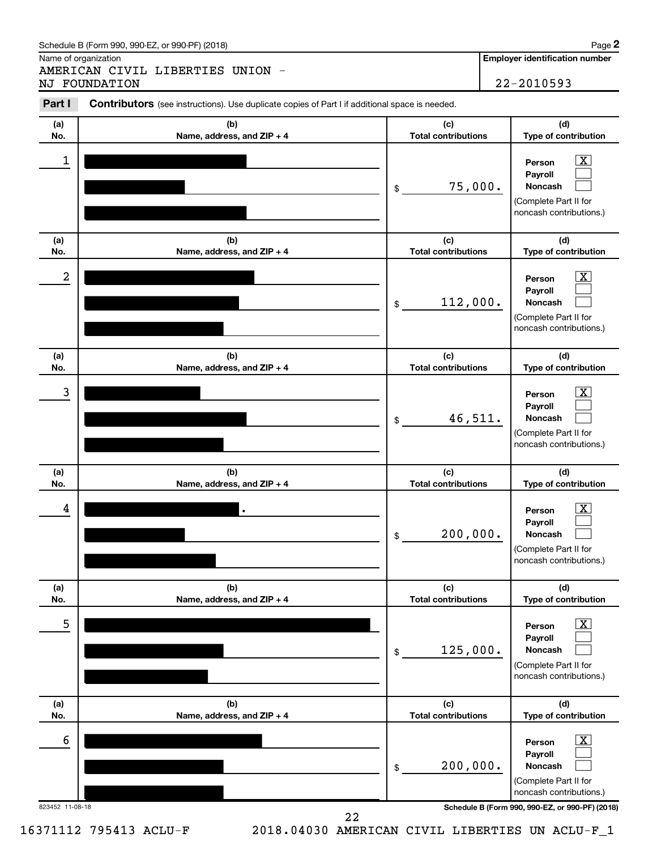Name of organization

AMERICAN CIVIL LIBERTIES UNION - NJ FOUNDATION 22-2010593 **2**

| Part I          | <b>Contributors</b> (see instructions). Use duplicate copies of Part I if additional space is needed. |                                   |                                                                                                  |
|-----------------|-------------------------------------------------------------------------------------------------------|-----------------------------------|--------------------------------------------------------------------------------------------------|
| (a)<br>No.      | (b)<br>Name, address, and ZIP + 4                                                                     | (c)<br><b>Total contributions</b> | (d)<br>Type of contribution                                                                      |
| 1               |                                                                                                       | 75,000.<br>\$                     | $\mathbf{X}$<br>Person<br>Payroll<br>Noncash<br>(Complete Part II for<br>noncash contributions.) |
| (a)<br>No.      | (b)<br>Name, address, and ZIP + 4                                                                     | (c)<br><b>Total contributions</b> | (d)<br>Type of contribution                                                                      |
| 2               |                                                                                                       | 112,000.<br>\$                    | $\mathbf{X}$<br>Person<br>Payroll<br>Noncash<br>(Complete Part II for<br>noncash contributions.) |
| (a)<br>No.      | (b)<br>Name, address, and ZIP + 4                                                                     | (c)<br><b>Total contributions</b> | (d)<br>Type of contribution                                                                      |
| 3               |                                                                                                       | 46,511.<br>\$                     | $\mathbf{X}$<br>Person<br>Payroll<br>Noncash<br>(Complete Part II for<br>noncash contributions.) |
| (a)<br>No.      | (b)<br>Name, address, and ZIP + 4                                                                     | (c)<br><b>Total contributions</b> | (d)<br>Type of contribution                                                                      |
| 4               |                                                                                                       | 200,000.<br>\$                    | $\mathbf{X}$<br>Person<br>Payroll<br>Noncash<br>(Complete Part II for<br>noncash contributions.) |
| (a)<br>No.      | (b)<br>Name, address, and ZIP + 4                                                                     | (c)<br><b>Total contributions</b> | (d)<br>Type of contribution                                                                      |
| 5               |                                                                                                       | 125,000.<br>\$                    | $\mathbf{X}$<br>Person<br>Payroll<br>Noncash<br>(Complete Part II for<br>noncash contributions.) |
| (a)<br>No.      | (b)<br>Name, address, and ZIP + 4                                                                     | (c)<br><b>Total contributions</b> | (d)<br>Type of contribution                                                                      |
| 6               |                                                                                                       | 200,000.<br>\$                    | $\mathbf{X}$<br>Person<br>Payroll<br>Noncash<br>(Complete Part II for<br>noncash contributions.) |
| 823452 11-08-18 | 22                                                                                                    |                                   | Schedule B (Form 990, 990-EZ, or 990-PF) (2018)                                                  |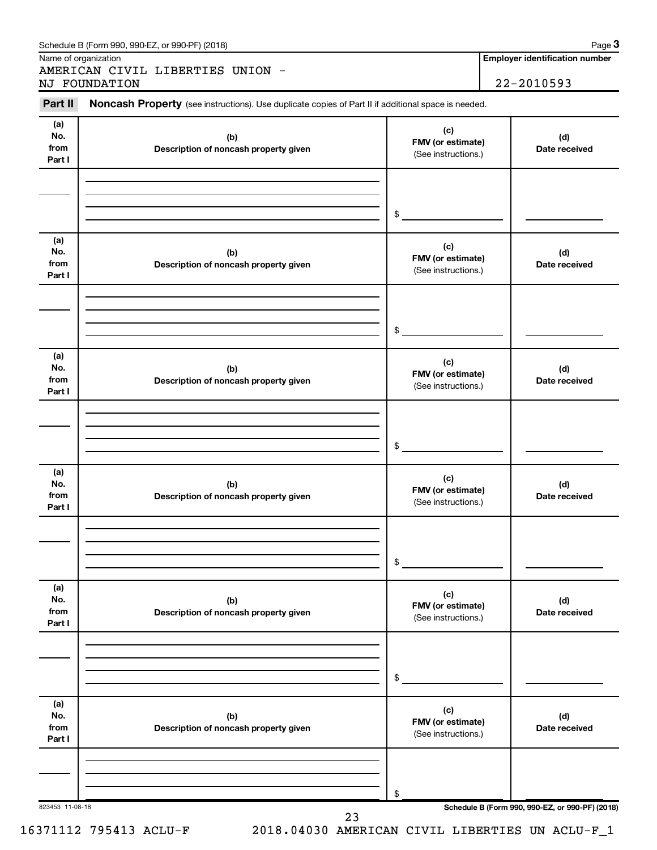| Part II                      | Noncash Property (see instructions). Use duplicate copies of Part II if additional space is needed. |                                                 |                      |  |  |
|------------------------------|-----------------------------------------------------------------------------------------------------|-------------------------------------------------|----------------------|--|--|
| (a)<br>No.<br>from<br>Part I | (b)<br>Description of noncash property given                                                        | (c)<br>FMV (or estimate)<br>(See instructions.) | (d)<br>Date received |  |  |
|                              |                                                                                                     | $\frac{1}{2}$                                   |                      |  |  |
| (a)<br>No.<br>from<br>Part I | (b)<br>Description of noncash property given                                                        | (c)<br>FMV (or estimate)<br>(See instructions.) | (d)<br>Date received |  |  |
|                              |                                                                                                     | $\frac{1}{2}$                                   |                      |  |  |
| (a)<br>No.<br>from<br>Part I | (b)<br>Description of noncash property given                                                        | (c)<br>FMV (or estimate)<br>(See instructions.) | (d)<br>Date received |  |  |
|                              |                                                                                                     | $$\mathbb{S}$$                                  |                      |  |  |
| (a)<br>No.<br>from<br>Part I | (b)<br>Description of noncash property given                                                        | (c)<br>FMV (or estimate)<br>(See instructions.) | (d)<br>Date received |  |  |
|                              |                                                                                                     | \$                                              |                      |  |  |
| (a)<br>No.<br>from<br>Part I | (b)<br>Description of noncash property given                                                        | (c)<br>FMV (or estimate)<br>(See instructions.) | (d)<br>Date received |  |  |
|                              |                                                                                                     | \$                                              |                      |  |  |
| (a)<br>No.<br>from<br>Part I | (b)<br>Description of noncash property given                                                        | (c)<br>FMV (or estimate)<br>(See instructions.) | (d)<br>Date received |  |  |
|                              |                                                                                                     | \$                                              |                      |  |  |

16371112 795413 ACLU-F 2018.04030 AMERICAN CIVIL LIBERTIES UN ACLU-F\_1

**3**

**Employer identification number**

| Schedule B (Form 990, 990-EZ, or 990-PF) (2018) | Page |
|-------------------------------------------------|------|
|-------------------------------------------------|------|

Name of organization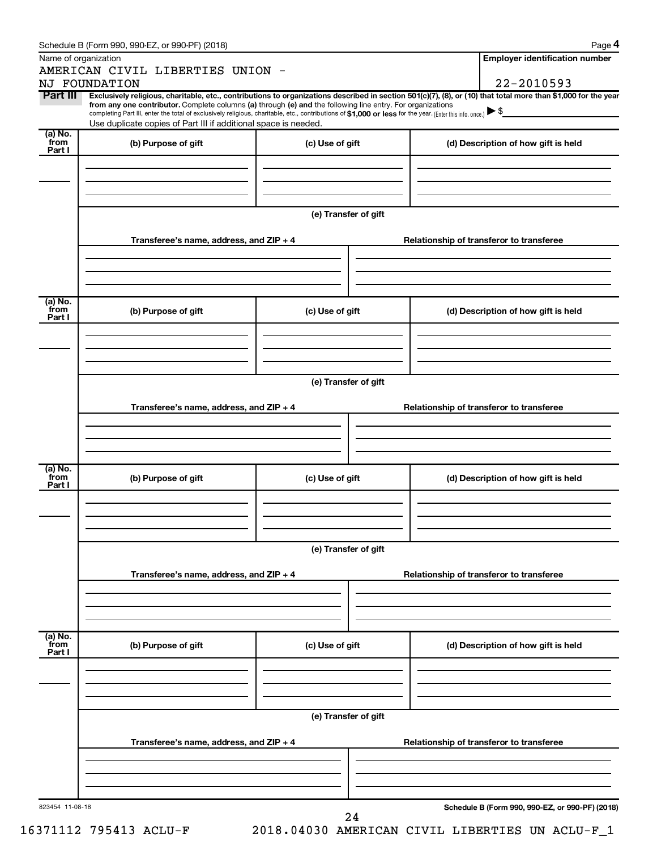|                           | Schedule B (Form 990, 990-EZ, or 990-PF) (2018)                                                                                                                                                                                                                        |                      | Page 4                                          |
|---------------------------|------------------------------------------------------------------------------------------------------------------------------------------------------------------------------------------------------------------------------------------------------------------------|----------------------|-------------------------------------------------|
|                           | Name of organization                                                                                                                                                                                                                                                   |                      | <b>Employer identification number</b>           |
|                           | AMERICAN CIVIL LIBERTIES UNION -<br><b>NJ FOUNDATION</b>                                                                                                                                                                                                               |                      | 22-2010593                                      |
| Part III                  | Exclusively religious, charitable, etc., contributions to organizations described in section 501(c)(7), (8), or (10) that total more than \$1,000 for the year                                                                                                         |                      |                                                 |
|                           | from any one contributor. Complete columns (a) through (e) and the following line entry. For organizations<br>completing Part III, enter the total of exclusively religious, charitable, etc., contributions of \$1,000 or less for the year. (Enter this info. once.) |                      |                                                 |
|                           | Use duplicate copies of Part III if additional space is needed.                                                                                                                                                                                                        |                      |                                                 |
| $(a)$ No.<br>from         | (b) Purpose of gift                                                                                                                                                                                                                                                    | (c) Use of gift      |                                                 |
| Part I                    |                                                                                                                                                                                                                                                                        |                      | (d) Description of how gift is held             |
|                           |                                                                                                                                                                                                                                                                        |                      |                                                 |
|                           |                                                                                                                                                                                                                                                                        |                      |                                                 |
|                           |                                                                                                                                                                                                                                                                        |                      |                                                 |
|                           |                                                                                                                                                                                                                                                                        | (e) Transfer of gift |                                                 |
|                           |                                                                                                                                                                                                                                                                        |                      |                                                 |
|                           | Transferee's name, address, and ZIP + 4                                                                                                                                                                                                                                |                      | Relationship of transferor to transferee        |
|                           |                                                                                                                                                                                                                                                                        |                      |                                                 |
|                           |                                                                                                                                                                                                                                                                        |                      |                                                 |
|                           |                                                                                                                                                                                                                                                                        |                      |                                                 |
| (a) No.<br>from           | (b) Purpose of gift                                                                                                                                                                                                                                                    | (c) Use of gift      | (d) Description of how gift is held             |
| Part I                    |                                                                                                                                                                                                                                                                        |                      |                                                 |
|                           |                                                                                                                                                                                                                                                                        |                      |                                                 |
|                           |                                                                                                                                                                                                                                                                        |                      |                                                 |
|                           |                                                                                                                                                                                                                                                                        |                      |                                                 |
|                           |                                                                                                                                                                                                                                                                        | (e) Transfer of gift |                                                 |
|                           |                                                                                                                                                                                                                                                                        |                      |                                                 |
|                           | Transferee's name, address, and ZIP + 4                                                                                                                                                                                                                                |                      | Relationship of transferor to transferee        |
|                           |                                                                                                                                                                                                                                                                        |                      |                                                 |
|                           |                                                                                                                                                                                                                                                                        |                      |                                                 |
|                           |                                                                                                                                                                                                                                                                        |                      |                                                 |
| (a) No.<br>from           | (b) Purpose of gift                                                                                                                                                                                                                                                    | (c) Use of gift      | (d) Description of how gift is held             |
| Part I                    |                                                                                                                                                                                                                                                                        |                      |                                                 |
|                           |                                                                                                                                                                                                                                                                        |                      |                                                 |
|                           |                                                                                                                                                                                                                                                                        |                      |                                                 |
|                           |                                                                                                                                                                                                                                                                        |                      |                                                 |
|                           |                                                                                                                                                                                                                                                                        | (e) Transfer of gift |                                                 |
|                           | Transferee's name, address, and ZIP + 4                                                                                                                                                                                                                                |                      | Relationship of transferor to transferee        |
|                           |                                                                                                                                                                                                                                                                        |                      |                                                 |
|                           |                                                                                                                                                                                                                                                                        |                      |                                                 |
|                           |                                                                                                                                                                                                                                                                        |                      |                                                 |
|                           |                                                                                                                                                                                                                                                                        |                      |                                                 |
| (a) No.<br>from<br>Part I | (b) Purpose of gift                                                                                                                                                                                                                                                    | (c) Use of gift      | (d) Description of how gift is held             |
|                           |                                                                                                                                                                                                                                                                        |                      |                                                 |
|                           |                                                                                                                                                                                                                                                                        |                      |                                                 |
|                           |                                                                                                                                                                                                                                                                        |                      |                                                 |
|                           |                                                                                                                                                                                                                                                                        |                      |                                                 |
|                           |                                                                                                                                                                                                                                                                        | (e) Transfer of gift |                                                 |
|                           | Transferee's name, address, and ZIP + 4                                                                                                                                                                                                                                |                      | Relationship of transferor to transferee        |
|                           |                                                                                                                                                                                                                                                                        |                      |                                                 |
|                           |                                                                                                                                                                                                                                                                        |                      |                                                 |
|                           |                                                                                                                                                                                                                                                                        |                      |                                                 |
| 823454 11-08-18           |                                                                                                                                                                                                                                                                        |                      | Schedule B (Form 990, 990-EZ, or 990-PF) (2018) |
|                           |                                                                                                                                                                                                                                                                        | 24                   |                                                 |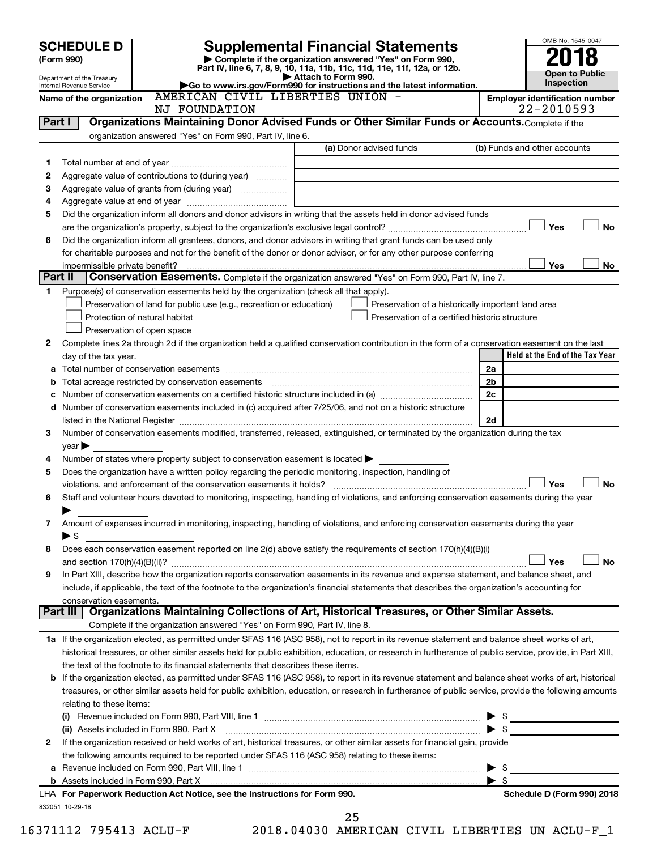| <b>Supplemental Financial Statements</b><br><b>SCHEDULE D</b><br>Complete if the organization answered "Yes" on Form 990,<br>(Form 990)<br>Part IV, line 6, 7, 8, 9, 10, 11a, 11b, 11c, 11d, 11e, 11f, 12a, or 12b.<br><b>Open to Public</b><br>Attach to Form 990.<br>Department of the Treasury<br>Inspection<br>Go to www.irs.gov/Form990 for instructions and the latest information.<br>Internal Revenue Service<br>AMERICAN CIVIL LIBERTIES UNION -<br><b>Employer identification number</b><br>Name of the organization<br>22-2010593<br>NJ FOUNDATION<br>Organizations Maintaining Donor Advised Funds or Other Similar Funds or Accounts. Complete if the<br>Part I<br>organization answered "Yes" on Form 990, Part IV, line 6.<br>(a) Donor advised funds<br>(b) Funds and other accounts<br>1<br>Aggregate value of contributions to (during year)<br>2<br>3<br>Aggregate value of grants from (during year)<br>4<br>Did the organization inform all donors and donor advisors in writing that the assets held in donor advised funds<br>5<br>Yes<br>No<br>Did the organization inform all grantees, donors, and donor advisors in writing that grant funds can be used only<br>6<br>for charitable purposes and not for the benefit of the donor or donor advisor, or for any other purpose conferring<br>Yes<br>No<br>impermissible private benefit?<br>Part II<br>Conservation Easements. Complete if the organization answered "Yes" on Form 990, Part IV, line 7.<br>Purpose(s) of conservation easements held by the organization (check all that apply).<br>1.<br>Preservation of land for public use (e.g., recreation or education)<br>Preservation of a historically important land area<br>Protection of natural habitat<br>Preservation of a certified historic structure<br>Preservation of open space<br>Complete lines 2a through 2d if the organization held a qualified conservation contribution in the form of a conservation easement on the last<br>2<br>Held at the End of the Tax Year<br>day of the tax year.<br>2a<br>а<br>2 <sub>b</sub><br>Total acreage restricted by conservation easements<br>b<br>2c<br>с<br>d Number of conservation easements included in (c) acquired after 7/25/06, and not on a historic structure<br>2d<br>listed in the National Register [111] Marshall Register [11] Marshall Register [11] Marshall Register [11] Marshall Register [11] Marshall Register [11] Marshall Register [11] Marshall Register [11] Marshall Register [11]<br>Number of conservation easements modified, transferred, released, extinguished, or terminated by the organization during the tax<br>3<br>$year \triangleright$<br>Number of states where property subject to conservation easement is located ><br>4<br>Does the organization have a written policy regarding the periodic monitoring, inspection, handling of<br>5<br>Yes<br><b>No</b><br>violations, and enforcement of the conservation easements it holds?<br>Staff and volunteer hours devoted to monitoring, inspecting, handling of violations, and enforcing conservation easements during the year<br>6<br>Amount of expenses incurred in monitoring, inspecting, handling of violations, and enforcing conservation easements during the year<br>7<br>$\blacktriangleright$ \$<br>Does each conservation easement reported on line 2(d) above satisfy the requirements of section 170(h)(4)(B)(i)<br>8<br>Yes<br>No<br>In Part XIII, describe how the organization reports conservation easements in its revenue and expense statement, and balance sheet, and<br>9<br>include, if applicable, the text of the footnote to the organization's financial statements that describes the organization's accounting for<br>conservation easements.<br>Organizations Maintaining Collections of Art, Historical Treasures, or Other Similar Assets.<br>Part III<br>Complete if the organization answered "Yes" on Form 990, Part IV, line 8.<br>1a If the organization elected, as permitted under SFAS 116 (ASC 958), not to report in its revenue statement and balance sheet works of art,<br>historical treasures, or other similar assets held for public exhibition, education, or research in furtherance of public service, provide, in Part XIII,<br>the text of the footnote to its financial statements that describes these items.<br>If the organization elected, as permitted under SFAS 116 (ASC 958), to report in its revenue statement and balance sheet works of art, historical<br>b<br>treasures, or other similar assets held for public exhibition, education, or research in furtherance of public service, provide the following amounts<br>relating to these items:<br>$\blacktriangleright$ \$<br>(ii) Assets included in Form 990, Part X [1] [1] [1] [1] [1] [1] Assets included in Form 990, Part X<br>If the organization received or held works of art, historical treasures, or other similar assets for financial gain, provide<br>2<br>the following amounts required to be reported under SFAS 116 (ASC 958) relating to these items:<br>$\blacktriangleright$ \$<br>$\blacktriangleright$ \$<br>Schedule D (Form 990) 2018<br>LHA For Paperwork Reduction Act Notice, see the Instructions for Form 990.<br>832051 10-29-18 |  |  | OMB No. 1545-0047 |
|------------------------------------------------------------------------------------------------------------------------------------------------------------------------------------------------------------------------------------------------------------------------------------------------------------------------------------------------------------------------------------------------------------------------------------------------------------------------------------------------------------------------------------------------------------------------------------------------------------------------------------------------------------------------------------------------------------------------------------------------------------------------------------------------------------------------------------------------------------------------------------------------------------------------------------------------------------------------------------------------------------------------------------------------------------------------------------------------------------------------------------------------------------------------------------------------------------------------------------------------------------------------------------------------------------------------------------------------------------------------------------------------------------------------------------------------------------------------------------------------------------------------------------------------------------------------------------------------------------------------------------------------------------------------------------------------------------------------------------------------------------------------------------------------------------------------------------------------------------------------------------------------------------------------------------------------------------------------------------------------------------------------------------------------------------------------------------------------------------------------------------------------------------------------------------------------------------------------------------------------------------------------------------------------------------------------------------------------------------------------------------------------------------------------------------------------------------------------------------------------------------------------------------------------------------------------------------------------------------------------------------------------------------------------------------------------------------------------------------------------------------------------------------------------------------------------------------------------------------------------------------------------------------------------------------------------------------------------------------------------------------------------------------------------------------------------------------------------------------------------------------------------------------------------------------------------------------------------------------------------------------------------------------------------------------------------------------------------------------------------------------------------------------------------------------------------------------------------------------------------------------------------------------------------------------------------------------------------------------------------------------------------------------------------------------------------------------------------------------------------------------------------------------------------------------------------------------------------------------------------------------------------------------------------------------------------------------------------------------------------------------------------------------------------------------------------------------------------------------------------------------------------------------------------------------------------------------------------------------------------------------------------------------------------------------------------------------------------------------------------------------------------------------------------------------------------------------------------------------------------------------------------------------------------------------------------------------------------------------------------------------------------------------------------------------------------------------------------------------------------------------------------------------------------------------------------------------------------------------------------------------------------------------------------------------------------------------------------------------------------------------------------------------------------------------------------------------------------------------------------------------------------------------------------------------------------------------------------------------------------------------------------------------|--|--|-------------------|
|                                                                                                                                                                                                                                                                                                                                                                                                                                                                                                                                                                                                                                                                                                                                                                                                                                                                                                                                                                                                                                                                                                                                                                                                                                                                                                                                                                                                                                                                                                                                                                                                                                                                                                                                                                                                                                                                                                                                                                                                                                                                                                                                                                                                                                                                                                                                                                                                                                                                                                                                                                                                                                                                                                                                                                                                                                                                                                                                                                                                                                                                                                                                                                                                                                                                                                                                                                                                                                                                                                                                                                                                                                                                                                                                                                                                                                                                                                                                                                                                                                                                                                                                                                                                                                                                                                                                                                                                                                                                                                                                                                                                                                                                                                                                                                                                                                                                                                                                                                                                                                                                                                                                                                                                                                                                                    |  |  |                   |
|                                                                                                                                                                                                                                                                                                                                                                                                                                                                                                                                                                                                                                                                                                                                                                                                                                                                                                                                                                                                                                                                                                                                                                                                                                                                                                                                                                                                                                                                                                                                                                                                                                                                                                                                                                                                                                                                                                                                                                                                                                                                                                                                                                                                                                                                                                                                                                                                                                                                                                                                                                                                                                                                                                                                                                                                                                                                                                                                                                                                                                                                                                                                                                                                                                                                                                                                                                                                                                                                                                                                                                                                                                                                                                                                                                                                                                                                                                                                                                                                                                                                                                                                                                                                                                                                                                                                                                                                                                                                                                                                                                                                                                                                                                                                                                                                                                                                                                                                                                                                                                                                                                                                                                                                                                                                                    |  |  |                   |
|                                                                                                                                                                                                                                                                                                                                                                                                                                                                                                                                                                                                                                                                                                                                                                                                                                                                                                                                                                                                                                                                                                                                                                                                                                                                                                                                                                                                                                                                                                                                                                                                                                                                                                                                                                                                                                                                                                                                                                                                                                                                                                                                                                                                                                                                                                                                                                                                                                                                                                                                                                                                                                                                                                                                                                                                                                                                                                                                                                                                                                                                                                                                                                                                                                                                                                                                                                                                                                                                                                                                                                                                                                                                                                                                                                                                                                                                                                                                                                                                                                                                                                                                                                                                                                                                                                                                                                                                                                                                                                                                                                                                                                                                                                                                                                                                                                                                                                                                                                                                                                                                                                                                                                                                                                                                                    |  |  |                   |
|                                                                                                                                                                                                                                                                                                                                                                                                                                                                                                                                                                                                                                                                                                                                                                                                                                                                                                                                                                                                                                                                                                                                                                                                                                                                                                                                                                                                                                                                                                                                                                                                                                                                                                                                                                                                                                                                                                                                                                                                                                                                                                                                                                                                                                                                                                                                                                                                                                                                                                                                                                                                                                                                                                                                                                                                                                                                                                                                                                                                                                                                                                                                                                                                                                                                                                                                                                                                                                                                                                                                                                                                                                                                                                                                                                                                                                                                                                                                                                                                                                                                                                                                                                                                                                                                                                                                                                                                                                                                                                                                                                                                                                                                                                                                                                                                                                                                                                                                                                                                                                                                                                                                                                                                                                                                                    |  |  |                   |
|                                                                                                                                                                                                                                                                                                                                                                                                                                                                                                                                                                                                                                                                                                                                                                                                                                                                                                                                                                                                                                                                                                                                                                                                                                                                                                                                                                                                                                                                                                                                                                                                                                                                                                                                                                                                                                                                                                                                                                                                                                                                                                                                                                                                                                                                                                                                                                                                                                                                                                                                                                                                                                                                                                                                                                                                                                                                                                                                                                                                                                                                                                                                                                                                                                                                                                                                                                                                                                                                                                                                                                                                                                                                                                                                                                                                                                                                                                                                                                                                                                                                                                                                                                                                                                                                                                                                                                                                                                                                                                                                                                                                                                                                                                                                                                                                                                                                                                                                                                                                                                                                                                                                                                                                                                                                                    |  |  |                   |
|                                                                                                                                                                                                                                                                                                                                                                                                                                                                                                                                                                                                                                                                                                                                                                                                                                                                                                                                                                                                                                                                                                                                                                                                                                                                                                                                                                                                                                                                                                                                                                                                                                                                                                                                                                                                                                                                                                                                                                                                                                                                                                                                                                                                                                                                                                                                                                                                                                                                                                                                                                                                                                                                                                                                                                                                                                                                                                                                                                                                                                                                                                                                                                                                                                                                                                                                                                                                                                                                                                                                                                                                                                                                                                                                                                                                                                                                                                                                                                                                                                                                                                                                                                                                                                                                                                                                                                                                                                                                                                                                                                                                                                                                                                                                                                                                                                                                                                                                                                                                                                                                                                                                                                                                                                                                                    |  |  |                   |
|                                                                                                                                                                                                                                                                                                                                                                                                                                                                                                                                                                                                                                                                                                                                                                                                                                                                                                                                                                                                                                                                                                                                                                                                                                                                                                                                                                                                                                                                                                                                                                                                                                                                                                                                                                                                                                                                                                                                                                                                                                                                                                                                                                                                                                                                                                                                                                                                                                                                                                                                                                                                                                                                                                                                                                                                                                                                                                                                                                                                                                                                                                                                                                                                                                                                                                                                                                                                                                                                                                                                                                                                                                                                                                                                                                                                                                                                                                                                                                                                                                                                                                                                                                                                                                                                                                                                                                                                                                                                                                                                                                                                                                                                                                                                                                                                                                                                                                                                                                                                                                                                                                                                                                                                                                                                                    |  |  |                   |
|                                                                                                                                                                                                                                                                                                                                                                                                                                                                                                                                                                                                                                                                                                                                                                                                                                                                                                                                                                                                                                                                                                                                                                                                                                                                                                                                                                                                                                                                                                                                                                                                                                                                                                                                                                                                                                                                                                                                                                                                                                                                                                                                                                                                                                                                                                                                                                                                                                                                                                                                                                                                                                                                                                                                                                                                                                                                                                                                                                                                                                                                                                                                                                                                                                                                                                                                                                                                                                                                                                                                                                                                                                                                                                                                                                                                                                                                                                                                                                                                                                                                                                                                                                                                                                                                                                                                                                                                                                                                                                                                                                                                                                                                                                                                                                                                                                                                                                                                                                                                                                                                                                                                                                                                                                                                                    |  |  |                   |
|                                                                                                                                                                                                                                                                                                                                                                                                                                                                                                                                                                                                                                                                                                                                                                                                                                                                                                                                                                                                                                                                                                                                                                                                                                                                                                                                                                                                                                                                                                                                                                                                                                                                                                                                                                                                                                                                                                                                                                                                                                                                                                                                                                                                                                                                                                                                                                                                                                                                                                                                                                                                                                                                                                                                                                                                                                                                                                                                                                                                                                                                                                                                                                                                                                                                                                                                                                                                                                                                                                                                                                                                                                                                                                                                                                                                                                                                                                                                                                                                                                                                                                                                                                                                                                                                                                                                                                                                                                                                                                                                                                                                                                                                                                                                                                                                                                                                                                                                                                                                                                                                                                                                                                                                                                                                                    |  |  |                   |
|                                                                                                                                                                                                                                                                                                                                                                                                                                                                                                                                                                                                                                                                                                                                                                                                                                                                                                                                                                                                                                                                                                                                                                                                                                                                                                                                                                                                                                                                                                                                                                                                                                                                                                                                                                                                                                                                                                                                                                                                                                                                                                                                                                                                                                                                                                                                                                                                                                                                                                                                                                                                                                                                                                                                                                                                                                                                                                                                                                                                                                                                                                                                                                                                                                                                                                                                                                                                                                                                                                                                                                                                                                                                                                                                                                                                                                                                                                                                                                                                                                                                                                                                                                                                                                                                                                                                                                                                                                                                                                                                                                                                                                                                                                                                                                                                                                                                                                                                                                                                                                                                                                                                                                                                                                                                                    |  |  |                   |
|                                                                                                                                                                                                                                                                                                                                                                                                                                                                                                                                                                                                                                                                                                                                                                                                                                                                                                                                                                                                                                                                                                                                                                                                                                                                                                                                                                                                                                                                                                                                                                                                                                                                                                                                                                                                                                                                                                                                                                                                                                                                                                                                                                                                                                                                                                                                                                                                                                                                                                                                                                                                                                                                                                                                                                                                                                                                                                                                                                                                                                                                                                                                                                                                                                                                                                                                                                                                                                                                                                                                                                                                                                                                                                                                                                                                                                                                                                                                                                                                                                                                                                                                                                                                                                                                                                                                                                                                                                                                                                                                                                                                                                                                                                                                                                                                                                                                                                                                                                                                                                                                                                                                                                                                                                                                                    |  |  |                   |
|                                                                                                                                                                                                                                                                                                                                                                                                                                                                                                                                                                                                                                                                                                                                                                                                                                                                                                                                                                                                                                                                                                                                                                                                                                                                                                                                                                                                                                                                                                                                                                                                                                                                                                                                                                                                                                                                                                                                                                                                                                                                                                                                                                                                                                                                                                                                                                                                                                                                                                                                                                                                                                                                                                                                                                                                                                                                                                                                                                                                                                                                                                                                                                                                                                                                                                                                                                                                                                                                                                                                                                                                                                                                                                                                                                                                                                                                                                                                                                                                                                                                                                                                                                                                                                                                                                                                                                                                                                                                                                                                                                                                                                                                                                                                                                                                                                                                                                                                                                                                                                                                                                                                                                                                                                                                                    |  |  |                   |
|                                                                                                                                                                                                                                                                                                                                                                                                                                                                                                                                                                                                                                                                                                                                                                                                                                                                                                                                                                                                                                                                                                                                                                                                                                                                                                                                                                                                                                                                                                                                                                                                                                                                                                                                                                                                                                                                                                                                                                                                                                                                                                                                                                                                                                                                                                                                                                                                                                                                                                                                                                                                                                                                                                                                                                                                                                                                                                                                                                                                                                                                                                                                                                                                                                                                                                                                                                                                                                                                                                                                                                                                                                                                                                                                                                                                                                                                                                                                                                                                                                                                                                                                                                                                                                                                                                                                                                                                                                                                                                                                                                                                                                                                                                                                                                                                                                                                                                                                                                                                                                                                                                                                                                                                                                                                                    |  |  |                   |
|                                                                                                                                                                                                                                                                                                                                                                                                                                                                                                                                                                                                                                                                                                                                                                                                                                                                                                                                                                                                                                                                                                                                                                                                                                                                                                                                                                                                                                                                                                                                                                                                                                                                                                                                                                                                                                                                                                                                                                                                                                                                                                                                                                                                                                                                                                                                                                                                                                                                                                                                                                                                                                                                                                                                                                                                                                                                                                                                                                                                                                                                                                                                                                                                                                                                                                                                                                                                                                                                                                                                                                                                                                                                                                                                                                                                                                                                                                                                                                                                                                                                                                                                                                                                                                                                                                                                                                                                                                                                                                                                                                                                                                                                                                                                                                                                                                                                                                                                                                                                                                                                                                                                                                                                                                                                                    |  |  |                   |
|                                                                                                                                                                                                                                                                                                                                                                                                                                                                                                                                                                                                                                                                                                                                                                                                                                                                                                                                                                                                                                                                                                                                                                                                                                                                                                                                                                                                                                                                                                                                                                                                                                                                                                                                                                                                                                                                                                                                                                                                                                                                                                                                                                                                                                                                                                                                                                                                                                                                                                                                                                                                                                                                                                                                                                                                                                                                                                                                                                                                                                                                                                                                                                                                                                                                                                                                                                                                                                                                                                                                                                                                                                                                                                                                                                                                                                                                                                                                                                                                                                                                                                                                                                                                                                                                                                                                                                                                                                                                                                                                                                                                                                                                                                                                                                                                                                                                                                                                                                                                                                                                                                                                                                                                                                                                                    |  |  |                   |
|                                                                                                                                                                                                                                                                                                                                                                                                                                                                                                                                                                                                                                                                                                                                                                                                                                                                                                                                                                                                                                                                                                                                                                                                                                                                                                                                                                                                                                                                                                                                                                                                                                                                                                                                                                                                                                                                                                                                                                                                                                                                                                                                                                                                                                                                                                                                                                                                                                                                                                                                                                                                                                                                                                                                                                                                                                                                                                                                                                                                                                                                                                                                                                                                                                                                                                                                                                                                                                                                                                                                                                                                                                                                                                                                                                                                                                                                                                                                                                                                                                                                                                                                                                                                                                                                                                                                                                                                                                                                                                                                                                                                                                                                                                                                                                                                                                                                                                                                                                                                                                                                                                                                                                                                                                                                                    |  |  |                   |
|                                                                                                                                                                                                                                                                                                                                                                                                                                                                                                                                                                                                                                                                                                                                                                                                                                                                                                                                                                                                                                                                                                                                                                                                                                                                                                                                                                                                                                                                                                                                                                                                                                                                                                                                                                                                                                                                                                                                                                                                                                                                                                                                                                                                                                                                                                                                                                                                                                                                                                                                                                                                                                                                                                                                                                                                                                                                                                                                                                                                                                                                                                                                                                                                                                                                                                                                                                                                                                                                                                                                                                                                                                                                                                                                                                                                                                                                                                                                                                                                                                                                                                                                                                                                                                                                                                                                                                                                                                                                                                                                                                                                                                                                                                                                                                                                                                                                                                                                                                                                                                                                                                                                                                                                                                                                                    |  |  |                   |
|                                                                                                                                                                                                                                                                                                                                                                                                                                                                                                                                                                                                                                                                                                                                                                                                                                                                                                                                                                                                                                                                                                                                                                                                                                                                                                                                                                                                                                                                                                                                                                                                                                                                                                                                                                                                                                                                                                                                                                                                                                                                                                                                                                                                                                                                                                                                                                                                                                                                                                                                                                                                                                                                                                                                                                                                                                                                                                                                                                                                                                                                                                                                                                                                                                                                                                                                                                                                                                                                                                                                                                                                                                                                                                                                                                                                                                                                                                                                                                                                                                                                                                                                                                                                                                                                                                                                                                                                                                                                                                                                                                                                                                                                                                                                                                                                                                                                                                                                                                                                                                                                                                                                                                                                                                                                                    |  |  |                   |
|                                                                                                                                                                                                                                                                                                                                                                                                                                                                                                                                                                                                                                                                                                                                                                                                                                                                                                                                                                                                                                                                                                                                                                                                                                                                                                                                                                                                                                                                                                                                                                                                                                                                                                                                                                                                                                                                                                                                                                                                                                                                                                                                                                                                                                                                                                                                                                                                                                                                                                                                                                                                                                                                                                                                                                                                                                                                                                                                                                                                                                                                                                                                                                                                                                                                                                                                                                                                                                                                                                                                                                                                                                                                                                                                                                                                                                                                                                                                                                                                                                                                                                                                                                                                                                                                                                                                                                                                                                                                                                                                                                                                                                                                                                                                                                                                                                                                                                                                                                                                                                                                                                                                                                                                                                                                                    |  |  |                   |
|                                                                                                                                                                                                                                                                                                                                                                                                                                                                                                                                                                                                                                                                                                                                                                                                                                                                                                                                                                                                                                                                                                                                                                                                                                                                                                                                                                                                                                                                                                                                                                                                                                                                                                                                                                                                                                                                                                                                                                                                                                                                                                                                                                                                                                                                                                                                                                                                                                                                                                                                                                                                                                                                                                                                                                                                                                                                                                                                                                                                                                                                                                                                                                                                                                                                                                                                                                                                                                                                                                                                                                                                                                                                                                                                                                                                                                                                                                                                                                                                                                                                                                                                                                                                                                                                                                                                                                                                                                                                                                                                                                                                                                                                                                                                                                                                                                                                                                                                                                                                                                                                                                                                                                                                                                                                                    |  |  |                   |
|                                                                                                                                                                                                                                                                                                                                                                                                                                                                                                                                                                                                                                                                                                                                                                                                                                                                                                                                                                                                                                                                                                                                                                                                                                                                                                                                                                                                                                                                                                                                                                                                                                                                                                                                                                                                                                                                                                                                                                                                                                                                                                                                                                                                                                                                                                                                                                                                                                                                                                                                                                                                                                                                                                                                                                                                                                                                                                                                                                                                                                                                                                                                                                                                                                                                                                                                                                                                                                                                                                                                                                                                                                                                                                                                                                                                                                                                                                                                                                                                                                                                                                                                                                                                                                                                                                                                                                                                                                                                                                                                                                                                                                                                                                                                                                                                                                                                                                                                                                                                                                                                                                                                                                                                                                                                                    |  |  |                   |
|                                                                                                                                                                                                                                                                                                                                                                                                                                                                                                                                                                                                                                                                                                                                                                                                                                                                                                                                                                                                                                                                                                                                                                                                                                                                                                                                                                                                                                                                                                                                                                                                                                                                                                                                                                                                                                                                                                                                                                                                                                                                                                                                                                                                                                                                                                                                                                                                                                                                                                                                                                                                                                                                                                                                                                                                                                                                                                                                                                                                                                                                                                                                                                                                                                                                                                                                                                                                                                                                                                                                                                                                                                                                                                                                                                                                                                                                                                                                                                                                                                                                                                                                                                                                                                                                                                                                                                                                                                                                                                                                                                                                                                                                                                                                                                                                                                                                                                                                                                                                                                                                                                                                                                                                                                                                                    |  |  |                   |
|                                                                                                                                                                                                                                                                                                                                                                                                                                                                                                                                                                                                                                                                                                                                                                                                                                                                                                                                                                                                                                                                                                                                                                                                                                                                                                                                                                                                                                                                                                                                                                                                                                                                                                                                                                                                                                                                                                                                                                                                                                                                                                                                                                                                                                                                                                                                                                                                                                                                                                                                                                                                                                                                                                                                                                                                                                                                                                                                                                                                                                                                                                                                                                                                                                                                                                                                                                                                                                                                                                                                                                                                                                                                                                                                                                                                                                                                                                                                                                                                                                                                                                                                                                                                                                                                                                                                                                                                                                                                                                                                                                                                                                                                                                                                                                                                                                                                                                                                                                                                                                                                                                                                                                                                                                                                                    |  |  |                   |
|                                                                                                                                                                                                                                                                                                                                                                                                                                                                                                                                                                                                                                                                                                                                                                                                                                                                                                                                                                                                                                                                                                                                                                                                                                                                                                                                                                                                                                                                                                                                                                                                                                                                                                                                                                                                                                                                                                                                                                                                                                                                                                                                                                                                                                                                                                                                                                                                                                                                                                                                                                                                                                                                                                                                                                                                                                                                                                                                                                                                                                                                                                                                                                                                                                                                                                                                                                                                                                                                                                                                                                                                                                                                                                                                                                                                                                                                                                                                                                                                                                                                                                                                                                                                                                                                                                                                                                                                                                                                                                                                                                                                                                                                                                                                                                                                                                                                                                                                                                                                                                                                                                                                                                                                                                                                                    |  |  |                   |
|                                                                                                                                                                                                                                                                                                                                                                                                                                                                                                                                                                                                                                                                                                                                                                                                                                                                                                                                                                                                                                                                                                                                                                                                                                                                                                                                                                                                                                                                                                                                                                                                                                                                                                                                                                                                                                                                                                                                                                                                                                                                                                                                                                                                                                                                                                                                                                                                                                                                                                                                                                                                                                                                                                                                                                                                                                                                                                                                                                                                                                                                                                                                                                                                                                                                                                                                                                                                                                                                                                                                                                                                                                                                                                                                                                                                                                                                                                                                                                                                                                                                                                                                                                                                                                                                                                                                                                                                                                                                                                                                                                                                                                                                                                                                                                                                                                                                                                                                                                                                                                                                                                                                                                                                                                                                                    |  |  |                   |
|                                                                                                                                                                                                                                                                                                                                                                                                                                                                                                                                                                                                                                                                                                                                                                                                                                                                                                                                                                                                                                                                                                                                                                                                                                                                                                                                                                                                                                                                                                                                                                                                                                                                                                                                                                                                                                                                                                                                                                                                                                                                                                                                                                                                                                                                                                                                                                                                                                                                                                                                                                                                                                                                                                                                                                                                                                                                                                                                                                                                                                                                                                                                                                                                                                                                                                                                                                                                                                                                                                                                                                                                                                                                                                                                                                                                                                                                                                                                                                                                                                                                                                                                                                                                                                                                                                                                                                                                                                                                                                                                                                                                                                                                                                                                                                                                                                                                                                                                                                                                                                                                                                                                                                                                                                                                                    |  |  |                   |
|                                                                                                                                                                                                                                                                                                                                                                                                                                                                                                                                                                                                                                                                                                                                                                                                                                                                                                                                                                                                                                                                                                                                                                                                                                                                                                                                                                                                                                                                                                                                                                                                                                                                                                                                                                                                                                                                                                                                                                                                                                                                                                                                                                                                                                                                                                                                                                                                                                                                                                                                                                                                                                                                                                                                                                                                                                                                                                                                                                                                                                                                                                                                                                                                                                                                                                                                                                                                                                                                                                                                                                                                                                                                                                                                                                                                                                                                                                                                                                                                                                                                                                                                                                                                                                                                                                                                                                                                                                                                                                                                                                                                                                                                                                                                                                                                                                                                                                                                                                                                                                                                                                                                                                                                                                                                                    |  |  |                   |
|                                                                                                                                                                                                                                                                                                                                                                                                                                                                                                                                                                                                                                                                                                                                                                                                                                                                                                                                                                                                                                                                                                                                                                                                                                                                                                                                                                                                                                                                                                                                                                                                                                                                                                                                                                                                                                                                                                                                                                                                                                                                                                                                                                                                                                                                                                                                                                                                                                                                                                                                                                                                                                                                                                                                                                                                                                                                                                                                                                                                                                                                                                                                                                                                                                                                                                                                                                                                                                                                                                                                                                                                                                                                                                                                                                                                                                                                                                                                                                                                                                                                                                                                                                                                                                                                                                                                                                                                                                                                                                                                                                                                                                                                                                                                                                                                                                                                                                                                                                                                                                                                                                                                                                                                                                                                                    |  |  |                   |
|                                                                                                                                                                                                                                                                                                                                                                                                                                                                                                                                                                                                                                                                                                                                                                                                                                                                                                                                                                                                                                                                                                                                                                                                                                                                                                                                                                                                                                                                                                                                                                                                                                                                                                                                                                                                                                                                                                                                                                                                                                                                                                                                                                                                                                                                                                                                                                                                                                                                                                                                                                                                                                                                                                                                                                                                                                                                                                                                                                                                                                                                                                                                                                                                                                                                                                                                                                                                                                                                                                                                                                                                                                                                                                                                                                                                                                                                                                                                                                                                                                                                                                                                                                                                                                                                                                                                                                                                                                                                                                                                                                                                                                                                                                                                                                                                                                                                                                                                                                                                                                                                                                                                                                                                                                                                                    |  |  |                   |
|                                                                                                                                                                                                                                                                                                                                                                                                                                                                                                                                                                                                                                                                                                                                                                                                                                                                                                                                                                                                                                                                                                                                                                                                                                                                                                                                                                                                                                                                                                                                                                                                                                                                                                                                                                                                                                                                                                                                                                                                                                                                                                                                                                                                                                                                                                                                                                                                                                                                                                                                                                                                                                                                                                                                                                                                                                                                                                                                                                                                                                                                                                                                                                                                                                                                                                                                                                                                                                                                                                                                                                                                                                                                                                                                                                                                                                                                                                                                                                                                                                                                                                                                                                                                                                                                                                                                                                                                                                                                                                                                                                                                                                                                                                                                                                                                                                                                                                                                                                                                                                                                                                                                                                                                                                                                                    |  |  |                   |
|                                                                                                                                                                                                                                                                                                                                                                                                                                                                                                                                                                                                                                                                                                                                                                                                                                                                                                                                                                                                                                                                                                                                                                                                                                                                                                                                                                                                                                                                                                                                                                                                                                                                                                                                                                                                                                                                                                                                                                                                                                                                                                                                                                                                                                                                                                                                                                                                                                                                                                                                                                                                                                                                                                                                                                                                                                                                                                                                                                                                                                                                                                                                                                                                                                                                                                                                                                                                                                                                                                                                                                                                                                                                                                                                                                                                                                                                                                                                                                                                                                                                                                                                                                                                                                                                                                                                                                                                                                                                                                                                                                                                                                                                                                                                                                                                                                                                                                                                                                                                                                                                                                                                                                                                                                                                                    |  |  |                   |
|                                                                                                                                                                                                                                                                                                                                                                                                                                                                                                                                                                                                                                                                                                                                                                                                                                                                                                                                                                                                                                                                                                                                                                                                                                                                                                                                                                                                                                                                                                                                                                                                                                                                                                                                                                                                                                                                                                                                                                                                                                                                                                                                                                                                                                                                                                                                                                                                                                                                                                                                                                                                                                                                                                                                                                                                                                                                                                                                                                                                                                                                                                                                                                                                                                                                                                                                                                                                                                                                                                                                                                                                                                                                                                                                                                                                                                                                                                                                                                                                                                                                                                                                                                                                                                                                                                                                                                                                                                                                                                                                                                                                                                                                                                                                                                                                                                                                                                                                                                                                                                                                                                                                                                                                                                                                                    |  |  |                   |
|                                                                                                                                                                                                                                                                                                                                                                                                                                                                                                                                                                                                                                                                                                                                                                                                                                                                                                                                                                                                                                                                                                                                                                                                                                                                                                                                                                                                                                                                                                                                                                                                                                                                                                                                                                                                                                                                                                                                                                                                                                                                                                                                                                                                                                                                                                                                                                                                                                                                                                                                                                                                                                                                                                                                                                                                                                                                                                                                                                                                                                                                                                                                                                                                                                                                                                                                                                                                                                                                                                                                                                                                                                                                                                                                                                                                                                                                                                                                                                                                                                                                                                                                                                                                                                                                                                                                                                                                                                                                                                                                                                                                                                                                                                                                                                                                                                                                                                                                                                                                                                                                                                                                                                                                                                                                                    |  |  |                   |
|                                                                                                                                                                                                                                                                                                                                                                                                                                                                                                                                                                                                                                                                                                                                                                                                                                                                                                                                                                                                                                                                                                                                                                                                                                                                                                                                                                                                                                                                                                                                                                                                                                                                                                                                                                                                                                                                                                                                                                                                                                                                                                                                                                                                                                                                                                                                                                                                                                                                                                                                                                                                                                                                                                                                                                                                                                                                                                                                                                                                                                                                                                                                                                                                                                                                                                                                                                                                                                                                                                                                                                                                                                                                                                                                                                                                                                                                                                                                                                                                                                                                                                                                                                                                                                                                                                                                                                                                                                                                                                                                                                                                                                                                                                                                                                                                                                                                                                                                                                                                                                                                                                                                                                                                                                                                                    |  |  |                   |
|                                                                                                                                                                                                                                                                                                                                                                                                                                                                                                                                                                                                                                                                                                                                                                                                                                                                                                                                                                                                                                                                                                                                                                                                                                                                                                                                                                                                                                                                                                                                                                                                                                                                                                                                                                                                                                                                                                                                                                                                                                                                                                                                                                                                                                                                                                                                                                                                                                                                                                                                                                                                                                                                                                                                                                                                                                                                                                                                                                                                                                                                                                                                                                                                                                                                                                                                                                                                                                                                                                                                                                                                                                                                                                                                                                                                                                                                                                                                                                                                                                                                                                                                                                                                                                                                                                                                                                                                                                                                                                                                                                                                                                                                                                                                                                                                                                                                                                                                                                                                                                                                                                                                                                                                                                                                                    |  |  |                   |
|                                                                                                                                                                                                                                                                                                                                                                                                                                                                                                                                                                                                                                                                                                                                                                                                                                                                                                                                                                                                                                                                                                                                                                                                                                                                                                                                                                                                                                                                                                                                                                                                                                                                                                                                                                                                                                                                                                                                                                                                                                                                                                                                                                                                                                                                                                                                                                                                                                                                                                                                                                                                                                                                                                                                                                                                                                                                                                                                                                                                                                                                                                                                                                                                                                                                                                                                                                                                                                                                                                                                                                                                                                                                                                                                                                                                                                                                                                                                                                                                                                                                                                                                                                                                                                                                                                                                                                                                                                                                                                                                                                                                                                                                                                                                                                                                                                                                                                                                                                                                                                                                                                                                                                                                                                                                                    |  |  |                   |
|                                                                                                                                                                                                                                                                                                                                                                                                                                                                                                                                                                                                                                                                                                                                                                                                                                                                                                                                                                                                                                                                                                                                                                                                                                                                                                                                                                                                                                                                                                                                                                                                                                                                                                                                                                                                                                                                                                                                                                                                                                                                                                                                                                                                                                                                                                                                                                                                                                                                                                                                                                                                                                                                                                                                                                                                                                                                                                                                                                                                                                                                                                                                                                                                                                                                                                                                                                                                                                                                                                                                                                                                                                                                                                                                                                                                                                                                                                                                                                                                                                                                                                                                                                                                                                                                                                                                                                                                                                                                                                                                                                                                                                                                                                                                                                                                                                                                                                                                                                                                                                                                                                                                                                                                                                                                                    |  |  |                   |
|                                                                                                                                                                                                                                                                                                                                                                                                                                                                                                                                                                                                                                                                                                                                                                                                                                                                                                                                                                                                                                                                                                                                                                                                                                                                                                                                                                                                                                                                                                                                                                                                                                                                                                                                                                                                                                                                                                                                                                                                                                                                                                                                                                                                                                                                                                                                                                                                                                                                                                                                                                                                                                                                                                                                                                                                                                                                                                                                                                                                                                                                                                                                                                                                                                                                                                                                                                                                                                                                                                                                                                                                                                                                                                                                                                                                                                                                                                                                                                                                                                                                                                                                                                                                                                                                                                                                                                                                                                                                                                                                                                                                                                                                                                                                                                                                                                                                                                                                                                                                                                                                                                                                                                                                                                                                                    |  |  |                   |
|                                                                                                                                                                                                                                                                                                                                                                                                                                                                                                                                                                                                                                                                                                                                                                                                                                                                                                                                                                                                                                                                                                                                                                                                                                                                                                                                                                                                                                                                                                                                                                                                                                                                                                                                                                                                                                                                                                                                                                                                                                                                                                                                                                                                                                                                                                                                                                                                                                                                                                                                                                                                                                                                                                                                                                                                                                                                                                                                                                                                                                                                                                                                                                                                                                                                                                                                                                                                                                                                                                                                                                                                                                                                                                                                                                                                                                                                                                                                                                                                                                                                                                                                                                                                                                                                                                                                                                                                                                                                                                                                                                                                                                                                                                                                                                                                                                                                                                                                                                                                                                                                                                                                                                                                                                                                                    |  |  |                   |
|                                                                                                                                                                                                                                                                                                                                                                                                                                                                                                                                                                                                                                                                                                                                                                                                                                                                                                                                                                                                                                                                                                                                                                                                                                                                                                                                                                                                                                                                                                                                                                                                                                                                                                                                                                                                                                                                                                                                                                                                                                                                                                                                                                                                                                                                                                                                                                                                                                                                                                                                                                                                                                                                                                                                                                                                                                                                                                                                                                                                                                                                                                                                                                                                                                                                                                                                                                                                                                                                                                                                                                                                                                                                                                                                                                                                                                                                                                                                                                                                                                                                                                                                                                                                                                                                                                                                                                                                                                                                                                                                                                                                                                                                                                                                                                                                                                                                                                                                                                                                                                                                                                                                                                                                                                                                                    |  |  |                   |
|                                                                                                                                                                                                                                                                                                                                                                                                                                                                                                                                                                                                                                                                                                                                                                                                                                                                                                                                                                                                                                                                                                                                                                                                                                                                                                                                                                                                                                                                                                                                                                                                                                                                                                                                                                                                                                                                                                                                                                                                                                                                                                                                                                                                                                                                                                                                                                                                                                                                                                                                                                                                                                                                                                                                                                                                                                                                                                                                                                                                                                                                                                                                                                                                                                                                                                                                                                                                                                                                                                                                                                                                                                                                                                                                                                                                                                                                                                                                                                                                                                                                                                                                                                                                                                                                                                                                                                                                                                                                                                                                                                                                                                                                                                                                                                                                                                                                                                                                                                                                                                                                                                                                                                                                                                                                                    |  |  |                   |
|                                                                                                                                                                                                                                                                                                                                                                                                                                                                                                                                                                                                                                                                                                                                                                                                                                                                                                                                                                                                                                                                                                                                                                                                                                                                                                                                                                                                                                                                                                                                                                                                                                                                                                                                                                                                                                                                                                                                                                                                                                                                                                                                                                                                                                                                                                                                                                                                                                                                                                                                                                                                                                                                                                                                                                                                                                                                                                                                                                                                                                                                                                                                                                                                                                                                                                                                                                                                                                                                                                                                                                                                                                                                                                                                                                                                                                                                                                                                                                                                                                                                                                                                                                                                                                                                                                                                                                                                                                                                                                                                                                                                                                                                                                                                                                                                                                                                                                                                                                                                                                                                                                                                                                                                                                                                                    |  |  |                   |
|                                                                                                                                                                                                                                                                                                                                                                                                                                                                                                                                                                                                                                                                                                                                                                                                                                                                                                                                                                                                                                                                                                                                                                                                                                                                                                                                                                                                                                                                                                                                                                                                                                                                                                                                                                                                                                                                                                                                                                                                                                                                                                                                                                                                                                                                                                                                                                                                                                                                                                                                                                                                                                                                                                                                                                                                                                                                                                                                                                                                                                                                                                                                                                                                                                                                                                                                                                                                                                                                                                                                                                                                                                                                                                                                                                                                                                                                                                                                                                                                                                                                                                                                                                                                                                                                                                                                                                                                                                                                                                                                                                                                                                                                                                                                                                                                                                                                                                                                                                                                                                                                                                                                                                                                                                                                                    |  |  |                   |
|                                                                                                                                                                                                                                                                                                                                                                                                                                                                                                                                                                                                                                                                                                                                                                                                                                                                                                                                                                                                                                                                                                                                                                                                                                                                                                                                                                                                                                                                                                                                                                                                                                                                                                                                                                                                                                                                                                                                                                                                                                                                                                                                                                                                                                                                                                                                                                                                                                                                                                                                                                                                                                                                                                                                                                                                                                                                                                                                                                                                                                                                                                                                                                                                                                                                                                                                                                                                                                                                                                                                                                                                                                                                                                                                                                                                                                                                                                                                                                                                                                                                                                                                                                                                                                                                                                                                                                                                                                                                                                                                                                                                                                                                                                                                                                                                                                                                                                                                                                                                                                                                                                                                                                                                                                                                                    |  |  |                   |
|                                                                                                                                                                                                                                                                                                                                                                                                                                                                                                                                                                                                                                                                                                                                                                                                                                                                                                                                                                                                                                                                                                                                                                                                                                                                                                                                                                                                                                                                                                                                                                                                                                                                                                                                                                                                                                                                                                                                                                                                                                                                                                                                                                                                                                                                                                                                                                                                                                                                                                                                                                                                                                                                                                                                                                                                                                                                                                                                                                                                                                                                                                                                                                                                                                                                                                                                                                                                                                                                                                                                                                                                                                                                                                                                                                                                                                                                                                                                                                                                                                                                                                                                                                                                                                                                                                                                                                                                                                                                                                                                                                                                                                                                                                                                                                                                                                                                                                                                                                                                                                                                                                                                                                                                                                                                                    |  |  |                   |
|                                                                                                                                                                                                                                                                                                                                                                                                                                                                                                                                                                                                                                                                                                                                                                                                                                                                                                                                                                                                                                                                                                                                                                                                                                                                                                                                                                                                                                                                                                                                                                                                                                                                                                                                                                                                                                                                                                                                                                                                                                                                                                                                                                                                                                                                                                                                                                                                                                                                                                                                                                                                                                                                                                                                                                                                                                                                                                                                                                                                                                                                                                                                                                                                                                                                                                                                                                                                                                                                                                                                                                                                                                                                                                                                                                                                                                                                                                                                                                                                                                                                                                                                                                                                                                                                                                                                                                                                                                                                                                                                                                                                                                                                                                                                                                                                                                                                                                                                                                                                                                                                                                                                                                                                                                                                                    |  |  |                   |
|                                                                                                                                                                                                                                                                                                                                                                                                                                                                                                                                                                                                                                                                                                                                                                                                                                                                                                                                                                                                                                                                                                                                                                                                                                                                                                                                                                                                                                                                                                                                                                                                                                                                                                                                                                                                                                                                                                                                                                                                                                                                                                                                                                                                                                                                                                                                                                                                                                                                                                                                                                                                                                                                                                                                                                                                                                                                                                                                                                                                                                                                                                                                                                                                                                                                                                                                                                                                                                                                                                                                                                                                                                                                                                                                                                                                                                                                                                                                                                                                                                                                                                                                                                                                                                                                                                                                                                                                                                                                                                                                                                                                                                                                                                                                                                                                                                                                                                                                                                                                                                                                                                                                                                                                                                                                                    |  |  |                   |
|                                                                                                                                                                                                                                                                                                                                                                                                                                                                                                                                                                                                                                                                                                                                                                                                                                                                                                                                                                                                                                                                                                                                                                                                                                                                                                                                                                                                                                                                                                                                                                                                                                                                                                                                                                                                                                                                                                                                                                                                                                                                                                                                                                                                                                                                                                                                                                                                                                                                                                                                                                                                                                                                                                                                                                                                                                                                                                                                                                                                                                                                                                                                                                                                                                                                                                                                                                                                                                                                                                                                                                                                                                                                                                                                                                                                                                                                                                                                                                                                                                                                                                                                                                                                                                                                                                                                                                                                                                                                                                                                                                                                                                                                                                                                                                                                                                                                                                                                                                                                                                                                                                                                                                                                                                                                                    |  |  |                   |
|                                                                                                                                                                                                                                                                                                                                                                                                                                                                                                                                                                                                                                                                                                                                                                                                                                                                                                                                                                                                                                                                                                                                                                                                                                                                                                                                                                                                                                                                                                                                                                                                                                                                                                                                                                                                                                                                                                                                                                                                                                                                                                                                                                                                                                                                                                                                                                                                                                                                                                                                                                                                                                                                                                                                                                                                                                                                                                                                                                                                                                                                                                                                                                                                                                                                                                                                                                                                                                                                                                                                                                                                                                                                                                                                                                                                                                                                                                                                                                                                                                                                                                                                                                                                                                                                                                                                                                                                                                                                                                                                                                                                                                                                                                                                                                                                                                                                                                                                                                                                                                                                                                                                                                                                                                                                                    |  |  |                   |
|                                                                                                                                                                                                                                                                                                                                                                                                                                                                                                                                                                                                                                                                                                                                                                                                                                                                                                                                                                                                                                                                                                                                                                                                                                                                                                                                                                                                                                                                                                                                                                                                                                                                                                                                                                                                                                                                                                                                                                                                                                                                                                                                                                                                                                                                                                                                                                                                                                                                                                                                                                                                                                                                                                                                                                                                                                                                                                                                                                                                                                                                                                                                                                                                                                                                                                                                                                                                                                                                                                                                                                                                                                                                                                                                                                                                                                                                                                                                                                                                                                                                                                                                                                                                                                                                                                                                                                                                                                                                                                                                                                                                                                                                                                                                                                                                                                                                                                                                                                                                                                                                                                                                                                                                                                                                                    |  |  |                   |
|                                                                                                                                                                                                                                                                                                                                                                                                                                                                                                                                                                                                                                                                                                                                                                                                                                                                                                                                                                                                                                                                                                                                                                                                                                                                                                                                                                                                                                                                                                                                                                                                                                                                                                                                                                                                                                                                                                                                                                                                                                                                                                                                                                                                                                                                                                                                                                                                                                                                                                                                                                                                                                                                                                                                                                                                                                                                                                                                                                                                                                                                                                                                                                                                                                                                                                                                                                                                                                                                                                                                                                                                                                                                                                                                                                                                                                                                                                                                                                                                                                                                                                                                                                                                                                                                                                                                                                                                                                                                                                                                                                                                                                                                                                                                                                                                                                                                                                                                                                                                                                                                                                                                                                                                                                                                                    |  |  |                   |
|                                                                                                                                                                                                                                                                                                                                                                                                                                                                                                                                                                                                                                                                                                                                                                                                                                                                                                                                                                                                                                                                                                                                                                                                                                                                                                                                                                                                                                                                                                                                                                                                                                                                                                                                                                                                                                                                                                                                                                                                                                                                                                                                                                                                                                                                                                                                                                                                                                                                                                                                                                                                                                                                                                                                                                                                                                                                                                                                                                                                                                                                                                                                                                                                                                                                                                                                                                                                                                                                                                                                                                                                                                                                                                                                                                                                                                                                                                                                                                                                                                                                                                                                                                                                                                                                                                                                                                                                                                                                                                                                                                                                                                                                                                                                                                                                                                                                                                                                                                                                                                                                                                                                                                                                                                                                                    |  |  |                   |
|                                                                                                                                                                                                                                                                                                                                                                                                                                                                                                                                                                                                                                                                                                                                                                                                                                                                                                                                                                                                                                                                                                                                                                                                                                                                                                                                                                                                                                                                                                                                                                                                                                                                                                                                                                                                                                                                                                                                                                                                                                                                                                                                                                                                                                                                                                                                                                                                                                                                                                                                                                                                                                                                                                                                                                                                                                                                                                                                                                                                                                                                                                                                                                                                                                                                                                                                                                                                                                                                                                                                                                                                                                                                                                                                                                                                                                                                                                                                                                                                                                                                                                                                                                                                                                                                                                                                                                                                                                                                                                                                                                                                                                                                                                                                                                                                                                                                                                                                                                                                                                                                                                                                                                                                                                                                                    |  |  |                   |
|                                                                                                                                                                                                                                                                                                                                                                                                                                                                                                                                                                                                                                                                                                                                                                                                                                                                                                                                                                                                                                                                                                                                                                                                                                                                                                                                                                                                                                                                                                                                                                                                                                                                                                                                                                                                                                                                                                                                                                                                                                                                                                                                                                                                                                                                                                                                                                                                                                                                                                                                                                                                                                                                                                                                                                                                                                                                                                                                                                                                                                                                                                                                                                                                                                                                                                                                                                                                                                                                                                                                                                                                                                                                                                                                                                                                                                                                                                                                                                                                                                                                                                                                                                                                                                                                                                                                                                                                                                                                                                                                                                                                                                                                                                                                                                                                                                                                                                                                                                                                                                                                                                                                                                                                                                                                                    |  |  |                   |
|                                                                                                                                                                                                                                                                                                                                                                                                                                                                                                                                                                                                                                                                                                                                                                                                                                                                                                                                                                                                                                                                                                                                                                                                                                                                                                                                                                                                                                                                                                                                                                                                                                                                                                                                                                                                                                                                                                                                                                                                                                                                                                                                                                                                                                                                                                                                                                                                                                                                                                                                                                                                                                                                                                                                                                                                                                                                                                                                                                                                                                                                                                                                                                                                                                                                                                                                                                                                                                                                                                                                                                                                                                                                                                                                                                                                                                                                                                                                                                                                                                                                                                                                                                                                                                                                                                                                                                                                                                                                                                                                                                                                                                                                                                                                                                                                                                                                                                                                                                                                                                                                                                                                                                                                                                                                                    |  |  |                   |
|                                                                                                                                                                                                                                                                                                                                                                                                                                                                                                                                                                                                                                                                                                                                                                                                                                                                                                                                                                                                                                                                                                                                                                                                                                                                                                                                                                                                                                                                                                                                                                                                                                                                                                                                                                                                                                                                                                                                                                                                                                                                                                                                                                                                                                                                                                                                                                                                                                                                                                                                                                                                                                                                                                                                                                                                                                                                                                                                                                                                                                                                                                                                                                                                                                                                                                                                                                                                                                                                                                                                                                                                                                                                                                                                                                                                                                                                                                                                                                                                                                                                                                                                                                                                                                                                                                                                                                                                                                                                                                                                                                                                                                                                                                                                                                                                                                                                                                                                                                                                                                                                                                                                                                                                                                                                                    |  |  |                   |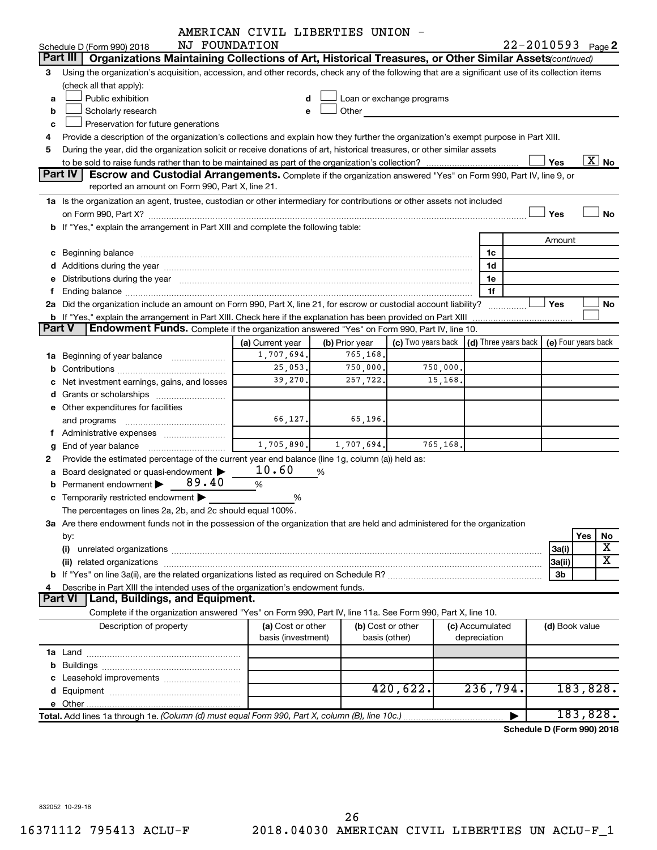|               |                                                                                                                                                                                                                                | AMERICAN CIVIL LIBERTIES UNION - |                |                           |                 |                      |                |                            |
|---------------|--------------------------------------------------------------------------------------------------------------------------------------------------------------------------------------------------------------------------------|----------------------------------|----------------|---------------------------|-----------------|----------------------|----------------|----------------------------|
|               | NJ FOUNDATION<br>Schedule D (Form 990) 2018                                                                                                                                                                                    |                                  |                |                           |                 |                      |                | $22 - 2010593$ Page 2      |
|               | Part III<br>Organizations Maintaining Collections of Art, Historical Treasures, or Other Similar Assets (continued)                                                                                                            |                                  |                |                           |                 |                      |                |                            |
| з             | Using the organization's acquisition, accession, and other records, check any of the following that are a significant use of its collection items                                                                              |                                  |                |                           |                 |                      |                |                            |
|               | (check all that apply):                                                                                                                                                                                                        |                                  |                |                           |                 |                      |                |                            |
| a             | Public exhibition                                                                                                                                                                                                              |                                  |                | Loan or exchange programs |                 |                      |                |                            |
| b             | Scholarly research                                                                                                                                                                                                             | e                                | Other          |                           |                 |                      |                |                            |
| c             | Preservation for future generations                                                                                                                                                                                            |                                  |                |                           |                 |                      |                |                            |
| 4             | Provide a description of the organization's collections and explain how they further the organization's exempt purpose in Part XIII.                                                                                           |                                  |                |                           |                 |                      |                |                            |
| 5             | During the year, did the organization solicit or receive donations of art, historical treasures, or other similar assets                                                                                                       |                                  |                |                           |                 |                      |                |                            |
|               |                                                                                                                                                                                                                                |                                  |                |                           |                 |                      | Yes            | $\overline{\text{X}}$ No   |
|               | Part IV<br>Escrow and Custodial Arrangements. Complete if the organization answered "Yes" on Form 990, Part IV, line 9, or                                                                                                     |                                  |                |                           |                 |                      |                |                            |
|               | reported an amount on Form 990, Part X, line 21.                                                                                                                                                                               |                                  |                |                           |                 |                      |                |                            |
|               | 1a Is the organization an agent, trustee, custodian or other intermediary for contributions or other assets not included                                                                                                       |                                  |                |                           |                 |                      |                |                            |
|               |                                                                                                                                                                                                                                |                                  |                |                           |                 |                      | Yes            | No                         |
|               | b If "Yes," explain the arrangement in Part XIII and complete the following table:                                                                                                                                             |                                  |                |                           |                 |                      |                |                            |
|               |                                                                                                                                                                                                                                |                                  |                |                           |                 |                      | Amount         |                            |
|               |                                                                                                                                                                                                                                |                                  |                |                           | 1c              |                      |                |                            |
|               |                                                                                                                                                                                                                                |                                  |                |                           | 1d              |                      |                |                            |
|               | e Distributions during the year manufactured and continuum and contact the year manufactured and contact the year manufactured and contact the year manufactured and contact the year manufactured and contact the year manufa |                                  |                |                           | 1e              |                      |                |                            |
|               | 2a Did the organization include an amount on Form 990, Part X, line 21, for escrow or custodial account liability?                                                                                                             |                                  |                |                           | 1f              |                      | <b>Yes</b>     | No                         |
|               | <b>b</b> If "Yes," explain the arrangement in Part XIII. Check here if the explanation has been provided on Part XIII                                                                                                          |                                  |                |                           |                 | .                    |                |                            |
| <b>Part V</b> | Endowment Funds. Complete if the organization answered "Yes" on Form 990, Part IV, line 10.                                                                                                                                    |                                  |                |                           |                 |                      |                |                            |
|               |                                                                                                                                                                                                                                | (a) Current year                 | (b) Prior year | (c) Two years back        |                 | (d) Three years back |                | (e) Four years back        |
|               | <b>1a</b> Beginning of year balance                                                                                                                                                                                            | 1,707,694.                       | 765,168.       |                           |                 |                      |                |                            |
|               |                                                                                                                                                                                                                                | 25,053.                          | 750,000.       | 750,000.                  |                 |                      |                |                            |
|               | Net investment earnings, gains, and losses                                                                                                                                                                                     | 39,270.                          | 257,722.       | 15,168.                   |                 |                      |                |                            |
|               |                                                                                                                                                                                                                                |                                  |                |                           |                 |                      |                |                            |
|               | e Other expenditures for facilities                                                                                                                                                                                            |                                  |                |                           |                 |                      |                |                            |
|               | and programs                                                                                                                                                                                                                   | 66,127.                          | 65, 196.       |                           |                 |                      |                |                            |
|               | f Administrative expenses                                                                                                                                                                                                      |                                  |                |                           |                 |                      |                |                            |
|               |                                                                                                                                                                                                                                | 1,705,890.                       | 1,707,694.     | 765,168.                  |                 |                      |                |                            |
| g<br>2        | Provide the estimated percentage of the current year end balance (line 1g, column (a)) held as:                                                                                                                                |                                  |                |                           |                 |                      |                |                            |
|               | Board designated or quasi-endowment                                                                                                                                                                                            | 10.60                            | %              |                           |                 |                      |                |                            |
|               | 89.40<br>Permanent endowment                                                                                                                                                                                                   | %                                |                |                           |                 |                      |                |                            |
|               | c Temporarily restricted endowment                                                                                                                                                                                             | %                                |                |                           |                 |                      |                |                            |
|               | The percentages on lines 2a, 2b, and 2c should equal 100%.                                                                                                                                                                     |                                  |                |                           |                 |                      |                |                            |
|               | 3a Are there endowment funds not in the possession of the organization that are held and administered for the organization                                                                                                     |                                  |                |                           |                 |                      |                |                            |
|               | by:                                                                                                                                                                                                                            |                                  |                |                           |                 |                      |                | Yes<br>No                  |
|               | (i)                                                                                                                                                                                                                            |                                  |                |                           |                 |                      | 3a(i)          | X                          |
|               |                                                                                                                                                                                                                                |                                  |                |                           |                 |                      | 3a(ii)         | $\overline{\textbf{X}}$    |
|               |                                                                                                                                                                                                                                |                                  |                |                           |                 |                      | 3b             |                            |
|               | Describe in Part XIII the intended uses of the organization's endowment funds.                                                                                                                                                 |                                  |                |                           |                 |                      |                |                            |
|               | Land, Buildings, and Equipment.<br><b>Part VI</b>                                                                                                                                                                              |                                  |                |                           |                 |                      |                |                            |
|               | Complete if the organization answered "Yes" on Form 990, Part IV, line 11a. See Form 990, Part X, line 10.                                                                                                                     |                                  |                |                           |                 |                      |                |                            |
|               | Description of property                                                                                                                                                                                                        | (a) Cost or other                |                | (b) Cost or other         | (c) Accumulated |                      | (d) Book value |                            |
|               |                                                                                                                                                                                                                                | basis (investment)               |                | basis (other)             | depreciation    |                      |                |                            |
|               |                                                                                                                                                                                                                                |                                  |                |                           |                 |                      |                |                            |
| b             |                                                                                                                                                                                                                                |                                  |                |                           |                 |                      |                |                            |
|               |                                                                                                                                                                                                                                |                                  |                |                           |                 |                      |                |                            |
|               |                                                                                                                                                                                                                                |                                  |                | 420,622.                  | 236,794.        |                      |                | 183,828.                   |
|               |                                                                                                                                                                                                                                |                                  |                |                           |                 |                      |                |                            |
|               | Total. Add lines 1a through 1e. (Column (d) must equal Form 990, Part X, column (B), line 10c.)                                                                                                                                |                                  |                |                           |                 |                      |                | 183,828.                   |
|               |                                                                                                                                                                                                                                |                                  |                |                           |                 |                      |                | Schedule D (Form 990) 2018 |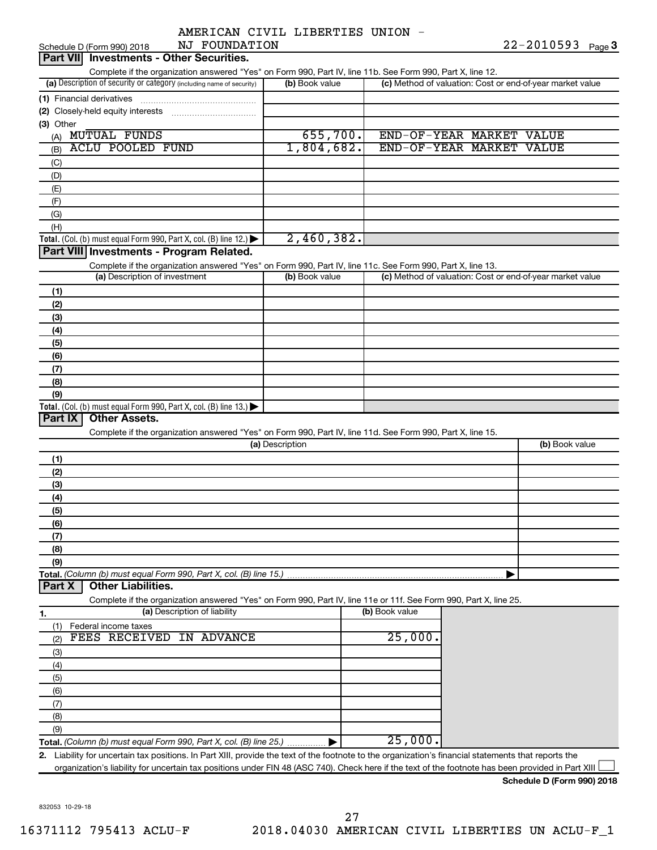|  | AMERICAN CIVIL LIBERTIES UNION |  |
|--|--------------------------------|--|
|  |                                |  |

| NJ FOUNDATION<br>Schedule D (Form 990) 2018                                                                                                          |                 |                       |                                                           | $22 - 2010593$ Page 3 |  |
|------------------------------------------------------------------------------------------------------------------------------------------------------|-----------------|-----------------------|-----------------------------------------------------------|-----------------------|--|
| <b>Investments - Other Securities.</b><br><b>Part VIII</b>                                                                                           |                 |                       |                                                           |                       |  |
| Complete if the organization answered "Yes" on Form 990, Part IV, line 11b. See Form 990, Part X, line 12.                                           |                 |                       |                                                           |                       |  |
| (a) Description of security or category (including name of security)                                                                                 | (b) Book value  |                       | (c) Method of valuation: Cost or end-of-year market value |                       |  |
|                                                                                                                                                      |                 |                       |                                                           |                       |  |
|                                                                                                                                                      |                 |                       |                                                           |                       |  |
|                                                                                                                                                      |                 |                       |                                                           |                       |  |
| (3) Other                                                                                                                                            |                 |                       |                                                           |                       |  |
| (A) MUTUAL FUNDS                                                                                                                                     | 655,700.        |                       | END-OF-YEAR MARKET VALUE                                  |                       |  |
| <b>ACLU POOLED FUND</b><br>(B)                                                                                                                       | 1,804,682.      |                       | END-OF-YEAR MARKET VALUE                                  |                       |  |
| (C)                                                                                                                                                  |                 |                       |                                                           |                       |  |
| (D)                                                                                                                                                  |                 |                       |                                                           |                       |  |
| (E)                                                                                                                                                  |                 |                       |                                                           |                       |  |
| (F)                                                                                                                                                  |                 |                       |                                                           |                       |  |
| (G)                                                                                                                                                  |                 |                       |                                                           |                       |  |
| (H)                                                                                                                                                  |                 |                       |                                                           |                       |  |
|                                                                                                                                                      | 2,460,382.      |                       |                                                           |                       |  |
| Total. (Col. (b) must equal Form 990, Part X, col. (B) line 12.) $\blacktriangleright$                                                               |                 |                       |                                                           |                       |  |
| Part VIII Investments - Program Related.                                                                                                             |                 |                       |                                                           |                       |  |
| Complete if the organization answered "Yes" on Form 990, Part IV, line 11c. See Form 990, Part X, line 13.                                           |                 |                       |                                                           |                       |  |
| (a) Description of investment                                                                                                                        | (b) Book value  |                       | (c) Method of valuation: Cost or end-of-year market value |                       |  |
| (1)                                                                                                                                                  |                 |                       |                                                           |                       |  |
| (2)                                                                                                                                                  |                 |                       |                                                           |                       |  |
| (3)                                                                                                                                                  |                 |                       |                                                           |                       |  |
| (4)                                                                                                                                                  |                 |                       |                                                           |                       |  |
|                                                                                                                                                      |                 |                       |                                                           |                       |  |
| (5)                                                                                                                                                  |                 |                       |                                                           |                       |  |
| (6)                                                                                                                                                  |                 |                       |                                                           |                       |  |
| (7)                                                                                                                                                  |                 |                       |                                                           |                       |  |
| (8)                                                                                                                                                  |                 |                       |                                                           |                       |  |
| (9)                                                                                                                                                  |                 |                       |                                                           |                       |  |
| Total. (Col. (b) must equal Form 990, Part X, col. (B) line 13.) $\blacktriangleright$                                                               |                 |                       |                                                           |                       |  |
| <b>Other Assets.</b><br>Part IX                                                                                                                      |                 |                       |                                                           |                       |  |
| Complete if the organization answered "Yes" on Form 990, Part IV, line 11d. See Form 990, Part X, line 15.                                           |                 |                       |                                                           |                       |  |
|                                                                                                                                                      | (a) Description |                       |                                                           | (b) Book value        |  |
|                                                                                                                                                      |                 |                       |                                                           |                       |  |
| (1)                                                                                                                                                  |                 |                       |                                                           |                       |  |
| (2)                                                                                                                                                  |                 |                       |                                                           |                       |  |
| (3)                                                                                                                                                  |                 |                       |                                                           |                       |  |
| (4)                                                                                                                                                  |                 |                       |                                                           |                       |  |
| (5)                                                                                                                                                  |                 |                       |                                                           |                       |  |
| (6)                                                                                                                                                  |                 |                       |                                                           |                       |  |
| (7)                                                                                                                                                  |                 |                       |                                                           |                       |  |
| (8)                                                                                                                                                  |                 |                       |                                                           |                       |  |
| (9)                                                                                                                                                  |                 |                       |                                                           |                       |  |
|                                                                                                                                                      |                 |                       |                                                           |                       |  |
| Total. (Column (b) must equal Form 990, Part X, col. (B) line 15.)<br><b>Other Liabilities.</b><br>Part X                                            |                 |                       |                                                           |                       |  |
|                                                                                                                                                      |                 |                       |                                                           |                       |  |
| Complete if the organization answered "Yes" on Form 990, Part IV, line 11e or 11f. See Form 990, Part X, line 25.                                    |                 |                       |                                                           |                       |  |
| (a) Description of liability<br>1.                                                                                                                   |                 | (b) Book value        |                                                           |                       |  |
| Federal income taxes<br>(1)                                                                                                                          |                 |                       |                                                           |                       |  |
| FEES RECEIVED IN ADVANCE<br>(2)                                                                                                                      |                 | $\overline{25}$ ,000. |                                                           |                       |  |
| (3)                                                                                                                                                  |                 |                       |                                                           |                       |  |
| (4)                                                                                                                                                  |                 |                       |                                                           |                       |  |
|                                                                                                                                                      |                 |                       |                                                           |                       |  |
| (5)                                                                                                                                                  |                 |                       |                                                           |                       |  |
| (6)                                                                                                                                                  |                 |                       |                                                           |                       |  |
| (7)                                                                                                                                                  |                 |                       |                                                           |                       |  |
| (8)                                                                                                                                                  |                 |                       |                                                           |                       |  |
| (9)                                                                                                                                                  |                 |                       |                                                           |                       |  |
| Total. (Column (b) must equal Form 990, Part X, col. (B) line 25.)                                                                                   |                 | 25,000.               |                                                           |                       |  |
| 2. Liability for uncertain tax positions. In Part XIII, provide the text of the footnote to the organization's financial statements that reports the |                 |                       |                                                           |                       |  |
| organization's liability for uncertain tax positions under FIN 48 (ASC 740). Check here if the text of the footnote has been provided in Part XIII   |                 |                       |                                                           |                       |  |

832053 10-29-18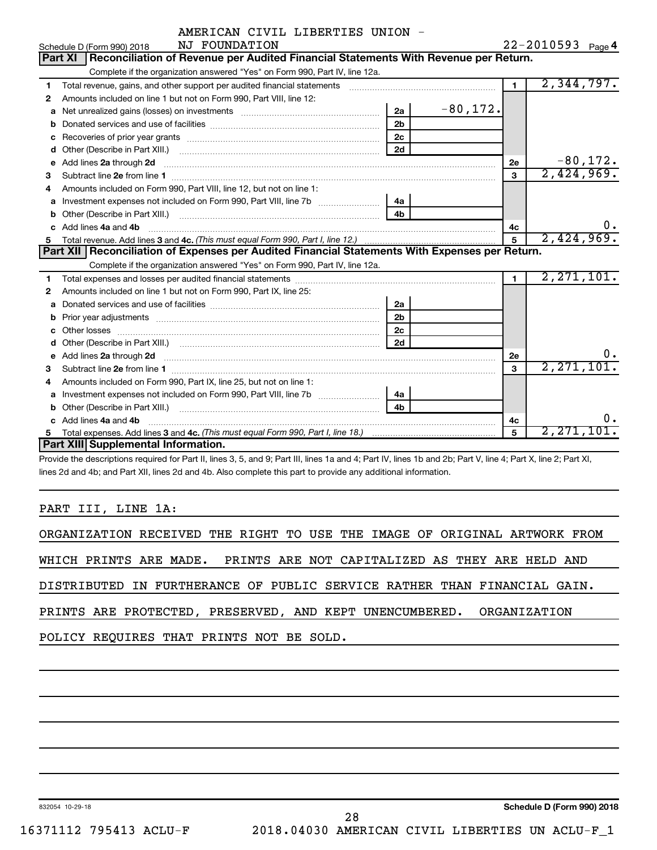| AMERICAN CIVIL LIBERTIES UNION |  |  |
|--------------------------------|--|--|
|--------------------------------|--|--|

|    | NJ FOUNDATION<br>Schedule D (Form 990) 2018                                                                         |                | 22-2010593 Page 4 |                |              |
|----|---------------------------------------------------------------------------------------------------------------------|----------------|-------------------|----------------|--------------|
|    | Reconciliation of Revenue per Audited Financial Statements With Revenue per Return.<br><b>Part XI</b>               |                |                   |                |              |
|    | Complete if the organization answered "Yes" on Form 990, Part IV, line 12a.                                         |                |                   |                |              |
| 1  |                                                                                                                     |                |                   | $\blacksquare$ | 2,344,797.   |
| 2  | Amounts included on line 1 but not on Form 990, Part VIII, line 12:                                                 |                |                   |                |              |
| a  | Net unrealized gains (losses) on investments [111] [12] matter and all the unrealized gains (losses) on investments | 2a             | $-80,172.$        |                |              |
| b  |                                                                                                                     | 2 <sub>b</sub> |                   |                |              |
| c  | Recoveries of prior year grants [111] North Marcontent Marcoveries (1201) 1986                                      | 2 <sub>c</sub> |                   |                |              |
| d  | Other (Describe in Part XIII.)                                                                                      | 2d             |                   |                |              |
| e  | Add lines 2a through 2d                                                                                             |                |                   | 2е             | $-80,172.$   |
| 3  |                                                                                                                     |                |                   | 3              | 2,424,969.   |
| 4  | Amounts included on Form 990, Part VIII, line 12, but not on line 1:                                                |                |                   |                |              |
| a  |                                                                                                                     | 4a             |                   |                |              |
| b  |                                                                                                                     | 4 <sub>b</sub> |                   |                |              |
|    | Add lines 4a and 4b                                                                                                 |                |                   | 4c             | 0.           |
| 5. |                                                                                                                     |                |                   | 5              | 2,424,969.   |
|    | Part XII   Reconciliation of Expenses per Audited Financial Statements With Expenses per Return.                    |                |                   |                |              |
|    | Complete if the organization answered "Yes" on Form 990, Part IV, line 12a.                                         |                |                   |                |              |
| 1. |                                                                                                                     |                |                   | $\blacksquare$ | 2,271,101.   |
| 2  | Amounts included on line 1 but not on Form 990, Part IX, line 25:                                                   |                |                   |                |              |
| a  |                                                                                                                     | 2a             |                   |                |              |
| b  | Prior year adjustments www.communication.com/www.communication.com/www.com/                                         | 2 <sub>b</sub> |                   |                |              |
|    |                                                                                                                     | 2c             |                   |                |              |
|    |                                                                                                                     | 2d             |                   |                |              |
| e  |                                                                                                                     |                |                   | 2е             | 0.           |
| 3  |                                                                                                                     |                |                   | 3              | 2, 271, 101. |
| 4  | Amounts included on Form 990, Part IX, line 25, but not on line 1:                                                  |                |                   |                |              |
| a  |                                                                                                                     | 4a             |                   |                |              |
| b  |                                                                                                                     | 4b             |                   |                |              |
|    | Add lines 4a and 4b                                                                                                 |                |                   | 4c             | 0.           |
| 5  |                                                                                                                     |                |                   | $\overline{5}$ | 2,271,101。   |
|    | Part XIII Supplemental Information.                                                                                 |                |                   |                |              |

Provide the descriptions required for Part II, lines 3, 5, and 9; Part III, lines 1a and 4; Part IV, lines 1b and 2b; Part V, line 4; Part X, line 2; Part XI, lines 2d and 4b; and Part XII, lines 2d and 4b. Also complete this part to provide any additional information.

# PART III, LINE 1A:

|                                                                        |                                                                                                                  |  |  |  |  |  |  |  |  |  |  | ORGANIZATION RECEIVED THE RIGHT TO USE THE IMAGE OF ORIGINAL ARTWORK FROM |  |
|------------------------------------------------------------------------|------------------------------------------------------------------------------------------------------------------|--|--|--|--|--|--|--|--|--|--|---------------------------------------------------------------------------|--|
| WHICH PRINTS ARE MADE. PRINTS ARE NOT CAPITALIZED AS THEY ARE HELD AND |                                                                                                                  |  |  |  |  |  |  |  |  |  |  |                                                                           |  |
|                                                                        |                                                                                                                  |  |  |  |  |  |  |  |  |  |  | DISTRIBUTED IN FURTHERANCE OF PUBLIC SERVICE RATHER THAN FINANCIAL GAIN.  |  |
|                                                                        |                                                                                                                  |  |  |  |  |  |  |  |  |  |  |                                                                           |  |
|                                                                        | PRINTS ARE PROTECTED, PRESERVED, AND KEPT UNENCUMBERED. ORGANIZATION<br>POLICY REQUIRES THAT PRINTS NOT BE SOLD. |  |  |  |  |  |  |  |  |  |  |                                                                           |  |
|                                                                        |                                                                                                                  |  |  |  |  |  |  |  |  |  |  |                                                                           |  |

832054 10-29-18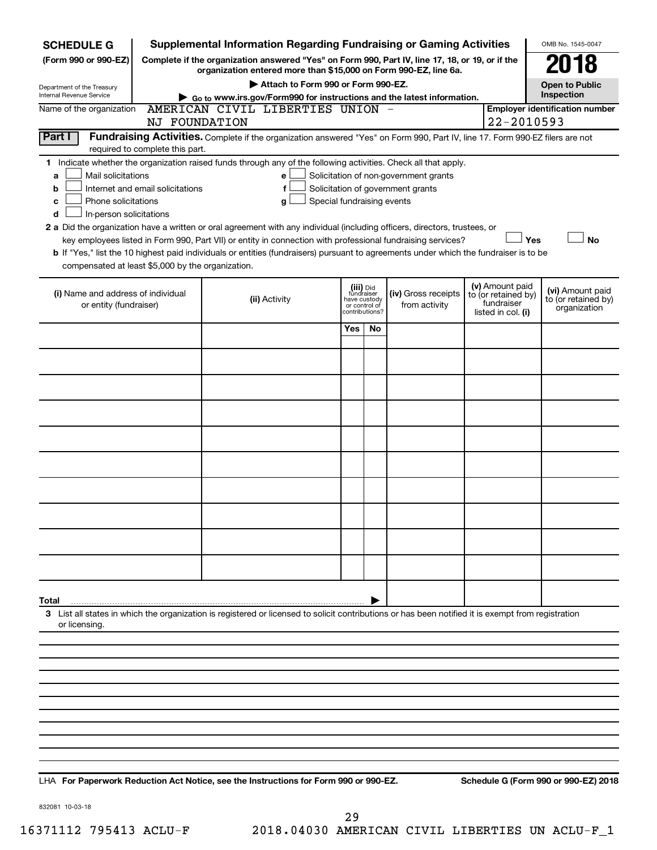| <b>SCHEDULE G</b>                                                                                                                                     |               | <b>Supplemental Information Regarding Fundraising or Gaming Activities</b>                                                                                          |                                 |                            |                                       |                                   | OMB No. 1545-0047                     |  |  |  |  |  |
|-------------------------------------------------------------------------------------------------------------------------------------------------------|---------------|---------------------------------------------------------------------------------------------------------------------------------------------------------------------|---------------------------------|----------------------------|---------------------------------------|-----------------------------------|---------------------------------------|--|--|--|--|--|
| (Form 990 or 990-EZ)                                                                                                                                  |               | Complete if the organization answered "Yes" on Form 990, Part IV, line 17, 18, or 19, or if the<br>organization entered more than \$15,000 on Form 990-EZ, line 6a. |                                 |                            |                                       |                                   | 18                                    |  |  |  |  |  |
| Department of the Treasury                                                                                                                            |               | Attach to Form 990 or Form 990-EZ.                                                                                                                                  |                                 |                            |                                       |                                   | <b>Open to Public</b>                 |  |  |  |  |  |
| Internal Revenue Service                                                                                                                              |               | Go to www.irs.gov/Form990 for instructions and the latest information.                                                                                              |                                 |                            |                                       |                                   | Inspection                            |  |  |  |  |  |
| Name of the organization                                                                                                                              | NJ FOUNDATION | AMERICAN CIVIL LIBERTIES UNION                                                                                                                                      |                                 |                            |                                       | 22-2010593                        | <b>Employer identification number</b> |  |  |  |  |  |
| <b>Part I</b>                                                                                                                                         |               | Fundraising Activities. Complete if the organization answered "Yes" on Form 990, Part IV, line 17. Form 990-EZ filers are not                                       |                                 |                            |                                       |                                   |                                       |  |  |  |  |  |
| required to complete this part.                                                                                                                       |               |                                                                                                                                                                     |                                 |                            |                                       |                                   |                                       |  |  |  |  |  |
| 1.                                                                                                                                                    |               | Indicate whether the organization raised funds through any of the following activities. Check all that apply.                                                       |                                 |                            |                                       |                                   |                                       |  |  |  |  |  |
| Mail solicitations<br>a                                                                                                                               |               | е                                                                                                                                                                   |                                 |                            | Solicitation of non-government grants |                                   |                                       |  |  |  |  |  |
| Internet and email solicitations<br>b<br>Phone solicitations                                                                                          |               | f                                                                                                                                                                   |                                 |                            | Solicitation of government grants     |                                   |                                       |  |  |  |  |  |
| с<br>d                                                                                                                                                |               | Special fundraising events<br>g                                                                                                                                     |                                 |                            |                                       |                                   |                                       |  |  |  |  |  |
| In-person solicitations<br>2 a Did the organization have a written or oral agreement with any individual (including officers, directors, trustees, or |               |                                                                                                                                                                     |                                 |                            |                                       |                                   |                                       |  |  |  |  |  |
|                                                                                                                                                       |               | key employees listed in Form 990, Part VII) or entity in connection with professional fundraising services?                                                         |                                 |                            |                                       |                                   | Yes<br><b>No</b>                      |  |  |  |  |  |
|                                                                                                                                                       |               | b If "Yes," list the 10 highest paid individuals or entities (fundraisers) pursuant to agreements under which the fundraiser is to be                               |                                 |                            |                                       |                                   |                                       |  |  |  |  |  |
| compensated at least \$5,000 by the organization.                                                                                                     |               |                                                                                                                                                                     |                                 |                            |                                       |                                   |                                       |  |  |  |  |  |
|                                                                                                                                                       |               |                                                                                                                                                                     |                                 | (iii) Did                  |                                       | (v) Amount paid                   | (vi) Amount paid                      |  |  |  |  |  |
| (i) Name and address of individual<br>or entity (fundraiser)                                                                                          |               | (ii) Activity                                                                                                                                                       |                                 | fundraiser<br>have custody | (iv) Gross receipts<br>from activity  | to (or retained by)<br>fundraiser | to (or retained by)                   |  |  |  |  |  |
|                                                                                                                                                       |               |                                                                                                                                                                     | or control of<br>contributions? |                            |                                       | listed in col. (i)                | organization                          |  |  |  |  |  |
|                                                                                                                                                       |               |                                                                                                                                                                     | Yes                             | No                         |                                       |                                   |                                       |  |  |  |  |  |
|                                                                                                                                                       |               |                                                                                                                                                                     |                                 |                            |                                       |                                   |                                       |  |  |  |  |  |
|                                                                                                                                                       |               |                                                                                                                                                                     |                                 |                            |                                       |                                   |                                       |  |  |  |  |  |
|                                                                                                                                                       |               |                                                                                                                                                                     |                                 |                            |                                       |                                   |                                       |  |  |  |  |  |
|                                                                                                                                                       |               |                                                                                                                                                                     |                                 |                            |                                       |                                   |                                       |  |  |  |  |  |
|                                                                                                                                                       |               |                                                                                                                                                                     |                                 |                            |                                       |                                   |                                       |  |  |  |  |  |
|                                                                                                                                                       |               |                                                                                                                                                                     |                                 |                            |                                       |                                   |                                       |  |  |  |  |  |
|                                                                                                                                                       |               |                                                                                                                                                                     |                                 |                            |                                       |                                   |                                       |  |  |  |  |  |
|                                                                                                                                                       |               |                                                                                                                                                                     |                                 |                            |                                       |                                   |                                       |  |  |  |  |  |
|                                                                                                                                                       |               |                                                                                                                                                                     |                                 |                            |                                       |                                   |                                       |  |  |  |  |  |
|                                                                                                                                                       |               |                                                                                                                                                                     |                                 |                            |                                       |                                   |                                       |  |  |  |  |  |
|                                                                                                                                                       |               |                                                                                                                                                                     |                                 |                            |                                       |                                   |                                       |  |  |  |  |  |
| Total                                                                                                                                                 |               |                                                                                                                                                                     |                                 |                            |                                       |                                   |                                       |  |  |  |  |  |
|                                                                                                                                                       |               | 3 List all states in which the organization is registered or licensed to solicit contributions or has been notified it is exempt from registration                  |                                 |                            |                                       |                                   |                                       |  |  |  |  |  |
| or licensing.                                                                                                                                         |               |                                                                                                                                                                     |                                 |                            |                                       |                                   |                                       |  |  |  |  |  |
|                                                                                                                                                       |               |                                                                                                                                                                     |                                 |                            |                                       |                                   |                                       |  |  |  |  |  |
|                                                                                                                                                       |               |                                                                                                                                                                     |                                 |                            |                                       |                                   |                                       |  |  |  |  |  |
|                                                                                                                                                       |               |                                                                                                                                                                     |                                 |                            |                                       |                                   |                                       |  |  |  |  |  |
|                                                                                                                                                       |               |                                                                                                                                                                     |                                 |                            |                                       |                                   |                                       |  |  |  |  |  |
|                                                                                                                                                       |               |                                                                                                                                                                     |                                 |                            |                                       |                                   |                                       |  |  |  |  |  |
|                                                                                                                                                       |               |                                                                                                                                                                     |                                 |                            |                                       |                                   |                                       |  |  |  |  |  |
|                                                                                                                                                       |               |                                                                                                                                                                     |                                 |                            |                                       |                                   |                                       |  |  |  |  |  |
|                                                                                                                                                       |               |                                                                                                                                                                     |                                 |                            |                                       |                                   |                                       |  |  |  |  |  |

**For Paperwork Reduction Act Notice, see the Instructions for Form 990 or 990-EZ. Schedule G (Form 990 or 990-EZ) 2018** LHA

832081 10-03-18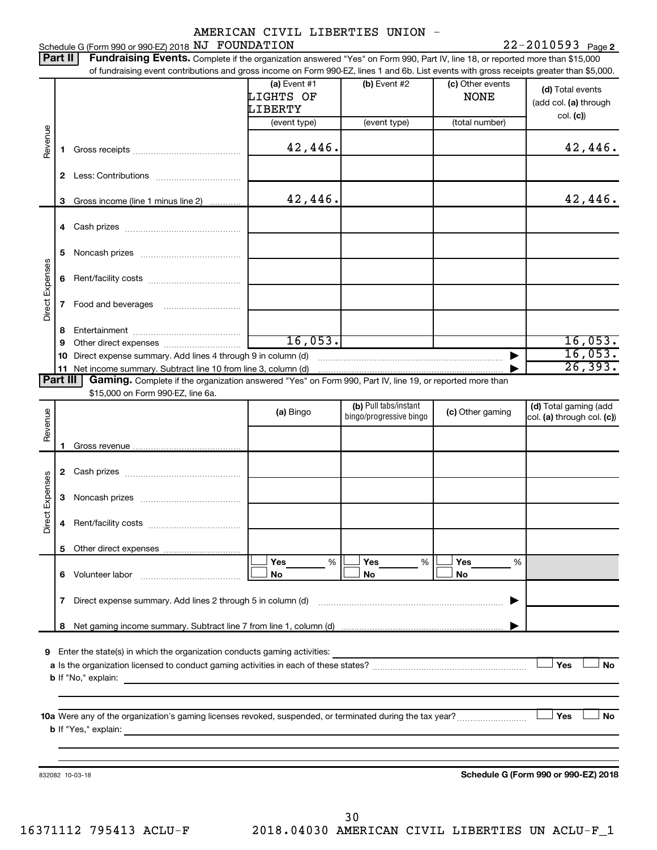### Schedule G (Form 990 or 990-EZ) 2018 Page NJ FOUNDATION 22-2010593

22-2010593 Page 2

|                 | Part II  | <b>Fundraising Events.</b> Complete if the organization answered "Yes" on Form 990, Part IV, line 18, or reported more than \$15,000          |                                        |                                                  |                                 |                                                       |
|-----------------|----------|-----------------------------------------------------------------------------------------------------------------------------------------------|----------------------------------------|--------------------------------------------------|---------------------------------|-------------------------------------------------------|
|                 |          | of fundraising event contributions and gross income on Form 990-EZ, lines 1 and 6b. List events with gross receipts greater than \$5,000.     | (a) Event $#1$<br>LIGHTS OF<br>LIBERTY | (b) Event #2                                     | (c) Other events<br><b>NONE</b> | (d) Total events<br>(add col. (a) through<br>col. (c) |
| Revenue         | 1.       |                                                                                                                                               | (event type)<br>42,446.                | (event type)                                     | (total number)                  | 42,446.                                               |
|                 |          |                                                                                                                                               |                                        |                                                  |                                 |                                                       |
|                 | 3        | Gross income (line 1 minus line 2)                                                                                                            | 42,446.                                |                                                  |                                 | 42,446.                                               |
|                 |          |                                                                                                                                               |                                        |                                                  |                                 |                                                       |
|                 | 5        |                                                                                                                                               |                                        |                                                  |                                 |                                                       |
| Direct Expenses | 6        |                                                                                                                                               |                                        |                                                  |                                 |                                                       |
|                 | 7        |                                                                                                                                               |                                        |                                                  |                                 |                                                       |
|                 | 8<br>9   |                                                                                                                                               | 16,053.                                |                                                  |                                 | 16,053.                                               |
|                 | 10       |                                                                                                                                               |                                        |                                                  |                                 | 16,053.                                               |
|                 |          |                                                                                                                                               |                                        |                                                  |                                 | 26, 393.                                              |
|                 | Part III | Gaming. Complete if the organization answered "Yes" on Form 990, Part IV, line 19, or reported more than<br>\$15,000 on Form 990-EZ, line 6a. |                                        |                                                  |                                 |                                                       |
| Revenue         |          |                                                                                                                                               | (a) Bingo                              | (b) Pull tabs/instant<br>bingo/progressive bingo | (c) Other gaming                | (d) Total gaming (add<br>col. (a) through col. (c))   |
|                 | 1        |                                                                                                                                               |                                        |                                                  |                                 |                                                       |
|                 |          |                                                                                                                                               |                                        |                                                  |                                 |                                                       |
|                 | 3        |                                                                                                                                               |                                        |                                                  |                                 |                                                       |
| Direct Expenses |          |                                                                                                                                               |                                        |                                                  |                                 |                                                       |
|                 |          |                                                                                                                                               |                                        |                                                  |                                 |                                                       |
|                 |          |                                                                                                                                               | Yes<br>%<br><b>No</b>                  | Yes<br>%<br>No                                   | Yes<br>%<br>No                  |                                                       |
|                 | 7        |                                                                                                                                               |                                        |                                                  |                                 |                                                       |
|                 |          |                                                                                                                                               |                                        |                                                  |                                 |                                                       |
|                 |          |                                                                                                                                               |                                        |                                                  |                                 | Yes<br><b>No</b>                                      |
|                 |          |                                                                                                                                               |                                        |                                                  |                                 |                                                       |
|                 |          | 10a Were any of the organization's gaming licenses revoked, suspended, or terminated during the tax year?                                     |                                        |                                                  |                                 | Yes<br><b>No</b>                                      |
|                 |          |                                                                                                                                               |                                        |                                                  |                                 |                                                       |
|                 |          | 832082 10-03-18                                                                                                                               |                                        |                                                  |                                 | Schedule G (Form 990 or 990-EZ) 2018                  |
|                 |          |                                                                                                                                               |                                        |                                                  |                                 |                                                       |

30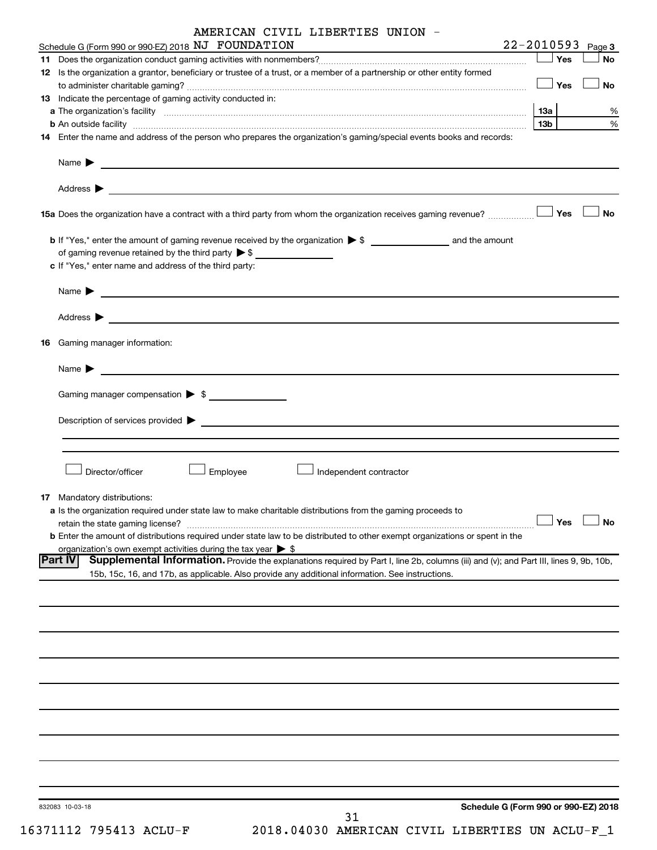| AMERICAN CIVIL LIBERTIES UNION |  |  |  |
|--------------------------------|--|--|--|
|--------------------------------|--|--|--|

|    | Schedule G (Form 990 or 990-EZ) 2018 NJ FOUNDATION                                                                                                                                                                                                     |                      | $22 - 2010593$ Page 3                |
|----|--------------------------------------------------------------------------------------------------------------------------------------------------------------------------------------------------------------------------------------------------------|----------------------|--------------------------------------|
|    |                                                                                                                                                                                                                                                        | Yes                  | <b>No</b>                            |
|    | 12 Is the organization a grantor, beneficiary or trustee of a trust, or a member of a partnership or other entity formed                                                                                                                               | ⊥ Yes                | <b>No</b>                            |
|    | 13 Indicate the percentage of gaming activity conducted in:                                                                                                                                                                                            |                      |                                      |
|    |                                                                                                                                                                                                                                                        |                      | %                                    |
|    |                                                                                                                                                                                                                                                        | 13b l                | %                                    |
|    | 14 Enter the name and address of the person who prepares the organization's gaming/special events books and records:                                                                                                                                   |                      |                                      |
|    |                                                                                                                                                                                                                                                        |                      |                                      |
|    |                                                                                                                                                                                                                                                        |                      |                                      |
|    | <b>15a</b> Does the organization have a contract with a third party from whom the organization receives gaming revenue? $\ldots$                                                                                                                       |                      | <b>No</b>                            |
|    |                                                                                                                                                                                                                                                        |                      |                                      |
|    | of gaming revenue retained by the third party $\triangleright$ \$                                                                                                                                                                                      |                      |                                      |
|    | c If "Yes," enter name and address of the third party:                                                                                                                                                                                                 |                      |                                      |
|    | Name $\blacktriangleright$<br><u> 1980 - Johann Barbara, martin amerikan basal dan berasal dan berasal dalam basal dan berasal dan berasal dan</u>                                                                                                     |                      |                                      |
|    |                                                                                                                                                                                                                                                        |                      |                                      |
|    | 16 Gaming manager information:                                                                                                                                                                                                                         |                      |                                      |
|    | Name $\blacktriangleright$<br><u> 1980 - Johann Barbara, martin amerikan basal dan berasal dan berasal dalam basal dan berasal dan berasal dan</u>                                                                                                     |                      |                                      |
|    | Gaming manager compensation > \$                                                                                                                                                                                                                       |                      |                                      |
|    |                                                                                                                                                                                                                                                        |                      |                                      |
|    |                                                                                                                                                                                                                                                        |                      |                                      |
|    |                                                                                                                                                                                                                                                        |                      |                                      |
|    | Director/officer<br>Employee<br>Independent contractor                                                                                                                                                                                                 |                      |                                      |
| 17 | Mandatory distributions:                                                                                                                                                                                                                               |                      |                                      |
|    | a Is the organization required under state law to make charitable distributions from the gaming proceeds to                                                                                                                                            |                      |                                      |
|    | retain the state gaming license?                                                                                                                                                                                                                       | $\Box$ Yes $\Box$ No |                                      |
|    | <b>b</b> Enter the amount of distributions required under state law to be distributed to other exempt organizations or spent in the                                                                                                                    |                      |                                      |
|    | organization's own exempt activities during the tax year $\triangleright$ \$                                                                                                                                                                           |                      |                                      |
|    | Supplemental Information. Provide the explanations required by Part I, line 2b, columns (iii) and (v); and Part III, lines 9, 9b, 10b,<br> Part IV<br>15b, 15c, 16, and 17b, as applicable. Also provide any additional information. See instructions. |                      |                                      |
|    |                                                                                                                                                                                                                                                        |                      |                                      |
|    |                                                                                                                                                                                                                                                        |                      |                                      |
|    |                                                                                                                                                                                                                                                        |                      |                                      |
|    |                                                                                                                                                                                                                                                        |                      |                                      |
|    |                                                                                                                                                                                                                                                        |                      |                                      |
|    |                                                                                                                                                                                                                                                        |                      |                                      |
|    |                                                                                                                                                                                                                                                        |                      |                                      |
|    |                                                                                                                                                                                                                                                        |                      |                                      |
|    |                                                                                                                                                                                                                                                        |                      |                                      |
|    |                                                                                                                                                                                                                                                        |                      |                                      |
|    | 832083 10-03-18                                                                                                                                                                                                                                        |                      | Schedule G (Form 990 or 990-EZ) 2018 |
|    | 31                                                                                                                                                                                                                                                     |                      |                                      |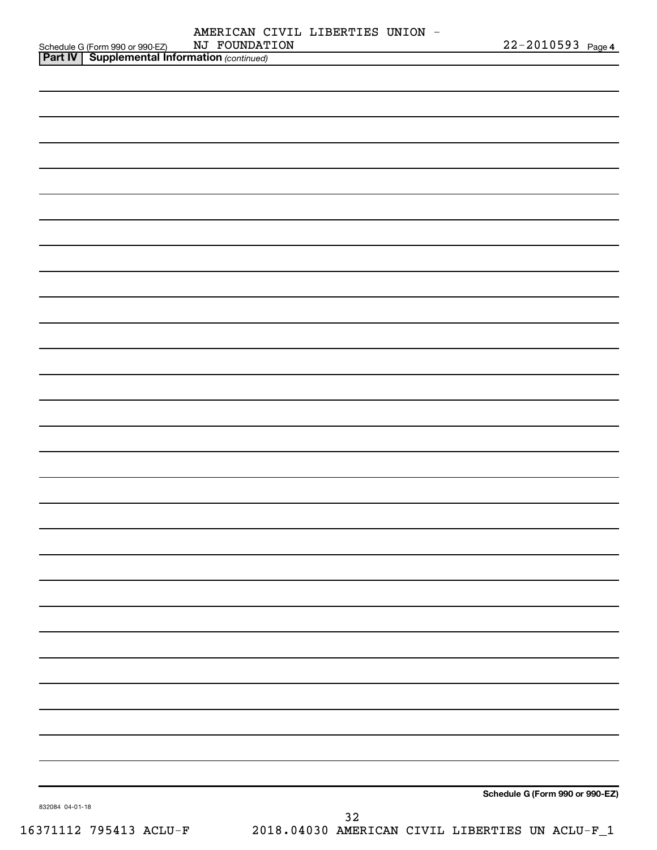| AMERICAN CIVIL LIBERTIES UNION - |  |                       |  |
|----------------------------------|--|-----------------------|--|
| NJ FOUNDATION                    |  | $22 - 2010593$ Page 4 |  |

| NJ FOUNDATION                                                                                     | 22-2010593 Page 4               |
|---------------------------------------------------------------------------------------------------|---------------------------------|
| Schedule G (Form 990 or 990-EZ) NJ FOUNDAT<br><b>Part IV</b> Supplemental Information (continued) |                                 |
|                                                                                                   |                                 |
|                                                                                                   |                                 |
|                                                                                                   |                                 |
|                                                                                                   |                                 |
|                                                                                                   |                                 |
|                                                                                                   |                                 |
|                                                                                                   |                                 |
|                                                                                                   |                                 |
|                                                                                                   |                                 |
|                                                                                                   |                                 |
|                                                                                                   |                                 |
|                                                                                                   |                                 |
|                                                                                                   |                                 |
|                                                                                                   |                                 |
|                                                                                                   |                                 |
|                                                                                                   |                                 |
|                                                                                                   |                                 |
|                                                                                                   |                                 |
|                                                                                                   |                                 |
|                                                                                                   |                                 |
|                                                                                                   |                                 |
|                                                                                                   |                                 |
|                                                                                                   |                                 |
|                                                                                                   |                                 |
|                                                                                                   |                                 |
|                                                                                                   |                                 |
|                                                                                                   |                                 |
|                                                                                                   |                                 |
|                                                                                                   |                                 |
|                                                                                                   |                                 |
|                                                                                                   |                                 |
|                                                                                                   |                                 |
|                                                                                                   |                                 |
|                                                                                                   |                                 |
|                                                                                                   |                                 |
|                                                                                                   |                                 |
|                                                                                                   |                                 |
|                                                                                                   |                                 |
|                                                                                                   |                                 |
|                                                                                                   |                                 |
|                                                                                                   |                                 |
|                                                                                                   |                                 |
|                                                                                                   |                                 |
|                                                                                                   |                                 |
|                                                                                                   |                                 |
|                                                                                                   |                                 |
|                                                                                                   | Schedule G (Form 990 or 990-EZ) |
| 832084 04-01-18                                                                                   |                                 |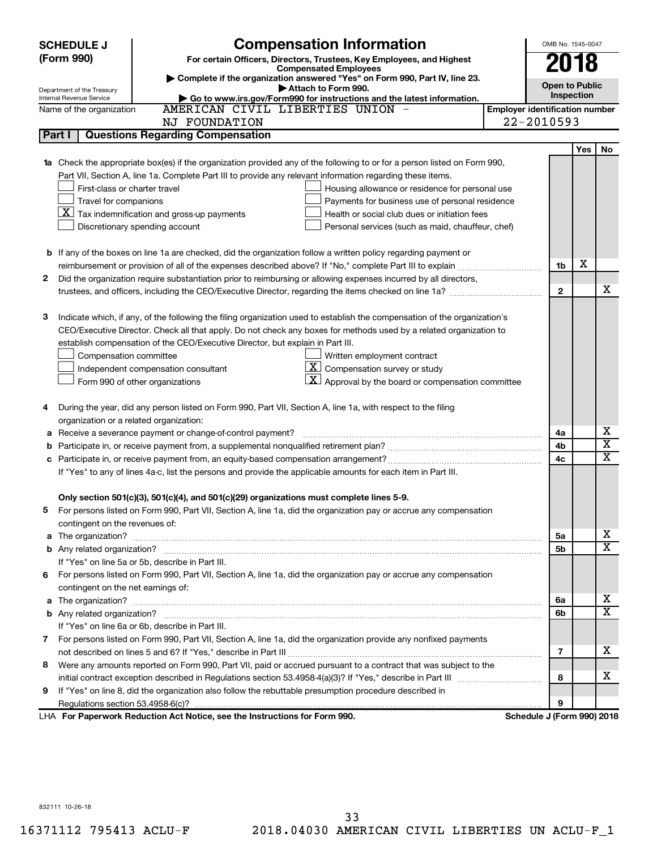|        | <b>SCHEDULE J</b>                  |                                                                                                                           | OMB No. 1545-0047                     |                            |            |                         |
|--------|------------------------------------|---------------------------------------------------------------------------------------------------------------------------|---------------------------------------|----------------------------|------------|-------------------------|
|        | (Form 990)                         | For certain Officers, Directors, Trustees, Key Employees, and Highest                                                     |                                       | 2018                       |            |                         |
|        |                                    | <b>Compensated Employees</b><br>Complete if the organization answered "Yes" on Form 990, Part IV, line 23.                |                                       |                            |            |                         |
|        | Department of the Treasury         | Attach to Form 990.                                                                                                       |                                       | <b>Open to Public</b>      |            |                         |
|        | Internal Revenue Service           | Go to www.irs.gov/Form990 for instructions and the latest information.                                                    |                                       |                            | Inspection |                         |
|        | Name of the organization           | AMERICAN CIVIL LIBERTIES UNION -                                                                                          | <b>Employer identification number</b> |                            |            |                         |
|        |                                    | NJ FOUNDATION                                                                                                             |                                       | 22-2010593                 |            |                         |
| Part I |                                    | <b>Questions Regarding Compensation</b>                                                                                   |                                       |                            |            |                         |
|        |                                    |                                                                                                                           |                                       |                            | Yes        | No                      |
|        |                                    | 1a Check the appropriate box(es) if the organization provided any of the following to or for a person listed on Form 990, |                                       |                            |            |                         |
|        |                                    | Part VII, Section A, line 1a. Complete Part III to provide any relevant information regarding these items.                |                                       |                            |            |                         |
|        | First-class or charter travel      | Housing allowance or residence for personal use                                                                           |                                       |                            |            |                         |
|        | Travel for companions              | Payments for business use of personal residence                                                                           |                                       |                            |            |                         |
|        |                                    | $ \mathbf{X} $ Tax indemnification and gross-up payments<br>Health or social club dues or initiation fees                 |                                       |                            |            |                         |
|        |                                    | Discretionary spending account<br>Personal services (such as maid, chauffeur, chef)                                       |                                       |                            |            |                         |
|        |                                    |                                                                                                                           |                                       |                            |            |                         |
|        |                                    | <b>b</b> If any of the boxes on line 1a are checked, did the organization follow a written policy regarding payment or    |                                       |                            |            |                         |
|        |                                    | reimbursement or provision of all of the expenses described above? If "No," complete Part III to explain                  |                                       | 1b                         | х          |                         |
| 2      |                                    | Did the organization require substantiation prior to reimbursing or allowing expenses incurred by all directors,          |                                       |                            |            | x                       |
|        |                                    | trustees, and officers, including the CEO/Executive Director, regarding the items checked on line 1a?                     |                                       | $\mathbf{2}$               |            |                         |
|        |                                    |                                                                                                                           |                                       |                            |            |                         |
| З      |                                    | Indicate which, if any, of the following the filing organization used to establish the compensation of the organization's |                                       |                            |            |                         |
|        |                                    | CEO/Executive Director. Check all that apply. Do not check any boxes for methods used by a related organization to        |                                       |                            |            |                         |
|        |                                    | establish compensation of the CEO/Executive Director, but explain in Part III.<br>Written employment contract             |                                       |                            |            |                         |
|        | Compensation committee             |                                                                                                                           |                                       |                            |            |                         |
|        |                                    | $ \mathbf{X} $ Compensation survey or study<br>Independent compensation consultant                                        |                                       |                            |            |                         |
|        |                                    | $\mathbf{X}$ Approval by the board or compensation committee<br>Form 990 of other organizations                           |                                       |                            |            |                         |
|        |                                    |                                                                                                                           |                                       |                            |            |                         |
| 4      |                                    | During the year, did any person listed on Form 990, Part VII, Section A, line 1a, with respect to the filing              |                                       |                            |            |                         |
|        |                                    | organization or a related organization:                                                                                   |                                       |                            |            | х                       |
| а<br>b |                                    | Receive a severance payment or change-of-control payment?                                                                 |                                       | 4a<br>4b                   |            | $\overline{\text{x}}$   |
| c      |                                    |                                                                                                                           |                                       | 4c                         |            | $\overline{\text{x}}$   |
|        |                                    | If "Yes" to any of lines 4a-c, list the persons and provide the applicable amounts for each item in Part III.             |                                       |                            |            |                         |
|        |                                    |                                                                                                                           |                                       |                            |            |                         |
|        |                                    | Only section 501(c)(3), 501(c)(4), and 501(c)(29) organizations must complete lines 5-9.                                  |                                       |                            |            |                         |
|        |                                    | For persons listed on Form 990, Part VII, Section A, line 1a, did the organization pay or accrue any compensation         |                                       |                            |            |                         |
|        | contingent on the revenues of:     |                                                                                                                           |                                       |                            |            |                         |
|        |                                    |                                                                                                                           |                                       | 5a                         |            | x                       |
|        |                                    |                                                                                                                           |                                       | 5b                         |            | $\overline{\mathtt{x}}$ |
|        |                                    | If "Yes" on line 5a or 5b, describe in Part III.                                                                          |                                       |                            |            |                         |
|        |                                    | 6 For persons listed on Form 990, Part VII, Section A, line 1a, did the organization pay or accrue any compensation       |                                       |                            |            |                         |
|        | contingent on the net earnings of: |                                                                                                                           |                                       |                            |            |                         |
|        |                                    |                                                                                                                           |                                       | 6a                         |            | x                       |
|        |                                    |                                                                                                                           |                                       | 6b                         |            | $\overline{\mathtt{x}}$ |
|        |                                    | If "Yes" on line 6a or 6b, describe in Part III.                                                                          |                                       |                            |            |                         |
|        |                                    | 7 For persons listed on Form 990, Part VII, Section A, line 1a, did the organization provide any nonfixed payments        |                                       |                            |            |                         |
|        |                                    |                                                                                                                           |                                       | $\overline{7}$             |            | X                       |
| 8      |                                    | Were any amounts reported on Form 990, Part VII, paid or accrued pursuant to a contract that was subject to the           |                                       |                            |            |                         |
|        |                                    |                                                                                                                           |                                       | 8                          |            | x                       |
| 9      |                                    | If "Yes" on line 8, did the organization also follow the rebuttable presumption procedure described in                    |                                       |                            |            |                         |
|        |                                    |                                                                                                                           |                                       | 9                          |            |                         |
|        |                                    | LHA For Paperwork Reduction Act Notice, see the Instructions for Form 990.                                                |                                       | Schedule J (Form 990) 2018 |            |                         |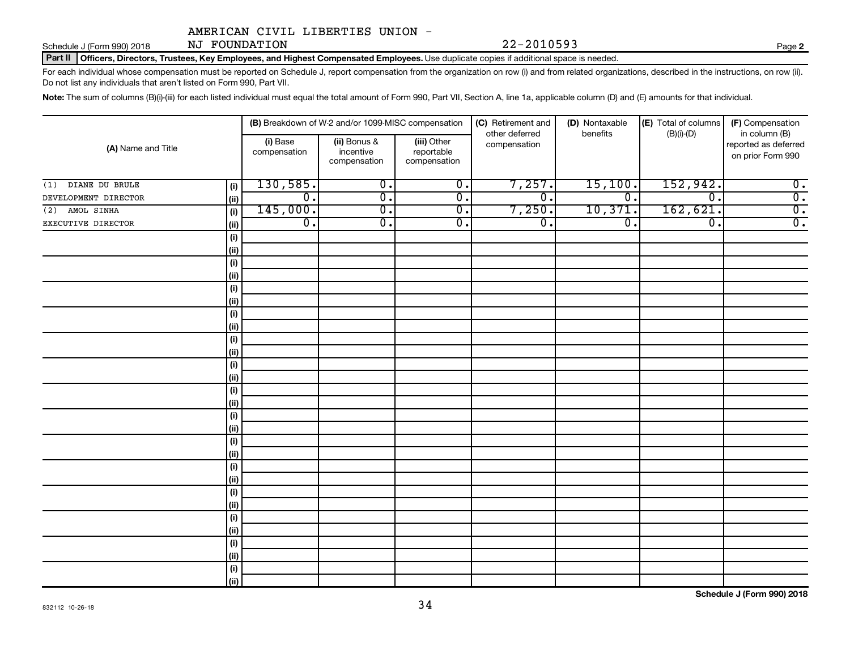Schedule J (Form 990) 2018  $NJ$   $FOUNDATION$   $22-2010593$ NJ FOUNDATION

**2**

Part II | Officers, Directors, Trustees, Key Employees, and Highest Compensated Employees. Use duplicate copies if additional space is needed.

For each individual whose compensation must be reported on Schedule J, report compensation from the organization on row (i) and from related organizations, described in the instructions, on row (ii). Do not list any individuals that aren't listed on Form 990, Part VII.

Note: The sum of columns (B)(i)-(iii) for each listed individual must equal the total amount of Form 990, Part VII, Section A, line 1a, applicable column (D) and (E) amounts for that individual.

|                       |                              |                          | (B) Breakdown of W-2 and/or 1099-MISC compensation |                                           | (C) Retirement and             | (D) Nontaxable   | (E) Total of columns | (F) Compensation<br>in column (B)         |  |
|-----------------------|------------------------------|--------------------------|----------------------------------------------------|-------------------------------------------|--------------------------------|------------------|----------------------|-------------------------------------------|--|
| (A) Name and Title    |                              | (i) Base<br>compensation | (ii) Bonus &<br>incentive<br>compensation          | (iii) Other<br>reportable<br>compensation | other deferred<br>compensation | benefits         | $(B)(i)$ - $(D)$     | reported as deferred<br>on prior Form 990 |  |
| DIANE DU BRULE<br>(1) | (i)                          | 130,585.                 | $\overline{0}$ .                                   | $\overline{0}$ .                          | 7,257.                         | 15,100.          | 152,942.             | $\overline{0}$ .                          |  |
| DEVELOPMENT DIRECTOR  | (ii)                         | $\overline{0}$ .         | $\overline{0}$ .                                   | $\overline{0}$ .                          | $\overline{0}$ .               | $\overline{0}$ . | $\overline{0}$ .     | $\overline{0}$ .                          |  |
| AMOL SINHA<br>(2)     | (i)                          | 145,000.                 | $\overline{0}$ .                                   | $\overline{0}$ .                          | 7,250.                         | 10,371.          | 162,621.             | $\overline{0}$ .                          |  |
| EXECUTIVE DIRECTOR    | (ii)                         | $\overline{0}$ .         | $\overline{\mathfrak{o}}$ .                        | $\overline{0}$ .                          | $\overline{\mathfrak{o}}$ .    | $\overline{0}$ . | $\overline{0}$ .     | $\overline{0}$ .                          |  |
|                       | $\qquad \qquad \textbf{(i)}$ |                          |                                                    |                                           |                                |                  |                      |                                           |  |
|                       | (i)                          |                          |                                                    |                                           |                                |                  |                      |                                           |  |
|                       | $(\sf{i})$                   |                          |                                                    |                                           |                                |                  |                      |                                           |  |
|                       | (ii)                         |                          |                                                    |                                           |                                |                  |                      |                                           |  |
|                       | $(\sf{i})$                   |                          |                                                    |                                           |                                |                  |                      |                                           |  |
|                       | (ii)                         |                          |                                                    |                                           |                                |                  |                      |                                           |  |
|                       | $\qquad \qquad \textbf{(i)}$ |                          |                                                    |                                           |                                |                  |                      |                                           |  |
|                       | (ii)                         |                          |                                                    |                                           |                                |                  |                      |                                           |  |
|                       | $(\sf{i})$                   |                          |                                                    |                                           |                                |                  |                      |                                           |  |
|                       | (i)                          |                          |                                                    |                                           |                                |                  |                      |                                           |  |
|                       | $(\sf{i})$                   |                          |                                                    |                                           |                                |                  |                      |                                           |  |
|                       | (ii)                         |                          |                                                    |                                           |                                |                  |                      |                                           |  |
|                       | $(\sf{i})$                   |                          |                                                    |                                           |                                |                  |                      |                                           |  |
|                       | (ii)                         |                          |                                                    |                                           |                                |                  |                      |                                           |  |
|                       | $(\sf{i})$<br>(ii)           |                          |                                                    |                                           |                                |                  |                      |                                           |  |
|                       | $(\sf{i})$                   |                          |                                                    |                                           |                                |                  |                      |                                           |  |
|                       | (ii)                         |                          |                                                    |                                           |                                |                  |                      |                                           |  |
|                       | $(\sf{i})$                   |                          |                                                    |                                           |                                |                  |                      |                                           |  |
|                       | (ii)                         |                          |                                                    |                                           |                                |                  |                      |                                           |  |
|                       | $(\sf{i})$                   |                          |                                                    |                                           |                                |                  |                      |                                           |  |
|                       | (ii)                         |                          |                                                    |                                           |                                |                  |                      |                                           |  |
|                       | $(\sf{i})$                   |                          |                                                    |                                           |                                |                  |                      |                                           |  |
|                       | (ii)                         |                          |                                                    |                                           |                                |                  |                      |                                           |  |
|                       | $(\sf{i})$                   |                          |                                                    |                                           |                                |                  |                      |                                           |  |
|                       | (ii)                         |                          |                                                    |                                           |                                |                  |                      |                                           |  |
|                       | $(\sf{i})$                   |                          |                                                    |                                           |                                |                  |                      |                                           |  |
|                       | (ii)                         |                          |                                                    |                                           |                                |                  |                      |                                           |  |

**Schedule J (Form 990) 2018**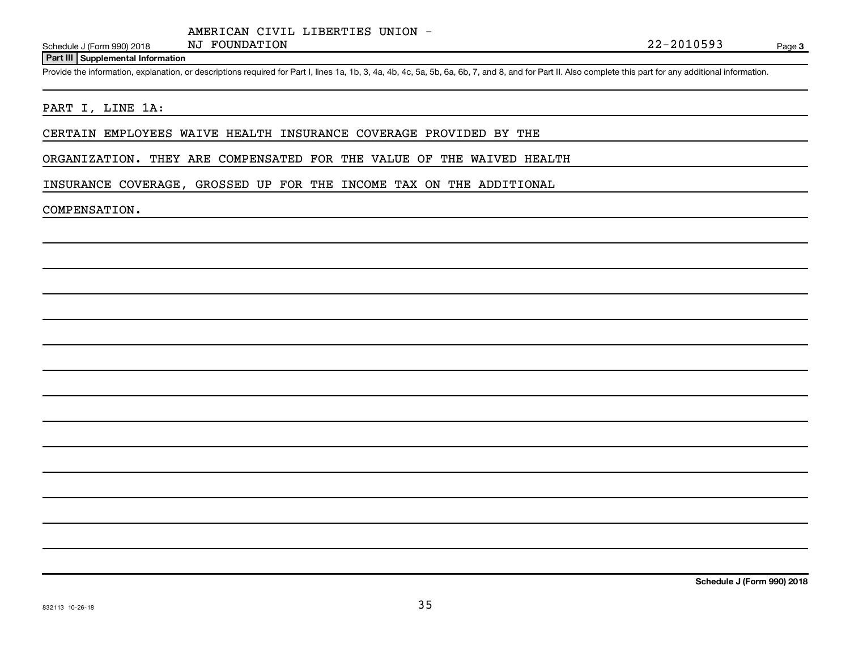#### **Part III Supplemental Information**

Provide the information, explanation, or descriptions required for Part I, lines 1a, 1b, 3, 4a, 4b, 4c, 5a, 5b, 6a, 6b, 7, and 8, and for Part II. Also complete this part for any additional information.

### PART I, LINE 1A:

CERTAIN EMPLOYEES WAIVE HEALTH INSURANCE COVERAGE PROVIDED BY THE

ORGANIZATION. THEY ARE COMPENSATED FOR THE VALUE OF THE WAIVED HEALTH

INSURANCE COVERAGE, GROSSED UP FOR THE INCOME TAX ON THE ADDITIONAL

#### COMPENSATION.

**Schedule J (Form 990) 2018**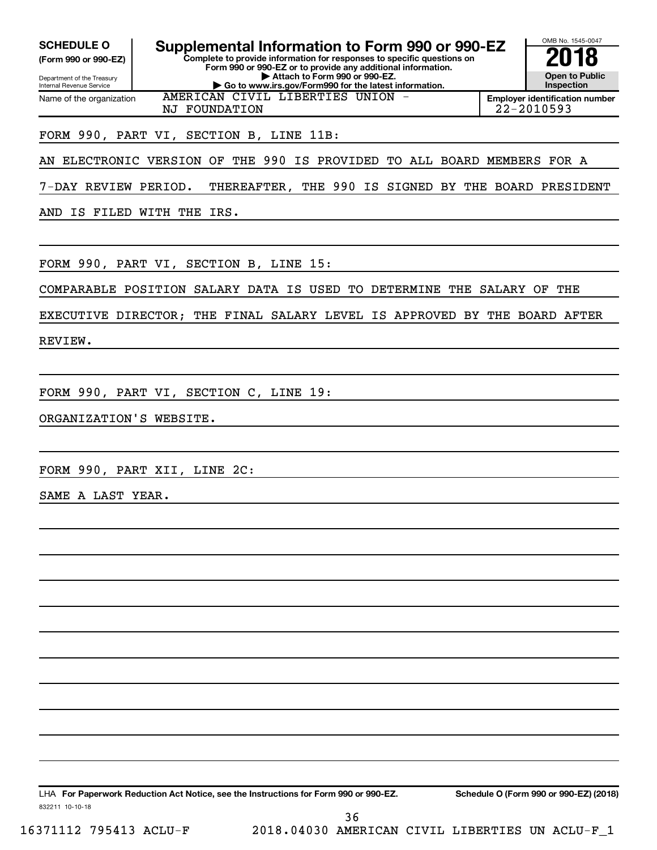OMB No. 1545-0047 Department of the Treasury Internal Revenue Service 832211 10-10-18 **Complete to provide information for responses to specific questions on Form 990 or 990-EZ or to provide any additional information. | Attach to Form 990 or 990-EZ. | Go to www.irs.gov/Form990 for the latest information. (Form 990 or 990-EZ) Open to Public Inspection Employer identification number** LHA For Paperwork Reduction Act Notice, see the Instructions for Form 990 or 990-EZ. Schedule O (Form 990 or 990-EZ) (2018) Name of the organization SCHEDULE O **Supplemental Information to Form 990 or 990-EZ 2018**<br>(Form 990 or 990-EZ) **2018** AMERICAN CIVIL LIBERTIES UNION NJ FOUNDATION 22-2010593 FORM 990, PART VI, SECTION B, LINE 11B: AN ELECTRONIC VERSION OF THE 990 IS PROVIDED TO ALL BOARD MEMBERS FOR A 7-DAY REVIEW PERIOD. THEREAFTER, THE 990 IS SIGNED BY THE BOARD PRESIDENT AND IS FILED WITH THE IRS. FORM 990, PART VI, SECTION B, LINE 15: COMPARABLE POSITION SALARY DATA IS USED TO DETERMINE THE SALARY OF THE EXECUTIVE DIRECTOR; THE FINAL SALARY LEVEL IS APPROVED BY THE BOARD AFTER REVIEW. FORM 990, PART VI, SECTION C, LINE 19: ORGANIZATION'S WEBSITE. FORM 990, PART XII, LINE 2C: SAME A LAST YEAR.

36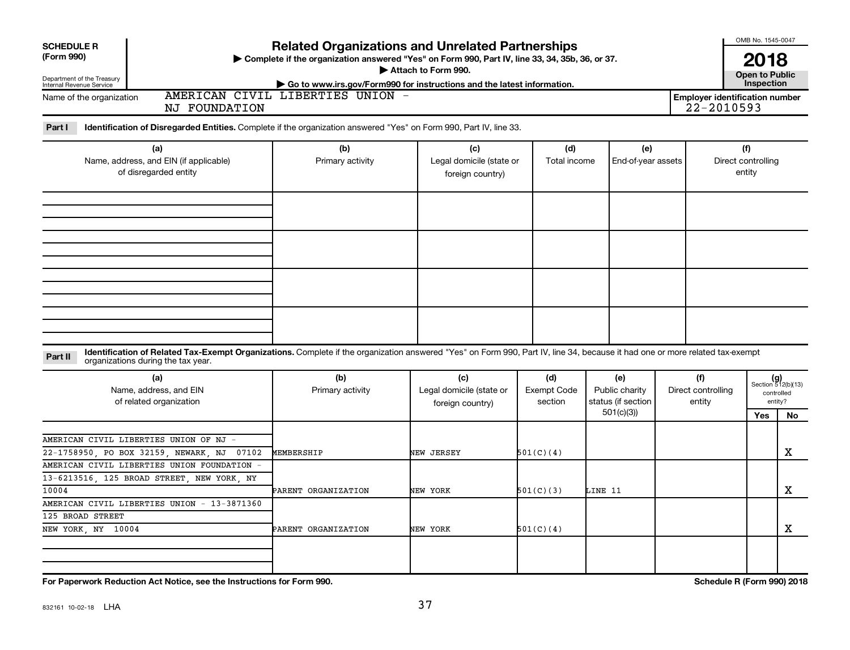| <b>SCHEDULE R</b>                                      |                                                                                                                                                                              | <b>Related Organizations and Unrelated Partnerships</b>                                                    |                          |                    |                    |     |                                              | OMB No. 1545-0047     |                             |
|--------------------------------------------------------|------------------------------------------------------------------------------------------------------------------------------------------------------------------------------|------------------------------------------------------------------------------------------------------------|--------------------------|--------------------|--------------------|-----|----------------------------------------------|-----------------------|-----------------------------|
| (Form 990)                                             |                                                                                                                                                                              | > Complete if the organization answered "Yes" on Form 990, Part IV, line 33, 34, 35b, 36, or 37.           |                          |                    |                    |     |                                              | 2018                  |                             |
| Department of the Treasury<br>Internal Revenue Service |                                                                                                                                                                              |                                                                                                            | Attach to Form 990.      |                    |                    |     |                                              | <b>Open to Public</b> |                             |
|                                                        |                                                                                                                                                                              | Go to www.irs.gov/Form990 for instructions and the latest information.<br>AMERICAN CIVIL LIBERTIES UNION - |                          |                    |                    |     |                                              | Inspection            |                             |
| Name of the organization                               | NJ FOUNDATION                                                                                                                                                                |                                                                                                            |                          |                    |                    |     | Employer identification number<br>22-2010593 |                       |                             |
|                                                        |                                                                                                                                                                              |                                                                                                            |                          |                    |                    |     |                                              |                       |                             |
| Part I                                                 | Identification of Disregarded Entities. Complete if the organization answered "Yes" on Form 990, Part IV, line 33.                                                           |                                                                                                            |                          |                    |                    |     |                                              |                       |                             |
|                                                        | (a)                                                                                                                                                                          | (b)                                                                                                        | (c)                      | (d)                | (e)                |     |                                              | (f)                   |                             |
|                                                        | Name, address, and EIN (if applicable)                                                                                                                                       | Primary activity                                                                                           | Legal domicile (state or | Total income       | End-of-year assets |     | Direct controlling<br>entity                 |                       |                             |
|                                                        | of disregarded entity                                                                                                                                                        |                                                                                                            | foreign country)         |                    |                    |     |                                              |                       |                             |
|                                                        |                                                                                                                                                                              |                                                                                                            |                          |                    |                    |     |                                              |                       |                             |
|                                                        |                                                                                                                                                                              |                                                                                                            |                          |                    |                    |     |                                              |                       |                             |
|                                                        |                                                                                                                                                                              |                                                                                                            |                          |                    |                    |     |                                              |                       |                             |
|                                                        |                                                                                                                                                                              |                                                                                                            |                          |                    |                    |     |                                              |                       |                             |
|                                                        |                                                                                                                                                                              |                                                                                                            |                          |                    |                    |     |                                              |                       |                             |
|                                                        |                                                                                                                                                                              |                                                                                                            |                          |                    |                    |     |                                              |                       |                             |
|                                                        |                                                                                                                                                                              |                                                                                                            |                          |                    |                    |     |                                              |                       |                             |
|                                                        |                                                                                                                                                                              |                                                                                                            |                          |                    |                    |     |                                              |                       |                             |
|                                                        |                                                                                                                                                                              |                                                                                                            |                          |                    |                    |     |                                              |                       |                             |
|                                                        |                                                                                                                                                                              |                                                                                                            |                          |                    |                    |     |                                              |                       |                             |
|                                                        |                                                                                                                                                                              |                                                                                                            |                          |                    |                    |     |                                              |                       |                             |
|                                                        |                                                                                                                                                                              |                                                                                                            |                          |                    |                    |     |                                              |                       |                             |
| Part II                                                | Identification of Related Tax-Exempt Organizations. Complete if the organization answered "Yes" on Form 990, Part IV, line 34, because it had one or more related tax-exempt |                                                                                                            |                          |                    |                    |     |                                              |                       |                             |
|                                                        | organizations during the tax year.                                                                                                                                           |                                                                                                            |                          |                    |                    |     |                                              |                       |                             |
|                                                        | (a)                                                                                                                                                                          | (b)                                                                                                        | (c)                      | (d)                | (e)                | (f) |                                              |                       | $(g)$<br>Section 512(b)(13) |
|                                                        | Name, address, and EIN                                                                                                                                                       | Primary activity                                                                                           | Legal domicile (state or | <b>Exempt Code</b> | Public charity     |     | Direct controlling                           |                       | controlled                  |
|                                                        | of related organization                                                                                                                                                      |                                                                                                            | foreign country)         | section            | status (if section |     | entity                                       |                       | entity?                     |
|                                                        |                                                                                                                                                                              |                                                                                                            |                          |                    | 501(c)(3)          |     |                                              | <b>Yes</b>            | No                          |
|                                                        | AMERICAN CIVIL LIBERTIES UNION OF NJ -                                                                                                                                       |                                                                                                            |                          |                    |                    |     |                                              |                       |                             |
|                                                        | 22-1758950, PO BOX 32159, NEWARK, NJ 07102                                                                                                                                   | MEMBERSHIP                                                                                                 | NEW JERSEY               | 501(C)(4)          |                    |     |                                              |                       | $\mathbf X$                 |
|                                                        | AMERICAN CIVIL LIBERTIES UNION FOUNDATION                                                                                                                                    |                                                                                                            |                          |                    |                    |     |                                              |                       |                             |
|                                                        | 13-6213516, 125 BROAD STREET, NEW YORK, NY                                                                                                                                   |                                                                                                            |                          |                    |                    |     |                                              |                       |                             |
| 10004                                                  |                                                                                                                                                                              | PARENT ORGANIZATION                                                                                        | NEW YORK                 | 501(C)(3)          | LINE 11            |     |                                              |                       | X                           |
|                                                        | AMERICAN CIVIL LIBERTIES UNION - 13-3871360                                                                                                                                  |                                                                                                            |                          |                    |                    |     |                                              |                       |                             |
| 125 BROAD STREET                                       |                                                                                                                                                                              |                                                                                                            |                          |                    |                    |     |                                              |                       |                             |
| NEW YORK, NY 10004                                     |                                                                                                                                                                              | PARENT ORGANIZATION                                                                                        | NEW YORK                 | 501(C)(4)          |                    |     |                                              |                       | X                           |
|                                                        |                                                                                                                                                                              |                                                                                                            |                          |                    |                    |     |                                              |                       |                             |
|                                                        |                                                                                                                                                                              |                                                                                                            |                          |                    |                    |     |                                              |                       |                             |
|                                                        |                                                                                                                                                                              |                                                                                                            |                          |                    |                    |     |                                              |                       |                             |

**For Paperwork Reduction Act Notice, see the Instructions for Form 990. Schedule R (Form 990) 2018**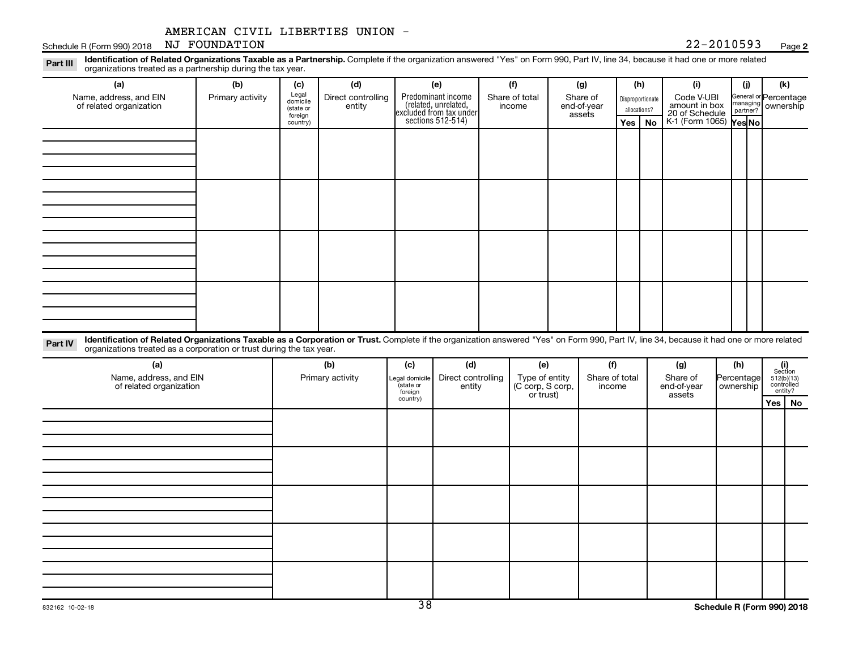#### **2**

Disproportionate allocations? Legal domicile (state or foreign country) General or Percentage managing partner? Part III Identification of Related Organizations Taxable as a Partnership. Complete if the organization answered "Yes" on Form 990, Part IV, line 34, because it had one or more related<br>Read to the organizations tracted as **(a) (b) (c) (d) (e) (f) (g) (h) (i) (j) (k) Yes No Yes No** K-1 (Form 1065) Predominant income (related, unrelated, excluded from tax under sections 512-514) Schedule R (Form 990) 2018 NJ FOUNDATION  $22-2010593$  Page organizations treated as a partnership during the tax year. Name, address, and EIN of related organization Primary activity  $\left| \begin{array}{c} \text{Legal} \\ \text{demi} \end{array} \right|$  Direct controlling entity Share of total income Share of end-of-year assets Code V-UBI<br>amount in box 20 of Schedule ownership AMERICAN CIVIL LIBERTIES UNION -

Part IV Identification of Related Organizations Taxable as a Corporation or Trust. Complete if the organization answered "Yes" on Form 990, Part IV, line 34, because it had one or more related organizations treated as a corporation or trust during the tax year.

| (a)<br>Name, address, and EIN<br>of related organization | (b)<br>Primary activity | (c)<br>Legal domicile<br>(state or<br>foreign<br>country) | (d)<br>Direct controlling<br>entity | (e)<br>Type of entity<br>(C corp, S corp,<br>or trust) | (f)<br>Share of total<br>income | (g)<br>Share of<br>end-of-year<br>assets | (h)<br>Percentage<br>  ownership | $\begin{array}{c} \textbf{(i)}\\ \text{Section}\\ 5\,12 \text{(b)} \text{(13)}\\ \text{controlled} \\ \text{entity?} \end{array}$<br>Yes   No |
|----------------------------------------------------------|-------------------------|-----------------------------------------------------------|-------------------------------------|--------------------------------------------------------|---------------------------------|------------------------------------------|----------------------------------|-----------------------------------------------------------------------------------------------------------------------------------------------|
|                                                          |                         |                                                           |                                     |                                                        |                                 |                                          |                                  |                                                                                                                                               |
|                                                          |                         |                                                           |                                     |                                                        |                                 |                                          |                                  |                                                                                                                                               |
|                                                          |                         |                                                           |                                     |                                                        |                                 |                                          |                                  |                                                                                                                                               |
|                                                          |                         |                                                           |                                     |                                                        |                                 |                                          |                                  |                                                                                                                                               |
|                                                          |                         |                                                           |                                     |                                                        |                                 |                                          |                                  |                                                                                                                                               |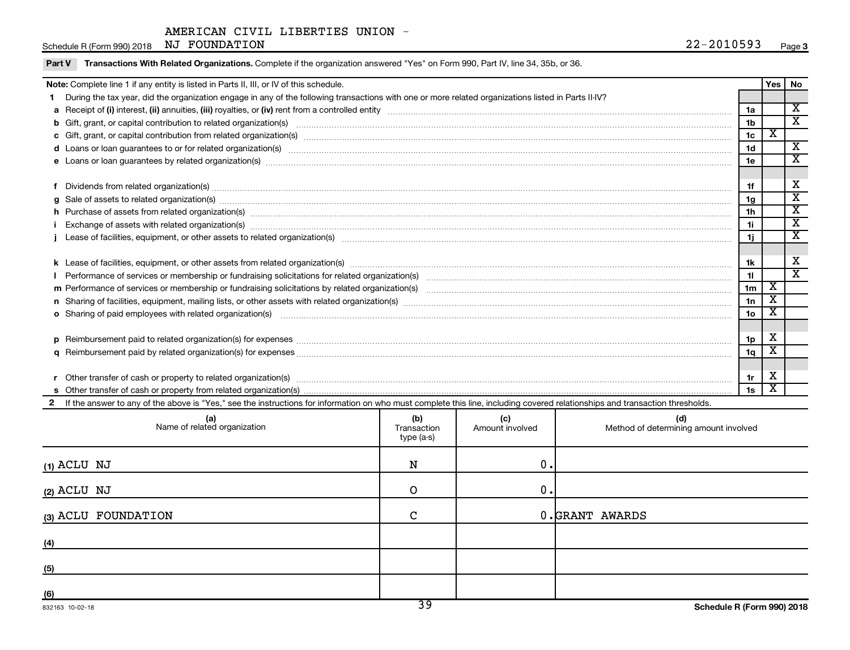Schedule R (Form 990) 2018 NJ FOUNDATION  $22-2010593$  Page

|  | Part V Transactions With Related Organizations. Complete if the organization answered "Yes" on Form 990, Part IV, line 34, 35b, or 36. |  |
|--|----------------------------------------------------------------------------------------------------------------------------------------|--|
|--|----------------------------------------------------------------------------------------------------------------------------------------|--|

|                                                                                         |                                                                                                                                                                                                                                |                | <b>Yes</b> | No                      |  |  |
|-----------------------------------------------------------------------------------------|--------------------------------------------------------------------------------------------------------------------------------------------------------------------------------------------------------------------------------|----------------|------------|-------------------------|--|--|
| Note: Complete line 1 if any entity is listed in Parts II, III, or IV of this schedule. |                                                                                                                                                                                                                                |                |            |                         |  |  |
|                                                                                         | During the tax year, did the organization engage in any of the following transactions with one or more related organizations listed in Parts II-IV?                                                                            |                |            |                         |  |  |
|                                                                                         |                                                                                                                                                                                                                                | 1a             |            | $\overline{\texttt{x}}$ |  |  |
|                                                                                         |                                                                                                                                                                                                                                | 1 <sub>b</sub> |            | $\overline{\textbf{x}}$ |  |  |
|                                                                                         |                                                                                                                                                                                                                                | 1 <sub>c</sub> | x          |                         |  |  |
|                                                                                         | d Loans or loan guarantees to or for related organization(s) www.communities.com/www.communities.com/www.communities-                                                                                                          | 1 <sub>d</sub> |            | $\overline{\textbf{x}}$ |  |  |
|                                                                                         | e Loans or loan guarantees by related organization(s) material contents and content to content the content of the content of the content of the content of the content of the content of the content of the content of the con | 1e             |            | X                       |  |  |
|                                                                                         |                                                                                                                                                                                                                                |                |            |                         |  |  |
|                                                                                         | Dividends from related organization(s) www.andron.com/www.andron.com/www.andron.com/www.andron.com/www.andron.com/www.andron.com/www.andron.com/www.andron.com/www.andron.com/www.andron.com/www.andron.com/www.andron.com/www | 1f             |            | х                       |  |  |
| a                                                                                       | Sale of assets to related organization(s) material content and content and content and content and content and content and content and content and content and content and content and content and content and content and con | 1 <sub>q</sub> |            | $\overline{\text{x}}$   |  |  |
|                                                                                         | h Purchase of assets from related organization(s) manufactured content to the content of the content of the content of the content of the content of the content of the content of the content of the content of the content o | 1 <sub>h</sub> |            | $\overline{\textbf{X}}$ |  |  |
|                                                                                         | Exchange of assets with related organization(s) manufactured content to the content of the content of the content of the content of the content of the content of the content of the content of the content of the content of  | 1i.            |            | $\overline{\text{x}}$   |  |  |
|                                                                                         |                                                                                                                                                                                                                                | 1j             |            | $\overline{\texttt{x}}$ |  |  |
|                                                                                         |                                                                                                                                                                                                                                |                |            |                         |  |  |
|                                                                                         |                                                                                                                                                                                                                                | 1k             |            | X                       |  |  |
|                                                                                         |                                                                                                                                                                                                                                | 11             |            | $\overline{\texttt{x}}$ |  |  |
|                                                                                         |                                                                                                                                                                                                                                | 1 <sub>m</sub> | х          |                         |  |  |
|                                                                                         | n Sharing of facilities, equipment, mailing lists, or other assets with related organization(s) marror manufactured manufactured contents and the state of facilities, equipment, mailing lists, or other assets with related  | 1n             | X          |                         |  |  |
|                                                                                         | o Sharing of paid employees with related organization(s) manufaction(s) and all contracts are seen as a set of the state organization(s) and all contracts are seen as a set of the state organization(s) and all contracts ar | 1 <sub>o</sub> | х          |                         |  |  |
|                                                                                         |                                                                                                                                                                                                                                |                |            |                         |  |  |
|                                                                                         |                                                                                                                                                                                                                                | 1 <sub>p</sub> | х          |                         |  |  |
|                                                                                         |                                                                                                                                                                                                                                | 1q             |            |                         |  |  |
|                                                                                         |                                                                                                                                                                                                                                |                |            |                         |  |  |
|                                                                                         | Other transfer of cash or property to related organization(s) with the content of the content of the content of the content of the content of the content of the content of the content of the content of the content of the c | 1r             | Х          |                         |  |  |
|                                                                                         |                                                                                                                                                                                                                                | 1s             |            |                         |  |  |
|                                                                                         | 2 If the answer to any of the above is "Yes," see the instructions for information on who must complete this line, including covered relationships and transaction thresholds.                                                 |                |            |                         |  |  |
|                                                                                         |                                                                                                                                                                                                                                |                |            |                         |  |  |

| (a)<br>Name of related organization | (b)<br>Transaction<br>type (a-s) | (c)<br>Amount involved | (d)<br>Method of determining amount involved |
|-------------------------------------|----------------------------------|------------------------|----------------------------------------------|
| $(1)$ ACLU NJ                       | N                                | 0.                     |                                              |
| $(2)$ ACLU NJ                       | O                                | $\mathbf 0$ .          |                                              |
| (3) ACLU FOUNDATION                 | $\mathcal{C}$                    |                        | 0.GRANT AWARDS                               |
| (4)                                 |                                  |                        |                                              |
| (5)                                 |                                  |                        |                                              |
| (6)                                 | $\overline{\mathcal{D}}$         |                        |                                              |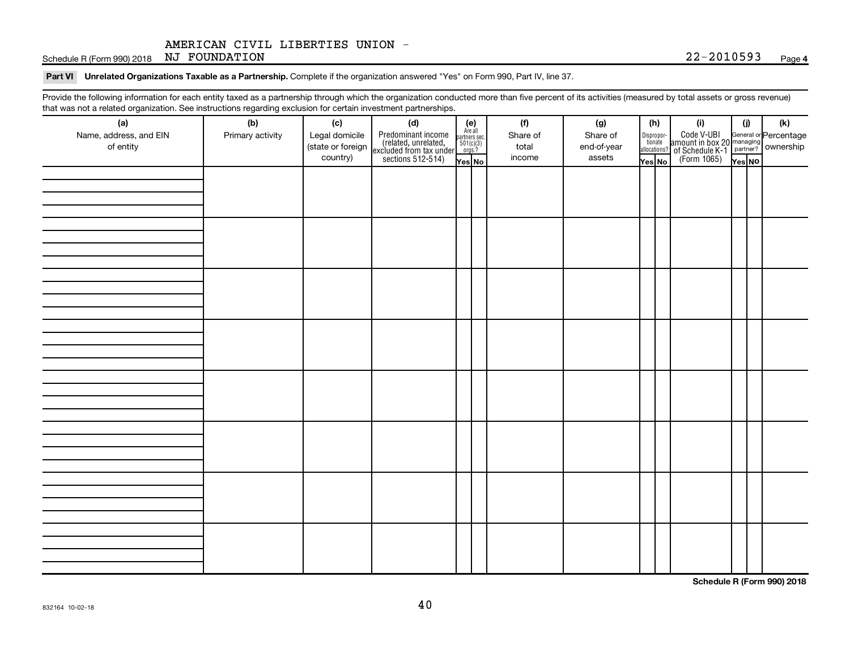Schedule R (Form 990) 2018 NJ FOUNDATION  $22-2010593$  Page

Part VI Unrelated Organizations Taxable as a Partnership. Complete if the organization answered "Yes" on Form 990, Part IV, line 37.

Provide the following information for each entity taxed as a partnership through which the organization conducted more than five percent of its activities (measured by total assets or gross revenue) that was not a related organization. See instructions regarding exclusion for certain investment partnerships.

| (a)                    | (b)              | (c)               | mat was not a related organization. Occ instructions regarding excitation for certain investment partnerships.<br>(d) |                                                          |  | (f)      | (g)         |        | (h)                              | (i)                                                                                          | (i)    | (k) |
|------------------------|------------------|-------------------|-----------------------------------------------------------------------------------------------------------------------|----------------------------------------------------------|--|----------|-------------|--------|----------------------------------|----------------------------------------------------------------------------------------------|--------|-----|
| Name, address, and EIN | Primary activity | Legal domicile    | Predominant income<br>(related, unrelated,<br>excluded from tax under<br>sections 512-514)                            | (e)<br>Are all<br>partners sec.<br>$501(c)(3)$<br>orgs.? |  | Share of | Share of    |        |                                  | Code V-UBI<br>amount in box 20 managing<br>of Schedule K-1 partner?<br>(Form 1065)<br>ves No |        |     |
| of entity              |                  | (state or foreign |                                                                                                                       |                                                          |  | total    | end-of-year |        | Disproportionate<br>allocations? |                                                                                              |        |     |
|                        |                  | country)          |                                                                                                                       | Yes No                                                   |  | income   | assets      | Yes No |                                  |                                                                                              | Yes NO |     |
|                        |                  |                   |                                                                                                                       |                                                          |  |          |             |        |                                  |                                                                                              |        |     |
|                        |                  |                   |                                                                                                                       |                                                          |  |          |             |        |                                  |                                                                                              |        |     |
|                        |                  |                   |                                                                                                                       |                                                          |  |          |             |        |                                  |                                                                                              |        |     |
|                        |                  |                   |                                                                                                                       |                                                          |  |          |             |        |                                  |                                                                                              |        |     |
|                        |                  |                   |                                                                                                                       |                                                          |  |          |             |        |                                  |                                                                                              |        |     |
|                        |                  |                   |                                                                                                                       |                                                          |  |          |             |        |                                  |                                                                                              |        |     |
|                        |                  |                   |                                                                                                                       |                                                          |  |          |             |        |                                  |                                                                                              |        |     |
|                        |                  |                   |                                                                                                                       |                                                          |  |          |             |        |                                  |                                                                                              |        |     |
|                        |                  |                   |                                                                                                                       |                                                          |  |          |             |        |                                  |                                                                                              |        |     |
|                        |                  |                   |                                                                                                                       |                                                          |  |          |             |        |                                  |                                                                                              |        |     |
|                        |                  |                   |                                                                                                                       |                                                          |  |          |             |        |                                  |                                                                                              |        |     |
|                        |                  |                   |                                                                                                                       |                                                          |  |          |             |        |                                  |                                                                                              |        |     |
|                        |                  |                   |                                                                                                                       |                                                          |  |          |             |        |                                  |                                                                                              |        |     |
|                        |                  |                   |                                                                                                                       |                                                          |  |          |             |        |                                  |                                                                                              |        |     |
|                        |                  |                   |                                                                                                                       |                                                          |  |          |             |        |                                  |                                                                                              |        |     |
|                        |                  |                   |                                                                                                                       |                                                          |  |          |             |        |                                  |                                                                                              |        |     |
|                        |                  |                   |                                                                                                                       |                                                          |  |          |             |        |                                  |                                                                                              |        |     |
|                        |                  |                   |                                                                                                                       |                                                          |  |          |             |        |                                  |                                                                                              |        |     |
|                        |                  |                   |                                                                                                                       |                                                          |  |          |             |        |                                  |                                                                                              |        |     |
|                        |                  |                   |                                                                                                                       |                                                          |  |          |             |        |                                  |                                                                                              |        |     |
|                        |                  |                   |                                                                                                                       |                                                          |  |          |             |        |                                  |                                                                                              |        |     |
|                        |                  |                   |                                                                                                                       |                                                          |  |          |             |        |                                  |                                                                                              |        |     |
|                        |                  |                   |                                                                                                                       |                                                          |  |          |             |        |                                  |                                                                                              |        |     |
|                        |                  |                   |                                                                                                                       |                                                          |  |          |             |        |                                  |                                                                                              |        |     |
|                        |                  |                   |                                                                                                                       |                                                          |  |          |             |        |                                  |                                                                                              |        |     |
|                        |                  |                   |                                                                                                                       |                                                          |  |          |             |        |                                  |                                                                                              |        |     |
|                        |                  |                   |                                                                                                                       |                                                          |  |          |             |        |                                  |                                                                                              |        |     |
|                        |                  |                   |                                                                                                                       |                                                          |  |          |             |        |                                  |                                                                                              |        |     |
|                        |                  |                   |                                                                                                                       |                                                          |  |          |             |        |                                  |                                                                                              |        |     |
|                        |                  |                   |                                                                                                                       |                                                          |  |          |             |        |                                  |                                                                                              |        |     |

**Schedule R (Form 990) 2018**